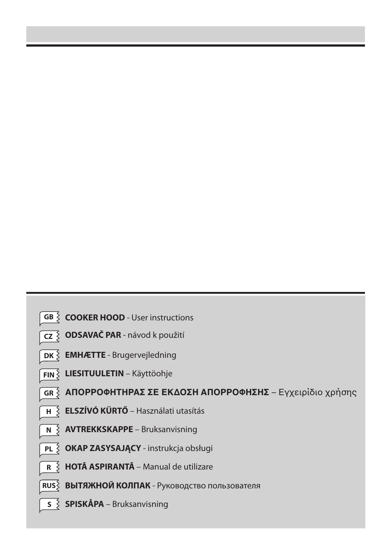- **GB**  $\geq$  **COOKER HOOD** User instructions
- **ODSAVAČ PAR** návod k použití **CZ**
- **EMHÆTTE**  Brugervejledning **DK**
- **LIESITUULETIN** Käyttöohje **FIN**
- <mark>GR  $\,$  **AΠΟΡΡΟΦΗΤΗΡΑΣ ΣΕ ΕΚΔΟΣΗ ΑΠΟΡΡΟΦΗΣΗΣ** Εγχειρίδιο χρήσης</mark>
- **ELSZÍVÓ KÜRTŐ** Használati utasítás **H**
- **AVTREKKSKAPPE** Bruksanvisning **N**
- **OKAP ZASYSAJĄCY** instrukcja obsługi **PL**
- **HOTĂ ASPIRANTĂ** Manual de utilizare **R**
- **ВЫТЯЖНОЙ КОЛПАК** Руководство пользователя **RUS**
	- **SPISKÅPA** Bruksanvisning **S**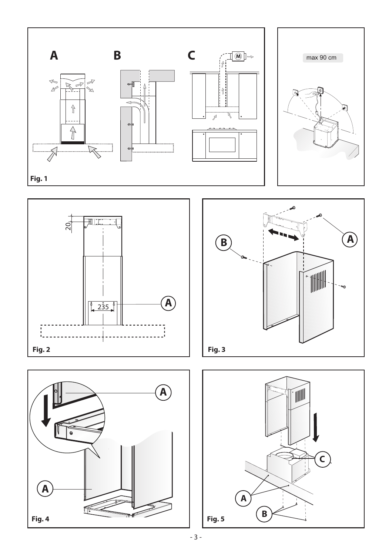







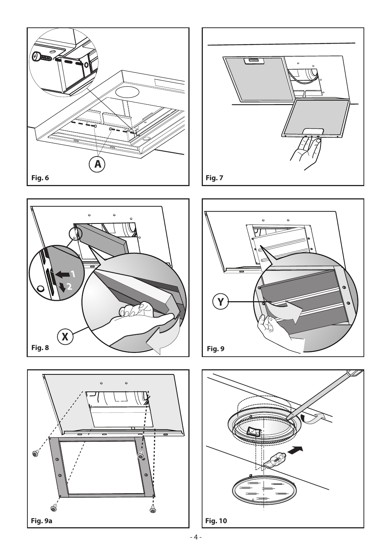









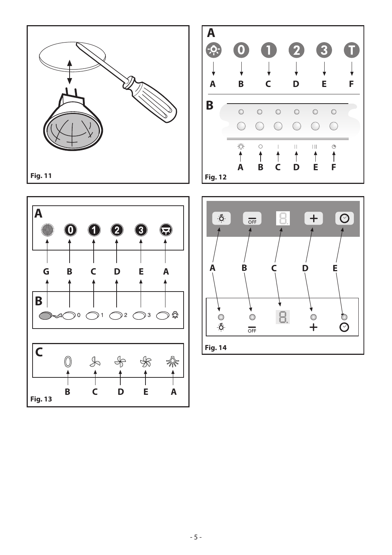





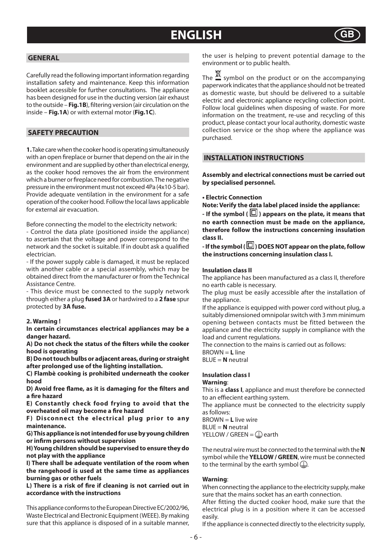## **ENGLISH**



## **GENERAL**

Carefully read the following important information regarding installation safety and maintenance. Keep this information booklet accessible for further consultations. The appliance has been designed for use in the ducting version (air exhaust to the outside – **Fig.1B**), filtering version (air circulation on the inside – **Fig.1A**) or with external motor (**Fig.1C**).

## **SAFETY PRECAUTION**

**1.** Take care when the cooker hood is operating simultaneously with an open fireplace or burner that depend on the air in the environment and are supplied by other than electrical energy, as the cooker hood removes the air from the environment which a burner or fireplace need for combustion. The negative pressure in the environment must not exceed 4Pa (4x10-5 bar). Provide adequate ventilation in the environment for a safe operation of the cooker hood. Follow the local laws applicable for external air evacuation.

Before connecting the model to the electricity network:

- Control the data plate (positioned inside the appliance) to ascertain that the voltage and power correspond to the network and the socket is suitable. If in doubt ask a qualified electrician.

- If the power supply cable is damaged, it must be replaced with another cable or a special assembly, which may be obtained direct from the manufacturer or from the Technical Assistance Centre.

- This device must be connected to the supply network through either a plug **fused 3A** or hardwired to a **2 fase** spur protected by **3A fuse.**

## **2. Warning !**

**In certain circumstances electrical appliances may be a danger hazard.** 

A) Do not check the status of the filters while the cooker **hood is operating**

**B) Do not touch bulbs or adjacent areas, during or straight after prolonged use of the lighting installation.**

**C) Flambè cooking is prohibited underneath the cooker hood** 

**D) Avoid free flame, as it is damaging for the filters and a fi re hazard**

**E) Constantly check food frying to avoid that the**  overheated oil may become a fire hazard

**F) Disconnect the electrical plug prior to any maintenance.**

**G) This appliance is not intended for use by young children or infirm persons without supervision** 

**H) Young children should be supervised to ensure they do not play with the appliance**

**I) There shall be adequate ventilation of the room when the rangehood is used at the same time as appliances burning gas or other fuels**

**L) There is a risk of fire if cleaning is not carried out in accordance with the instructions**

This appliance conforms to the European Directive EC/2002/96, Waste Electrical and Electronic Equipment (WEEE). By making sure that this appliance is disposed of in a suitable manner, the user is helping to prevent potential damage to the environment or to public health.

The  $\mathbb{Z}$  symbol on the product or on the accompanying paperwork indicates that the appliance should not be treated as domestic waste, but should be delivered to a suitable electric and electronic appliance recycling collection point. Follow local guidelines when disposing of waste. For more information on the treatment, re-use and recycling of this product, please contact your local authority, domestic waste collection service or the shop where the appliance was purchased.

## **INSTALLATION INSTRUCTIONS**

**Assembly and electrical connections must be carried out by specialised personnel.** 

## **• Electric Connection**

**Note: Verify the data label placed inside the appliance:**

- If the symbol ( $\boxdot$ ) appears on the plate, it means that **no earth connection must be made on the appliance, therefore follow the instructions concerning insulation class II.**

- If the symbol ( $\textcircled{\textsf{I}}$ ) DOES NOT appear on the plate, follow **the instructions concerning insulation class I.**

## **Insulation class II**

The appliance has been manufactured as a class II, therefore no earth cable is necessary.

The plug must be easily accessible after the installation of the appliance.

If the appliance is equipped with power cord without plug, a suitably dimensioned omnipolar switch with 3 mm minimum opening between contacts must be fitted between the appliance and the electricity supply in compliance with the load and current regulations.

The connection to the mains is carried out as follows:

BROWN = **L** line

BLUE = **N** neutral

#### **Insulation class I Warning**:

This is a **class I**, appliance and must therefore be connected to an effiecient earthing system.

The appliance must be connected to the electricity supply as follows:

BROWN = **L** live wire

BLUE = **N** neutral YELLOW / GREEN =  $\mathbb Q$  earth

The neutral wire must be connected to the terminal with the **N**  symbol while the **YELLOW / GREEN**, wire must be connected to the terminal by the earth symbol  $\Box$ .

#### **Warning**:

When connecting the appliance to the electricity supply, make sure that the mains socket has an earth connection.

After fitting the ducted cooker hood, make sure that the electrical plug is in a position where it can be accessed easily.

If the appliance is connected directly to the electricity supply,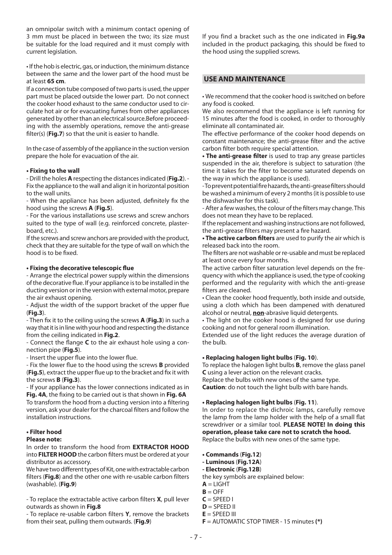an omnipolar switch with a minimum contact opening of 3 mm must be placed in between the two; its size must be suitable for the load required and it must comply with current legislation.

• If the hob is electric, gas, or induction, the minimum distance between the same and the lower part of the hood must be at least **65 cm**.

If a connection tube composed of two parts is used, the upper part must be placed outside the lower part. Do not connect the cooker hood exhaust to the same conductor used to circulate hot air or for evacuating fumes from other appliances generated by other than an electrical source.Before proceeding with the assembly operations, remove the anti-grease filter(s) (**Fig.7**) so that the unit is easier to handle.

In the case of assembly of the appliance in the suction version prepare the hole for evacuation of the air.

## **• Fixing to the wall**

- Drill the holes **A** respecting the distances indicated (**Fig.2**). - Fix the appliance to the wall and align it in horizontal position to the wall units.

- When the appliance has been adjusted, definitely fix the hood using the screws **A** (**Fig.5**).

- For the various installations use screws and screw anchors suited to the type of wall (e.g. reinforced concrete, plasterboard, etc.).

If the screws and screw anchors are provided with the product, check that they are suitable for the type of wall on which the hood is to be fixed.

## **• Fixing the decorative telescopic fl ue**

- Arrange the electrical power supply within the dimensions of the decorative flue. If your appliance is to be installed in the ducting version or in the version with external motor, prepare the air exhaust opening.

- Adjust the width of the support bracket of the upper flue (**Fig.3**).

- Then fix it to the ceiling using the screws **A** (Fig. 3) in such a way that it is in line with your hood and respecting the distance from the ceiling indicated in **Fig.2**.

- Connect the flange **C** to the air exhaust hole using a connection pipe (**Fig.5**).

- Insert the upper flue into the lower flue.

- Fix the lower flue to the hood using the screws **B** provided (Fig.5), extract the upper flue up to the bracket and fix it with the screws **B** (**Fig.3**).

- If your appliance has the lower connections indicated as in Fig. 4A, the fixing to be carried out is that shown in Fig. 6A

To transform the hood from a ducting version into a filtering version, ask your dealer for the charcoal filters and follow the installation instructions.

## **• Filter hood**

## **Please note:**

In order to transform the hood from **EXTRACTOR HOOD** into **FILTER HOOD** the carbon filters must be ordered at your distributor as accessory.

We have two different types of Kit, one with extractable carbon filters (**Fig.8**) and the other one with re-usable carbon filters (washable). (**Fig.9**)

- To replace the extractable active carbon filters **X**, pull lever outwards as shown in **Fig.8**

- To replace re-usable carbon filters **Y**, remove the brackets from their seat, pulling them outwards. (**Fig.9**)

If you find a bracket such as the one indicated in **Fig.9a** included in the product packaging, this should be fixed to the hood using the supplied screws.

## **USE AND MAINTENANCE**

• We recommend that the cooker hood is switched on before any food is cooked.

We also recommend that the appliance is left running for 15 minutes after the food is cooked, in order to thoroughly eliminate all contaminated air.

The effective performance of the cooker hood depends on constant maintenance; the anti-grease filter and the active carbon filter both require special attention.

• The anti-grease filter is used to trap any grease particles suspended in the air, therefore is subject to saturation (the time it takes for the filter to become saturated depends on the way in which the appliance is used).

- To prevent potential fire hazards, the anti-grease filters should be washed a minimum of every 2 months (it is possible to use the dishwasher for this task).

- After a few washes, the colour of the filters may change. This does not mean they have to be replaced.

If the replacement and washing instructions are not followed, the anti-grease filters may present a fire hazard.

**• The active carbon filters** are used to purify the air which is released back into the room.

The filters are not washable or re-usable and must be replaced at least once every four months.

The active carbon filter saturation level depends on the frequency with which the appliance is used, the type of cooking performed and the regularity with which the anti-grease filters are cleaned.

• Clean the cooker hood frequently, both inside and outside, using a cloth which has been dampened with denatured alcohol or neutral, **non**-abrasive liquid detergents.

• The light on the cooker hood is designed for use during cooking and not for general room illumination.

Extended use of the light reduces the average duration of the bulb.

## **• Replacing halogen light bulbs** (**Fig. 10**).

To replace the halogen light bulbs **B**, remove the glass panel **C** using a lever action on the relevant cracks.

Replace the bulbs with new ones of the same type. **Caution**: do not touch the light bulb with bare hands.

### **• Replacing halogen light bulbs** (**Fig. 11**).

In order to replace the dichroic lamps, carefully remove the lamp from the lamp holder with the help of a small flat screwdriver or a similar tool. **PLEASE NOTE! In doing this operation, please take care not to scratch the hood.**  Replace the bulbs with new ones of the same type.

**• Commands** (**Fig.12**)

- **Luminous** (**Fig.12A**)
- **Electronic** (**Fig.12B**)
- the key symbols are explained below:
- $A = LIGHT$
- $B =$  OFF
- $C =$ SPEED I
- $D =$  SPFFD II
- $E =$  SPEED III
- **F** = AUTOMATIC STOP TIMER 15 minutes **(\*)**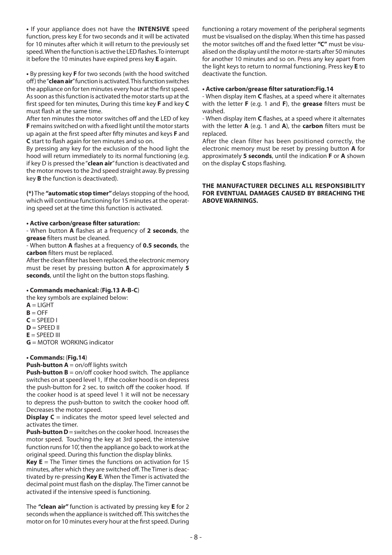**•** If your appliance does not have the **INTENSIVE** speed function, press key E for two seconds and it will be activated for 10 minutes after which it will return to the previously set speed. When the function is active the LED flashes. To interrupt it before the 10 minutes have expired press key **E** again.

**•** By pressing key **F** for two seconds (with the hood switched off ) the "**clean air**" function is activated. This function switches the appliance on for ten minutes every hour at the first speed. As soon as this function is activated the motor starts up at the fi rst speed for ten minutes, During this time key **F** and key **C**  must flash at the same time.

After ten minutes the motor switches off and the LED of key **F** remains switched on with a fixed light until the motor starts up again at the first speed after fifty minutes and keys **F** and **C** start to flash again for ten minutes and so on.

By pressing any key for the exclusion of the hood light the hood will return immediately to its normal functioning (e.g. if key D is pressed the "**clean air**" function is deactivated and the motor moves to the 2nd speed straight away. By pressing key **B** the function is deactivated).

**(\*)** The **"automatic stop timer"** delays stopping of the hood, which will continue functioning for 15 minutes at the operating speed set at the time this function is activated.

## **• Active carbon/grease fi lter saturation:**

- When button **A** flashes at a frequency of 2 seconds, the **grease** filters must be cleaned.

- When button **A** flashes at a frequency of **0.5 seconds**, the **carbon** filters must be replaced.

After the clean filter has been replaced, the electronic memory must be reset by pressing button **A** for approximately **5**  seconds, until the light on the button stops flashing.

## **• Commands mechanical:** (**Fig.13 A-B-C**)

the key symbols are explained below:

- $A = LIGHT$
- $B = OFF$
- $C =$ SPEED I
- $D =$  SPEED II
- **E** = SPEED III

**G** = MOTOR WORKING indicator

## **• Commands:** (**Fig.14**)

**Push-button A** = on/off lights switch

**Push-button B** = on/off cooker hood switch. The appliance switches on at speed level 1, If the cooker hood is on depress the push-button for 2 sec. to switch off the cooker hood. If the cooker hood is at speed level 1 it will not be necessary to depress the push-button to switch the cooker hood off. Decreases the motor speed.

**Display C** = indicates the motor speed level selected and activates the timer.

**Push-button D** = switches on the cooker hood. Increases the motor speed. Touching the key at 3rd speed, the intensive function runs for 10', then the appliance go back to work at the original speed. During this function the display blinks.

**Key E** = The Timer times the functions on activation for 15 minutes, after which they are switched off . The Timer is deactivated by re-pressing **Key E**. When the Timer is activated the decimal point must flash on the display. The Timer cannot be activated if the intensive speed is functioning.

The **"clean air"** function is activated by pressing key **E** for 2 seconds when the appliance is switched off . This switches the motor on for 10 minutes every hour at the first speed. During functioning a rotary movement of the peripheral segments must be visualised on the display. When this time has passed the motor switches off and the fixed letter "C" must be visualised on the display until the motor re-starts after 50 minutes for another 10 minutes and so on. Press any key apart from the light keys to return to normal functioning. Press key **E** to deactivate the function.

### • Active carbon/grease filter saturation:Fig.14

- When display item **C** flashes, at a speed where it alternates with the letter **F** (e.g. 1 and **F**), the **grease** filters must be washed.

- When display item **C** flashes, at a speed where it alternates with the letter **A** (e.g. 1 and **A**), the **carbon** filters must be replaced.

After the clean filter has been positioned correctly, the electronic memory must be reset by pressing button **A** for approximately **5 seconds**, until the indication **F** or **A** shown on the display **C** stops flashing.

## **THE MANUFACTURER DECLINES ALL RESPONSIBILITY FOR EVENTUAL DAMAGES CAUSED BY BREACHING THE ABOVE WARNINGS.**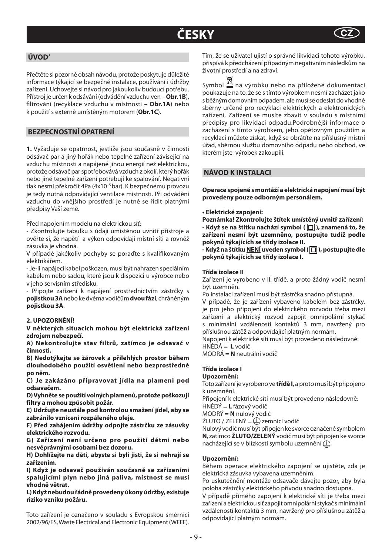## ČESKY

## **ÚVOD'**

Přečtěte si pozorně obsah návodu, protože poskytuje důležité informace týkající se bezpečné instalace, používání i údržby zařízení. Uchovejte si návod pro jakoukoliv budoucí potřebu. Přístroj je určen k odsávání (odvádění vzduchu ven – **Obr.1B**), fi ltrování (recyklace vzduchu v místnosti – **Obr.1A**) nebo k použití s externě umístěným motorem (**Obr.1C**).

## **BEZPECNOSTNÍ OPATRENÍ**

**1.** Vyžaduje se opatrnost, jestliže jsou současně v činnosti odsávač par a jiný hořák nebo tepelné zařízení závisející na vzduchu místnosti a napájené jinou energií než elektrickou, protože odsávač par spotřebovává vzduch z okolí, který hořák nebo jiné tepelné zařízení potřebují ke spalování. Negativní tlak nesmí překročit 4Pa (4x10–5 bar). K bezpečnému provozu je tedy nutná odpovídající ventilace místnosti. Při odvádění vzduchu do vnějšího prostředí je nutné se řídit platnými předpisy Vaší země.

Před napojením modelu na elektrickou síť:

- Zkontrolujte tabulku s údaji umístěnou uvnitř přístroje a ověřte si, že napětí a výkon odpovídají místní síti a rovněž zásuvka je vhodná.

V případě jakékoliv pochyby se poraďte s kvalifikovaným elektrikářem.

- Je-li napájecí kabel poškozen, musí být nahrazen speciálním kabelem nebo sadou, které jsou k dispozici u výrobce nebo v jeho servisním středisku.

- Připojte zařízení k napájení prostřednictvím zástrčky s **pojistkou 3A** nebo ke dvěma vodičům **dvou fází**, chráněným **pojistkou 3A**.

### **2. UPOZORNĚNÍ!**

**V některých situacích mohou být elektrická zařízení zdrojem nebezpečí.** 

**A) Nekontrolujte stav filtrů, zatímco je odsavač v činnosti.**

**B) Nedotýkejte se žárovek a přilehlých prostor během dlouhodobého použití osvětlení nebo bezprostředně po něm.** 

**C) Je zakázáno připravovat jídla na plameni pod odsavačem.**

**D) Vyhněte se použití volných plamenů, protože poškozují filtry a mohou způsobit požár.**

**E) Udržujte neustále pod kontrolou smažení jídel, aby se zabránilo vznícení rozpáleného oleje.**

**F) Před zahájením údržby odpojte zástrčku ze zásuvky elektrického rozvodu.**

**G) Zařízení není určeno pro použití dětmi nebo nesvéprávnými osobami bez dozoru.**

**H) Dohlížejte na děti, abyste si byli jisti, že si nehrají se zařízením.**

**I) Když je odsavač používán současně se zařízeními spalujícími plyn nebo jiná paliva, místnost se musí vhodně větrat.**

**L) Když nebudou řádně provedeny úkony údržby, existuje riziko vzniku požáru.**

Toto zařízení je označeno v souladu s Evropskou směrnicí 2002/96/ES, Waste Electrical and Electronic Equipment (WEEE).

Tím, že se uživatel ujistí o správné likvidaci tohoto výrobku, přispívá k předcházení případným negativním následkům na životní prostředí a na zdraví.

Symbol na výrobku nebo na přiložené dokumentaci poukazuje na to, že se s tímto výrobkem nesmí zacházet jako s běžným domovním odpadem, ale musí se odeslat do vhodné sběrny určené pro recyklaci elektrických a elektronických zařízení. Zařízení se musíte zbavit v souladu s místními předpisy pro likvidaci odpadu.Podrobnější informace o zacházení s tímto výrobkem, jeho opětovným použitím a recyklací můžete získat, když se obrátíte na příslušný místní úřad, sběrnou službu domovního odpadu nebo obchod, ve kterém jste výrobek zakoupili.

## **NÁVOD K INSTALACI**

**Operace spojené s montáží a elektrická napojení musí být provedeny pouze odborným personálem.**

**• Elektrické zapojení:**

**Poznámka! Zkontrolujte štítek umístěný uvnitř zařízení: - Když se na štítku nachází symbol ( ), znamená to, že zařízení nesmí být uzemněno, postupujte tudíž podle pokynů týkajících se třídy izolace II.**

**- Když na štítku NENÍ uveden symbol ( ), postupujte dle pokynů týkajících se třídy izolace I.**

## **Třída izolace II**

Zařízení je vyrobeno v II. třídě, a proto žádný vodič nesmí být uzemněn.

Po instalaci zařízení musí být zástrčka snadno přístupná.

V případě, že je zařízení vybaveno kabelem bez zástrčky, je pro jeho připojení do elektrického rozvodu třeba mezi zařízení a elektrický rozvod zapojit omnipolární stykač s minimální vzdáleností kontaktů 3 mm, navržený pro příslušnou zátěž a odpovídající platným normám.

Napojení k elektrické síti musí být provedeno následovně: HNĚDÁ = **L** vodič

MODRÁ = **N** neutrální vodič

## **Třída izolace I**

**Upozornění:**

Toto zařízení je vyrobeno ve **třídě I**, a proto musí být připojeno k uzemnění.

Připojení k elektrické síti musí být provedeno následovně: HNĚDÝ = **L** fázový vodič

MODRÝ = **N** nulový vodič

ŽLUTO / ZELENÝ = zemnicí vodič

Nulový vodič musí být připojen ke svorce označené symbolem **N**, zatímco **ŽLUTO/ZELENÝ** vodič musí být připojen ke svorce nacházející se v blízkosti symbolu uzemnění  $\mathbb{D}$ .

## **Upozornění:**

Během operace elektrického zapojení se ujistěte, zda je elektrická zásuvka vybavena uzemněním.

Po uskutečnění montáže odsavače dávejte pozor, aby byla poloha zástrčky elektrického přívodu snadno dostupná.

V případě přímého zapojení k elektrické síti je třeba mezi zařízení a elektrickou síť zapojit omnipolární stykač s minimální vzdáleností kontaktů 3 mm, navržený pro příslušnou zátěž a odpovídající platným normám.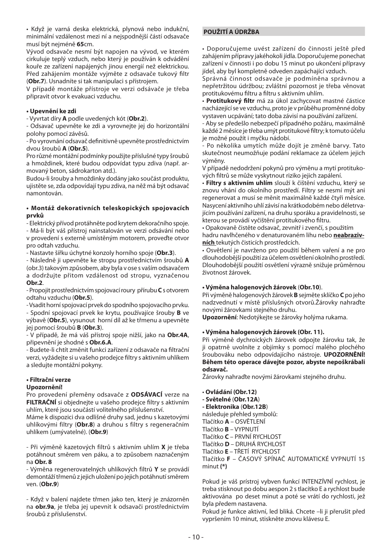• Když je varná deska elektrická, plynová nebo indukční, minimální vzdálenost mezi ní a nejspodnější částí odsavače musí být nejméně **65**cm.

Vývod odsavače nesmí být napojen na vývod, ve kterém cirkuluje teplý vzduch, nebo který je používán k odvádění kouře ze zařízení napájených jinou energií než elektrickou. Před zahájením montáže vyjměte z odsavače tukový filtr (**Obr.7**). Usnadníte si tak manipulaci s přístrojem.

V případě montáže přístroje ve verzi odsávače je třeba připravit otvor k evakuaci vzduchu.

## **• Upevnění ke zdi**

- Vyvrtat díry **A** podle uvedených kót (**Obr.2**).

- Odsavač upevněte ke zdi a vyrovnejte jej do horizontální polohy pomocí závěsů.

- Po vyrovnání odsavač definitivně upevněte prostřednictvím dvou šroubů **A** (**Obr.5**).

Pro různé montážní podmínky použijte příslušné typy šroubů a hmoždinek, které budou odpovídat typu zdiva (např. armovaný beton, sádrokarton atd.).

Budou-li šrouby a hmoždinky dodány jako součást produktu, ujistěte se, zda odpovídají typu zdiva, na něž má být odsavač namontován.

## **• Montáž dekorativních teleskopických spojovacích prvků**

- Elektrický přívod protáhněte pod krytem dekoračního spoje.

- Má-li být váš přístroj nainstalován ve verzi odsávání nebo v provedení s externě umístěným motorem, proveďte otvor pro odtah vzduchu.

- Nastavte šířku úchytné konzoly horního spoje (**Obr.3**).

- Následně ji upevněte ke stropu prostřednictvím šroubů **A** (obr.3) takovým způsobem, aby byla v ose s vaším odsavačem a dodržujte přitom vzdálenost od stropu, vyznačenou

### **Obr.2**.

- Propojit prostřednictvím spojovací roury přírubu **C** s otvorem odtahu vzduchu (**Obr.5**).

- Vsadit horní spojovací prvek do spodního spojovacího prvku.

- Spodní spojovací prvek ke krytu, používajíce šrouby **B** ve výbavě (**Obr.5**), vysunout horní díl až ke třmenu a upevněte jej pomocí šroubů **B** (**Obr.3**).

- V případě, že má váš přístroj spoje nižší, jako na **Obr.4A**, připevnění je shodné s **Obr.6.A**.

- Budete-li chtít změnit funkci zařízení z odsavače na fi ltrační verzi, vyžádejte si u vašeho prodejce filtry s aktivním uhlíkem a sledujte montážní pokyny.

## **• Filtrační verze**

## **Upozornění!**

Pro provedení přeměny odsavače z **ODSÁVACÍ** verze na FILTRAČNÍ si objednejte u vašeho prodejce filtry s aktivním uhlím, které jsou součástí volitelného příslušenství.

Máme k dispozici dva odlišné druhy sad, jednu s kazetovými uhlíkovými filtry (**Obr.8**) a druhou s filtry s regeneračním uhlíkem (umývatelné). (**Obr.9**)

- Při výměně kazetových filtrů s aktivním uhlím **X** je třeba potáhnout směrem ven páku, a to způsobem naznačeným na **Obr. 8**

- Výměna regenerovatelných uhlíkových filtrů **Y** se provádí demontáží třmenů z jejich uložení po jejich potáhnutí směrem ven. (**Obr.9**)

- Když v balení najdete třmen jako ten, který je znázorněn na **obr.9a**, je třeba jej upevnit k odsavači prostřednictvím šroubů z příslušenství.

## **POUŽITÍ A ÚDRŽBA**

• Doporučujeme uvést zařízení do činnosti ještě před zahájením přípravy jakéhokoli jídla. Doporučujeme ponechat zařízení v činnosti i po dobu 15 minut po ukončení přípravy jídel, aby byl kompletně odveden zapáchající vzduch.

Správná činnost odsavače je podmíněna správnou a nepřetržitou údržbou; zvláštní pozornost je třeba věnovat protitukovému filtru a filtru s aktivním uhlím.

• **Protitukový filtr** má za úkol zachycovat mastné částice nacházející se ve vzduchu, proto je v průběhu proměnné doby vystaven ucpávání; tato doba závisí na používání zařízení.

- Aby se předešlo nebezpečí případného požáru, maximálně každé 2 měsíce je třeba umýt protitukové filtry; k tomuto účelu je možné použít i myčku nádobí.

Po několika umytích může dojít je změně barvy. Tato skutečnost neumožňuje podání reklamace za účelem jejich výměny.

V případě nedodržení pokynů pro výměnu a mytí protitukových filtrů se může vyskytnout riziko jejich zapálení.

• **Filtry s aktivním uhlím** slouží k čištění vzduchu, který se znovu vhání do okolního prostředí. Filtry se nesmí mýt ani regenerovat a musí se měnit maximálně každé čtyři měsíce. Nasycení aktivního uhlí závisí na krátkodobém nebo déletrvajícím používání zařízení, na druhu sporáku a pravidelnosti, se kterou se provádí vyčištění protitukového filtru.

• Opakovaně čistěte odsavač, zevnitř i zvenčí, s použitím hadru navlhčeného v denaturovaném lihu nebo **neabrazivních** tekutých čisticích prostředcích.

• Osvětlení je navrženo pro použití během vaření a ne pro dlouhodobější použití za účelem osvětlení okolního prostředí. Dlouhodobější použití osvětlení výrazně snižuje průměrnou životnost žárovek.

## **• Výměna halogenových žárovek** (**Obr.10**).

Při výměně halogenových žárovek **B** sejměte sklíčko **C** po jeho nadzvednutí v místě příslušných otvorů.Žárovky nahraďte novými žárovkami stejného druhu.

**Upozornění**: Nedotýkejte se žárovky holýma rukama.

## **• Výměna halogenových žárovek (Obr. 11).**

Při výměně dychroických žárovek odpojte žárovku tak, že ji opatrně uvolníte z objímky s pomocí malého plochého šroubováku nebo odpovídajícího nástroje. **UPOZORNĚNÍ! Během této operace dávejte pozor, abyste nepoškrábali odsavač.** 

Žárovky nahraďte novými žárovkami stejného druhu.

• **Ovládání (Obr.12)**

**- Světelné** (**Obr.12A**) **- Elektronika** (**Obr.12B**) následuje přehled symbolů: Tlačítko **A** – OSVĚTLENÍ Tlačítko **B** – VYPNUTÍ Tlačítko **C** – PRVNÍ RYCHLOST Tlačítko **D** – DRUHÁ RYCHLOST Tlačítko **E** – TŘETÍ RYCHLOST

Tlačítko **F** – ČASOVÝ SPÍNAČ AUTOMATICKÉ VYPNUTÍ 15 minut **(\*)**

Pokud je váš prístroj vybven funkcí INTENZÍVNÍ rychlost, je treba stisknout po dobu aespon 2 s tlacítko E a rychlost bude aktivována po deset minut a poté se vrátí do rychlosti, jež byla předem nastavena.

Pokud je funkce aktivní, led bliká. Chcete –li ji přerušit před vypršením 10 minut, stiskněte znovu klávesu E.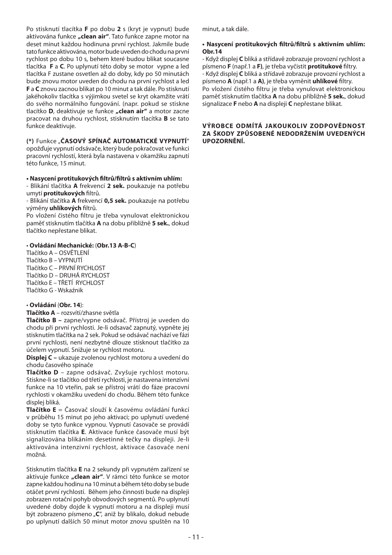Po stisknutí tlacítka **F** po dobu **2** s (kryt je vypnut) bude aktivována funkce **"clean air"**. Tato funkce zapne motor na deset minut každou hodinuna první rychlost. Jakmile bude tato funkce aktivována, motor bude uveden do chodu na první rychlost po dobu 10 s, behem které budou blikat soucasne tlacítka **F** a **C**. Po uplynutí této doby se motor vypne a led tlacítka F zustane osvetlen až do doby, kdy po 50 minutách bude znovu motor uveden do chodu na první rychlost a led **F** a **C** znovu zacnou blikat po 10 minut a tak dále. Po stisknutí jakéhokoliv tlacítka s výjimkou svetel se kryt okamžite vrátí do svého normálního fungování. (napr. pokud se stiskne tlacítko **D**, deaktivuje se funkce **"clean air"** a motor zacne pracovat na druhou rychlost, stisknutím tlacítka **B** se tato funkce deaktivuje.

**(\*)** Funkce "**ČASOVÝ SPÍNAČ AUTOMATICKÉ VYPNUTÍ**" opožďuje vypnutí odsávače, který bude pokračovat ve funkci pracovní rychlostí, která byla nastavena v okamžiku zapnutí této funkce, 15 minut.

## **• Nasycení protitukových fi ltrů/fi ltrů s aktivním uhlím:**

- Blikání tlačítka **A** frekvencí **2 sek.** poukazuje na potřebu umytí **protitukových** filtrů.

- Blikání tlačítka **A** frekvencí **0,5 sek.** poukazuje na potřebu výměny **uhlíkových** filtrů.

Po vložení čistého filtru je třeba vynulovat elektronickou paměť stisknutím tlačítka **A** na dobu přibližně **5 sek.**, dokud tlačítko nepřestane blikat.

## • **Ovládání Mechanické:** (**Obr.13 A-B-C**)

Tlačítko A – OSVĚTLENÍ Tlačítko B – VYPNUTÍ Tlačítko C – PRVNÍ RYCHLOST Tlačítko D – DRUHÁ RYCHLOST Tlačítko E – TŘETÍ RYCHLOST Tlačítko G - Wskaźnik

#### • **Ovládání** (**Obr. 14**):

**Tlačítko A** – rozsvítí/zhasne světla

**Tlačítko B –** zapne/vypne odsávač. Přístroj je uveden do chodu při první rychlosti. Je-li odsavač zapnutý, vypněte jej stisknutím tlačítka na 2 sek. Pokud se odsávač nachází ve fázi první rychlosti, není nezbytné dlouze stisknout tlačítko za účelem vypnutí. Snižuje se rychlost motoru.

**Displej C –** ukazuje zvolenou rychlost motoru a uvedení do chodu časového spínače

**Tlačítko D** – zapne odsávač. Zvyšuje rychlost motoru. Stiskne-li se tlačítko od třetí rychlosti, je nastavena intenzívní funkce na 10 vteřin, pak se přístroj vrátí do fáze pracovní rychlosti v okamžiku uvedení do chodu. Během této funkce displej bliká.

**Tlačítko E** = Časovač slouží k časovému ovládání funkcí v průběhu 15 minut po jeho aktivaci; po uplynutí uvedené doby se tyto funkce vypnou. Vypnutí časovače se provádí stisknutím tlačítka **E**. Aktivace funkce časovače musí být signalizována blikáním desetinné tečky na displeji. Je-li aktivována intenzivní rychlost, aktivace časovače není možná.

Stisknutím tlačítka **E** na 2 sekundy při vypnutém zařízení se aktivuje funkce "clean air". V rámci této funkce se motor zapne každou hodinu na 10 minut a během této doby se bude otáčet první rychlostí. Během jeho činnosti bude na displeji zobrazen rotační pohyb obvodových segmentů. Po uplynutí uvedené doby dojde k vypnutí motoru a na displeji musí být zobrazeno písmeno "C", aniž by blikalo, dokud nebude po uplynutí dalších 50 minut motor znovu spuštěn na 10 minut, a tak dále.

## • Nasycení protitukových filtrů/filtrů s aktivním uhlím: **Obr.14**

- Když displej **C** bliká a střídavě zobrazuje provozní rychlost a písmeno **F** (např.1 a **F)**, je třeba vyčistit **protitukové** fi ltry. - Když displej **C** bliká a střídavě zobrazuje provozní rychlost a písmeno **A** (např.1 a **A**), je třeba vyměnit **uhlíkové** filtry. Po vložení čistého filtru je třeba vynulovat elektronickou paměť stisknutím tlačítka **A** na dobu přibližně **5 sek.**, dokud signalizace **F** nebo **A** na displeji **C** nepřestane blikat.

#### **VÝROBCE ODMÍTÁ JAKOUKOLIV ZODPOVĚDNOST ZA ŠKODY ZPŮSOBENÉ NEDODRŽENÍM UVEDENÝCH UPOZORNĚNÍ.**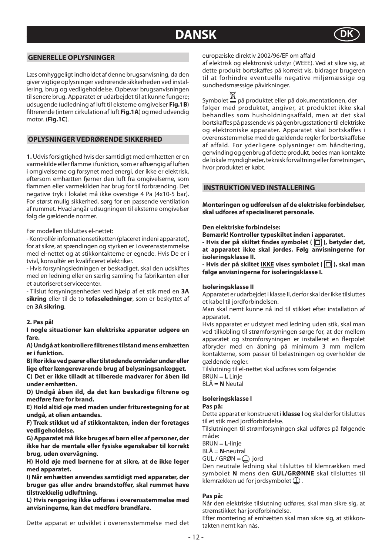## **DANSK**



## **GENERELLE OPLYSNINGER**

Læs omhyggeligt indholdet af denne brugsanvisning, da den giver vigtige oplysninger vedrørende sikkerheden ved installering, brug og vedligeholdelse. Opbevar brugsanvisningen til senere brug. Apparatet er udarbejdet til at kunne fungere; udsugende (udledning af luft til eksterne omgivelser **Fig.1B**) fi ltrerende (intern cirkulation af luft **Fig.1A**) og med udvendig motor. (**Fig.1C**).

## **OPLYSNINGER VEDRØRENDE SIKKERHED**

**1.** Udvis forsigtighed hvis der samtidigt med emhætten er en varmekilde eller flamme i funktion, som er afhængig af luften i omgivelserne og forsynet med energi, der ikke er elektrisk, eftersom emhætten fjerner den luft fra omgivelserne, som flammen eller varmekilden har brug for til forbrænding. Det negative tryk i lokalet må ikke overstige 4 Pa (4x10-5 bar). For størst mulig sikkerhed, sørg for en passende ventilation af rummet. Hvad angår udsugningen til eksterne omgivelser følg de gældende normer.

## Før modellen tilsluttes el-nettet:

- Kontrollèr informationsetiketten (placeret indeni apparatet), for at sikre, at spændingen og styrken er i overensstemmelse med el-nettet og at stikkontakterne er egnede. Hvis De er i tvivl, konsultèr en kvalificeret elektriker.

- Hvis forsyningsledningen er beskadiget, skal den udskiftes med en ledning eller en særlig samling fra fabrikanten eller et autoriseret servicecenter.

- Tilslut forsyningsenheden ved hjælp af et stik med en **3A sikring** eller til de to **tofaseledninger**, som er beskyttet af en **3A sikring**.

#### **2. Pas på!**

**I nogle situationer kan elektriske apparater udgøre en fare.** 

**A) Undgå at kontrollere filtrenes tilstand mens emhætten er i funktion.**

**B) Rør ikke ved pærer eller tilstødende områder under eller lige efter længerevarende brug af belysningsanlægget.**

**C) Det er ikke tilladt at tilberede madvarer for åben ild under emhætten.**

**D) Undgå åben ild, da det kan beskadige filtrene og medføre fare for brand.**

**E) Hold altid øje med maden under friturestegning for at undgå, at olien antændes.**

**F) Træk stikket ud af stikkontakten, inden der foretages vedligeholdelse.**

**G) Apparatet må ikke bruges af børn eller af personer, der ikke har de mentale eller fysiske egenskaber til korrekt brug, uden overvågning.**

**H) Hold øje med børnene for at sikre, at de ikke leger med apparatet.**

**I) Når emhætten anvendes samtidigt med apparater, der bruger gas eller andre brændstoffer, skal rummet have tilstrækkelig udluftning.**

**L) Hvis rengøring ikke udføres i overensstemmelse med anvisningerne, kan det medføre brandfare.**

Dette apparat er udviklet i overensstemmelse med det

europæiske direktiv 2002/96/EF om affald

af elektrisk og elektronisk udstyr (WEEE). Ved at sikre sig, at dette produkt bortskaffes på korrekt vis, bidrager brugeren til at forhindre eventuelle negative miljømæssige og sundhedsmæssige påvirkninger.

Symbolet  $\mathbb{X}$  på produktet eller på dokumentationen, der følger med produktet, angiver, at produktet ikke skal behandles som husholdningsaffald, men at det skal bortskaffes på passende vis på genbrugsstationer til elektriske og elektroniske apparater. Apparatet skal bortskaffes i overensstemmelse med de gældende regler for bortskaffelse af affald. For yderligere oplysninger om håndtering, genvinding og genbrug af dette produkt, bedes man kontakte de lokale myndigheder, teknisk forvaltning eller forretningen, hvor produktet er købt.

## **INSTRUKTION VED INSTALLERING**

**Monteringen og udførelsen af de elektriske forbindelser, skal udføres af specialiseret personale.**

#### **Den elektriske forbindelse:**

**Bemærk! Kontroller typeskiltet inden i apparatet.**

- Hvis der på skiltet findes symbolet ( $\Box$ ), betyder det, **at apparatet ikke skal jordes. Følg anvisningerne for isoleringsklasse II.**

- Hvis der på skiltet **IKKE** vises symbolet ( $\boxed{\Box}$ ), skal man **følge anvisningerne for isoleringsklasse I.**

## **Isoleringsklasse II**

Apparatet er udarbejdet i klasse II, derfor skal der ikke tilsluttes et kabel til jordforbindelsen.

Man skal nemt kunne nå ind til stikket efter installation af apparatet.

Hvis apparatet er udstyret med ledning uden stik, skal man ved tilkobling til strømforsyningen sørge for, at der mellem apparatet og strømforsyningen er installeret en flerpolet afbryder med en åbning på minimum 3 mm mellem kontakterne, som passer til belastningen og overholder de gældende regler.

Tilslutning til el-nettet skal udføres som følgende: BRUN = **L** Linje BLÅ = **N** Neutal

### **Isoleringsklasse I**

#### **Pas på:**

Dette apparat er konstrueret i **klasse I** og skal derfor tilsluttes til et stik med jordforbindelse.

Tilslutningen til strømforsyningen skal udføres på følgende måde:

BRUN = **L**-linje

BLÅ = **N**-neutral

 $GUL / GRØN = \Box$  jord

Den neutrale ledning skal tilsluttes til klemrækken med symbolet **N** mens den **GUL/GRØNNE** skal tilsluttes til klemrækken ud for jordsymbolet  $\mathbb Q$ .

## **Pas på:**

Når den elektriske tilslutning udføres, skal man sikre sig, at strømstikket har jordforbindelse.

Efter montering af emhætten skal man sikre sig, at stikkontakten nemt kan nås.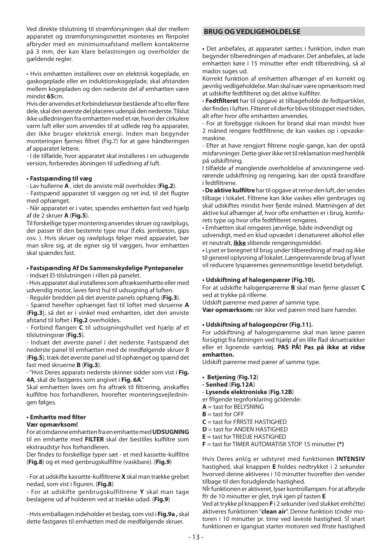Ved direkte tilslutning til strømforsyningen skal der mellem apparatet og strømforsyningsnettet monteres en flerpolet afbryder med en minimumsafstand mellem kontakterne på 3 mm, der kan klare belastningen og overholder de gældende regler.

• Hvis emhætten installeres over en elektrisk kogeplade, en gaskogeplade eller en induktionskogeplade, skal afstanden mellem kogepladen og den nederste del af emhætten være mindst **65**cm.

Hvis der anvendes et forbindelsesrør bestående af to eller flere dele, skal den øverste del placeres udenpå den nederste. Tilslut ikke udledningen fra emhætten med et rør, hvori der cirkulere varm luft eller som anvendes til at udlede røg fra apparater, der ikke bruger elektrisk energi. Inden man begynder monteringen fiernes filtret (Fig.7) for at gøre håndteringen af apparatet lettere.

- I de tilfælde, hvor apparatet skal installeres i en udsugende version, forberedes åbningen til udledning af luft.

## **• Fastspænding til væg**

- Lav hullerne **A** , idet de anviste mål overholdes (**Fig.2**).

- Fastspænd apparatet til væggen og ret ind, til det flugter med ophænget.

- Når apparatet er i vater, spændes emhætten fast ved hjælp af de 2 skruer **A** (**Fig.5**).

Til forskellige typer montering anvendes skruer og rawlplugs, der passer til den bestemte type mur (f.eks. jernbeton, gips osv. ). Hvis skruer og rawlplugs følger med apparatet, bør man sikre sig, at de egner sig til væggen, hvor emhætten skal spændes fast.

## **• Fastspænding Af De Sammenskydelige Pyntepaneler**

- Indsæt El-tilslutningen i rillen på panelet.

- Hvis apparatet skal installeres som aftræksemhætte eller med udvendig motor, laves først hul til udsugning af luften.

- Regulér bredden på det øverste panels ophæng (**Fig.3**).

- Spænd herefter ophænget fast til loftet med skruerne **A** (**Fig.3**), så det er i vinkel med emhætten, idet den anviste afstand til loftet i **Fig.2** overholdes.

- Forbind flangen **C** til udsugningshullet ved hjælp af et tilslutningsrør (**Fig.5**).

- Indsæt det øverste panel i det nederste. Fastspænd det nederste panel til emhætten med de medfølgende skruer B (**Fig.5**), træk det øverste panel ud til ophænget og spænd det fast med skruerne **B** (**Fig.3**).

- "Hvis Deres apparats nederste skinner sidder som vist i **Fig. 4A**, skal de fastgøres som angivet i **Fig. 6A**."

Skal emhætten laves om fra aftræk til filtrering, anskaffes kulfiltre hos forhandleren, hvorefter monteringsvejledningen følges.

## **• Emhætte med fi lter**

### **Vær opmærksom!**

For at omdanne emhætten fra en emhætte med **UDSUGNING** til en emhætte med **FILTER** skal der bestilles kulfiltre som ekstraudstyr hos forhandleren.

Der findes to forskellige typer sæt - et med kassette-kulfiltre (**Fig.8**) og et med genbrugskulfiltre (vaskbare). (**Fig.9**)

- For at udskifte kassette-kulfiltrene **X** skal man trække grebet nedad, som vist i figuren. (**Fig.8**)

- For at udskifte genbrugskulfiltrene **Y** skal man tage beslagene ud af holderen ved at trække udad. (**Fig.9**)

- Hvis emballagen indeholder et beslag, som vist i **Fig.9a ,** skal dette fastgøres til emhætten med de medfølgende skruer.

## **BRUG OG VEDLIGEHOLDELSE**

**•** Det anbefales, at apparatet sættes i funktion, inden man begynder tilberedningen af madvarer. Det anbefales, at lade emhætten køre i 15 minutter efter endt tilberedning, så al mados suges ud.

Korrekt funktion af emhætten afhænger af en korrekt og jævnlig vedligeholdelse. Man skal især være opmærksom med at udskifte fedtfilteret og det aktive kulfilter.

• **Fedtfi lteret** har til opgave at tilbageholde de fedtpartikler, der findes i luften. Filteret vil derfor blive tilstoppet med tiden, alt efter hvor ofte emhætten anvendes.

- For at forebygge risikoen for brand skal man mindst hver 2 måned rengøre fedtfiltrene; de kan vaskes op i opvaskemaskine.

- Efter at have rengjort filtrene nogle gange, kan der opstå misfarvninger. Dette giver ikke ret til reklamation med henblik på udskiftning.

I tilfælde af manglende overholdelse af anvisningerne vedrørende udskiftning og rengøring, kan der opstå brandfare i fedtfiltrene.

• **De aktive kulfi ltre** har til opgave at rense den luft, der sendes tilbage i lokalet. Filtrene kan ikke vaskes eller genbruges og skal udskiftes mindst hver fierde måned. Mætningen af det aktive kul afhænger af, hvor ofte emhætten er i brug, komfurets type og hvor ofte fedtfilteret rengøres.

• Emhætten skal rengøres jævnlige, både indvendigt og udvendigt, med en klud opvædet i denatureret alkohol eller et neutralt, **ikke** slibende rengøringsmiddel.

**•** Lyset er beregnet til brug under tilberedning af mad og ikke til generel oplysning af lokalet. Længerevarende brug af lyset vil reducere lyspærernes gennemsnitlige levetid betydeligt.

### **• Udskiftning af halogenpærer (Fig.10).**

For at udskifte halogenpærerne **B** skal man fierne glasset **C** ved at trykke på rillerne.

Udskift pærerne med pærer af samme type.

**Vær opmærksom:** rør ikke ved pæren med bare hænder.

## **• Udskiftning af halogenpćrer (Fig.11).**

For udskiftning af halogenpærerne skal man løsne pæren forsigtigt fra fatningen ved hjælp af en lille flad skruetrækker eller et lignende værktøj. **PAS PÅ! Pas på ikke at ridse emhætten.** 

Udskift pærerne med pærer af samme type.

- **Betjening** (**Fig.12**)
- **Senhed** (**Fig.12A**)
- **Lysende elektroniske** (**Fig.12B**)

er fřlgende tegnforklaring gćldende:

- $A =$  tast for BELYSNING
- **B** = tast for OFF
- **C** = tast for FŘRSTE HASTIGHED
- **D** = tast for ANDEN HASTIGHED
- **E** = tast for TREDJE HASTIGHED
- **F** = tast for TIMER AUTOMATISK STOP 15 minutter **(\*)**

Hvis Deres anlćg er udstyret med funktionen **INTENSIV** hastighed, skal knappen **E** holdes nedtrykket i 2 sekunder hvorved denne aktiveres i 10 minutter hvorefter den vender tilbage til den forudgĺende hastighed.

Nĺr funktionen er aktiveret, lyser kontrollampen. For at afbryde fřr de 10 minutter er gĺet, tryk igen pĺ tasten **E**

Ved at trykke pĺ knappen **F** i 2 sekunder (ved slukket emhćtte) aktiveres funktionen "**clean air**". Denne funktion tćnder motoren i 10 minutter pr. time ved laveste hastighed. Sĺ snart funktionen er igangsat starter motoren ved fřrste hastighed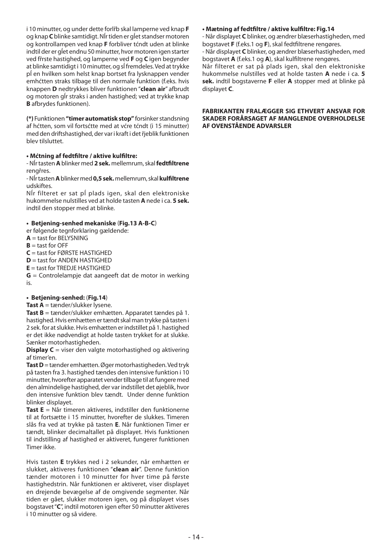i 10 minutter, og under dette forlřb skal lamperne ved knap **F**  og knap **C** blinke samtidigt. Nĺr tiden er gĺet standser motoren og kontrollampen ved knap **F** forbliver tćndt uden at blinke indtil der er gĺet endnu 50 minutter, hvor motoren igen starter ved fřrste hastighed, og lamperne ved **F** og **C** igen begynder at blinke samtidigt i 10 minutter, og sĺ fremdeles. Ved at trykke pĺ en hvilken som helst knap bortset fra lysknappen vender emhćtten straks tilbage til den normale funktion (f.eks. hvis knappen **D** nedtrykkes bliver funktionen "**clean air**" afbrudt og motoren gĺr straks i anden hastighed; ved at trykke knap **B** afbrydes funktionen).

**(\*)** Funktionen **"timer automatisk stop"** forsinker standsning af hćtten, som vil fortsćtte med at vćre tćndt (i 15 minutter) med den driftshastighed, der var i kraft i det řjeblik funktionen blev tilsluttet.

## **• Mćtning af fedtfi ltre / aktive kulfi ltre:**

- Nĺr tasten **A** blinker med **2 sek.** mellemrum, skal **fedtfi ltrene** rengřres.

- Nĺr tasten **A** blinker med **0,5 sek.** mellemrum, skal **kulfi ltrene** udskiftes.

Nĺr filteret er sat pĺ plads igen, skal den elektroniske hukommelse nulstilles ved at holde tasten **A** nede i ca. **5 sek.** indtil den stopper med at blinke.

## **• Betjening-senhed mekaniske** (**Fig.13 A-B-C**)

er følgende tegnforklaring gældende:

- **A** = tast for BELYSNING
- $B =$  tast for OFF
- $C =$  tast for **FØRSTE** HASTIGHED
- **D** = tast for ANDEN HASTIGHED
- **E** = tast for TREDJE HASTIGHED

**G** = Controlelampje dat aangeeft dat de motor in werking is.

### **• Betjening-senhed:** (**Fig.14**)

## **Tast A** = tænder/slukker lysene.

**Tast B** = tænder/slukker emhætten. Apparatet tændes på 1. hastighed. Hvis emhætten er tændt skal man trykke på tasten i 2 sek. for at slukke. Hvis emhætten er indstillet på 1. hastighed er det ikke nødvendigt at holde tasten trykket for at slukke. Sænker motorhastigheden.

**Display C** = viser den valgte motorhastighed og aktivering af timer'en.

**Tast D** = tænder emhætten. Øger motorhastigheden. Ved tryk på tasten fra 3. hastighed tændes den intensive funktion i 10 minutter, hvorefter apparatet vender tilbage til at fungere med den almindelige hastighed, der var indstillet det øjeblik, hvor den intensive funktion blev tændt. Under denne funktion blinker displayet.

**Tast E** = Når timeren aktiveres, indstiller den funktionerne til at fortsætte i 15 minutter, hvorefter de slukkes. Timeren slås fra ved at trykke på tasten **E**. Når funktionen Timer er tændt, blinker decimaltallet på displayet. Hvis funktionen til indstilling af hastighed er aktiveret, fungerer funktionen Timer ikke.

Hvis tasten **E** trykkes ned i 2 sekunder, når emhætten er slukket, aktiveres funktionen "**clean air**". Denne funktion tænder motoren i 10 minutter for hver time på første hastighedstrin. Når funktionen er aktiveret, viser displayet en drejende bevægelse af de omgivende segmenter. Når tiden er gået, slukker motoren igen, og på displayet vises bogstavet "**C**", indtil motoren igen efter 50 minutter aktiveres i 10 minutter og så videre.

## **• Mætning af fedtfi ltre / aktive kulfi ltre: Fig.14**

- Når displayet **C** blinker, og ændrer blæserhastigheden, med bogstavet **F** (f.eks.1 og **F**), skal fedtfiltrene rengøres.

- Når displayet **C** blinker, og ændrer blæserhastigheden, med bogstavet **A** (f.eks.1 og **A**), skal kulfiltrene rengøres.

Når filteret er sat på plads igen, skal den elektroniske hukommelse nulstilles ved at holde tasten **A** nede i ca. **5 sek.** indtil bogstaverne **F** eller **A** stopper med at blinke på displayet **C**.

## **FABRIKANTEN FRALÆGGER SIG ETHVERT ANSVAR FOR SKADER FORÅRSAGET AF MANGLENDE OVERHOLDELSE AF OVENSTÅENDE ADVARSLER**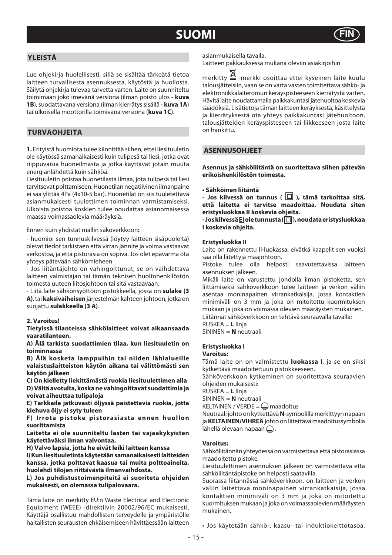## **SUOMI FIN**



## **YLEISTÄ**

Lue ohjekirja huolellisesti, sillä se sisältää tärkeätä tietoa laitteen turvallisesta asennuksesta, käytöstä ja huollosta. Säilytä ohjekirja tulevaa tarvetta varten. Laite on suunniteltu toimimaan joko imevänä versiona (ilman poisto ulos - **kuva 1B**), suodattavana versiona (ilman kierrätys sisällä - **kuva 1A**) tai ulkoisella moottorilla toimivana versiona (**kuva 1C**).

## **TURVAOHJEITA**

**1.** Erityistä huomiota tulee kiinnittää siihen, ettei liesituuletin ole käytössä samanaikaisesti kuin tulipesä tai liesi, jotka ovat riippuvaisia huoneilmasta ja jotka käyttävät jotain muuta energianlähdettä kuin sähköä.

Liesituuletin poistaa huonetilasta ilmaa, jota tulipesä tai liesi tarvitsevat polttamiseen. Huonetilan negatiivinen ilmanpaine ei saa ylittää 4Pa (4x10-5 bar). Huonetilat on siis tuuletettava asianmukaisesti tuulettimen toiminnan varmistamiseksi. Ulkoista poistoa koskien tulee noudattaa asianomaisessa maassa voimassaolevia määräyksiä.

Ennen kuin yhdistät mallin säköverkkoon**:**

- huomioi sen tunnuskilvessä (löytyy laitteen sisäpuolelta) olevat tiedot tarkistaen että virran jännite ja voima vastaavat verkostoa, ja että pistorasia on sopiva. Jos olet epävarma ota yhteys pätevään sähkömieheen

- Jos liitäntäjohto on vahingoittunut, se on vaihdettava laitteen valmistajan tai tämän teknisen huoltohenkilöstön toimesta uuteen liitosjohtoon tai sitä vastaavaan.

- Liitä laite sähkönsyöttöön pistokkeella, jossa on **sulake (3 A)**, tai **kaksivaiheisen** järjestelmän kahteen johtoon, jotka on suojattu **sulakkeella (3 A)**.

## **2. Varoitus!**

**Tietyissä tilanteissa sähkölaitteet voivat aikaansaada vaaratilanteen.** 

**A) Älä tarkista suodattimien tilaa, kun liesituuletin on toiminnassa**

**B) Älä kosketa lamppuihin tai niiden lähialueille valaistuslaitteiston käytön aikana tai välittömästi sen käytön jälkeen**

**C) On kielletty liekittämästä ruokia liesituulettimen alla D) Vältä avotulta, koska ne vahingoittavat suodattimia ja voivat aiheuttaa tulipaloja**

**E) Tarkkaile jatkuvasti öljyssä paistettavia ruokia, jotta kiehuva öljy ei syty tuleen**

**F) Irrota pistoke pistorasiasta ennen huollon suorittamista**

**Laitetta ei ole suunniteltu lasten tai vajaakykyisten käytettäväksi ilman valvontaa.**

**H) Valvo lapsia, jotta he eivät leiki laitteen kanssa**

**I) Kun liesituuletinta käytetään samanaikaisesti laitteiden kanssa, jotka polttavat kaasua tai muita polttoaineita, huolehdi tilojen riittävästä ilmanvaihdosta.**

**L) Jos puhdistustoimenpiteitä ei suoriteta ohjeiden mukaisesti, on olemassa tulipalovaara.**

Tämä laite on merkitty EU:n Waste Electrical and Electronic Equipment (WEEE) -direktiivin 20002/96/EC mukaisesti. Käyttäjä osallistuu mahdollisten terveydelle ja ympäristölle haitallisten seurausten ehkäisemiseen hävittäessään laitteen

asianmukaisella tavalla.

Laitteen pakkauksessa mukana oleviin asiakirjoihin

merkitty -merkki osoittaa ettei kyseinen laite kuulu talousjätteisiin, vaan se on varta vasten toimitettava sähkö- ja elektroniikkalaiteromun keräyspisteeseen kierrätystä varten. Hävitä laite noudattamalla paikkakuntasi jätehuoltoa koskevia säädöksiä. Lisätietoja tämän laitteen keräyksestä, käsittelystä ja kierrätyksestä ota yhteys paikkakuntasi jätehuoltoon, talousjätteiden keräyspisteseen tai liikkeeseen josta laite on hankittu.

## **ASENNUSOHJEET**

**Asennus ja sähköliitäntä on suoritettava siihen pätevän erikoishenkilöstön toimesta.**

### **• Sähköinen liitäntä**

**- Jos kilvessä on tunnus ( ), tämä tarkoittaa sitä, että laitetta ei tarvitse maadoittaa. Noudata siten eristysluokkaa II koskevia ohjeita.**

**- Jos kilvessä EI ole tunnusta ( ), noudata eristysluokkaa I koskevia ohjeita.**

## **Eristysluokka II**

Laite on rakennettu II-luokassa, eivätkä kaapelit sen vuoksi saa olla liitettyjä maajohtoon.

Pistoke tulee olla helposti saavutettavissa laitteen asennuksen jälkeen.

Mikäli laite on varustettu johdolla ilman pistoketta, sen liittämiseksi sähköverkkoon tulee laitteen ja verkon väliin asentaa moninapainen virrankatkaisija, jossa kontaktien minimiväli on 3 mm ja joka on mitoitettu kuormituksen mukaan ja joka on voimassa olevien määräysten mukainen. Liitännät sähköverkkoon on tehtävä seuraavalla tavalla: RUSKEA = **L** linja

SININEN = **N** neutraali

## **Eristysluokka I**

#### **Varoitus:**

Tämä laite on on valmistettu **luokassa I**, ja se on siksi kytkettävä maadoitettuun pistokkeeseen.

Sähköverkkoon kytkeminen on suoritettava seuraavien ohjeiden mukaisesti:

RUSKEA = **L** linja

SININEN = **N** neutraali KELTAINEN / VERDE =  $\Box$  maadoitus

Neutraali johto on kytkettävä **N**-symbolilla merkittyyn napaan ja **KELTAINEN/VIHREÄ** johto on liitettävä maadoitussymbolia lähellä olevaan napaan  $\mathbb D$ .

## **Varoitus:**

Sähköliitännän yhteydessä on varmistettava että pistorasiassa maadoitettu pistoke.

Liesituulettimen asennuksen jälkeen on varmistettava että sähköliitäntäpistoke on helposti saatavilla.

Suorassa liitännässä sähköverkkoon, on laitteen ja verkon väliin laitettava moninapainen virrankatkaisija, jossa kontaktien minimiväli on 3 mm ja joka on mitoitettu kuormituksen mukaan ja joka on voimassaolevien määräysten mukainen.

• Jos käytetään sähkö-, kaasu- tai induktiokeittotasoa,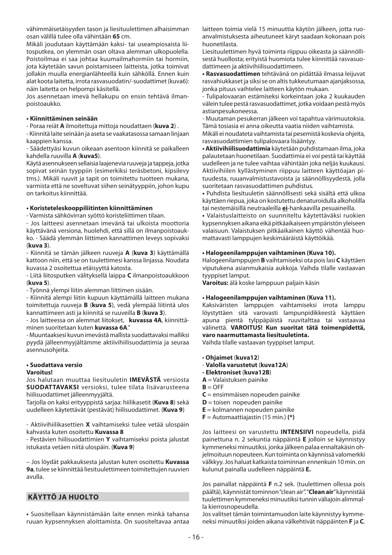vähimmäisetäisyyden tason ja liesituulettimen alhaisimman osan välillä tulee olla vähintään **65** cm.

Mikäli joudutaan käyttämään kaksi- tai useampiosaista liitosputkea, on ylemmän osan oltava alemman ulkopuolella. Poistoilmaa ei saa johtaa kuumailmahormiin tai hormiin, jota käytetään savun poistamiseen laitteista, jotka toimivat jollakin muulla energianlähteellä kuin sähköllä. Ennen kuin alat koota laitetta, irrota rasvasuodatin/-suodattimet (kuva6): näin laitetta on helpompi käsitellä.

Jos asennetaan imevä hellakupu on ensin tehtävä ilmanpoistoaukko.

#### **• Kiinnittäminen seinään**

- Poraa reiät **A** ilmoitettuja mittoja noudattaen (**kuva 2**) .

- Kiinnitä laite seinään ja aseta se vaakatasossa samaan linjaan kaappien kanssa.

- Säädettyäsi kuvun oikeaan asentoon kiinnitä se paikalleen kahdella ruuvilla **A** (**kuva5**).

Käytä asennukseen sellaisia laajenevia ruuveja ja tappeja, jotka sopivat seinän tyyppiin (esimerkiksi teräsbetoni, kipsilevy tms.). Mikäli ruuvit ja tapit on toimitettu tuotteen mukana, varmista että ne soveltuvat siihen seinätyyppiin, johon kupu on tarkoitus kiinnittää.

## **• Koristeteleskooppiliitinten kiinnittäminen**

- Varmista sähkövirran syöttö koristeliittimen tilaan.

- Jos laitteesi asennetaan imevänä tai ulkoista moottoria käyttävänä versiona, huolehdi, että sillä on ilmanpoistoaukko. - Säädä ylemmän liittimen kannattimen leveys sopivaksi (**kuva 3**).

- Kiinnitä se tämän jälkeen ruuveja **A** (**kuva 3**) käyttämällä kattoon niin, että se on tuulettimesi kanssa linjassa. Noudata kuvassa 2 osoitettua etäisyyttä katosta.

- Liitä liitosputken välityksellä laippa **C** ilmanpoistoaukkoon (**kuva 5**).

- Työnnä ylempi liitin alemman liittimen sisään.

- Kiinnitä alempi liitin kupuun käyttämällä laitteen mukana toimitettuja ruuveja **B** (**kuva 5**), vedä ylempää liitintä ulos kannattimeen asti ja kiinnitä se ruuveilla **B** (**kuva 3**).

- Jos laitteessa on alemmat liitokset, **kuvassa 4A**, kiinnittäminen suoritetaan kuten **kuvassa 6A**."

- Muuntaaksesi kuvun imevästä mallista suodattavaksi malliksi pyydä jälleenmyyjältämme aktiivihiilisuodattimia ja seuraa asennusohieita.

### **• Suodattava versio**

## **Varoitus!**

Jos halutaan muuttaa liesituuletin **IMEVÄSTÄ** versiosta **SUODATTAVAKSI** versioksi, tulee tilata lisävarusteena hiilisuodattimet jälleenmyyjältä.

Tarjolla on kaksi erityyppistä sarjaa: hiilikasetit (**Kuva 8**) sekä uudelleen käytettävät (pestävät) hiilisuodattimet. (**Kuva 9**)

- Aktiivihiilikasettien **X** vaihtamiseksi tulee vetää ulospäin kahvasta kuten osoitettu **Kuvassa 8**

- Pestävien hiilisuodattimien **Y** vaihtamiseksi poista jalustat istukasta vetäen niitä ulospäin. (**Kuva 9**)

– Jos löydät pakkauksesta jalustan kuten osoitettu **Kuvassa 9a**, tulee se kiinnittää liesituulettimeen toimitettujen ruuvien avulla.

## **KÄYTTÖ JA HUOLTO**

**•** Suositellaan käynnistämään laite ennen minkä tahansa ruuan kypsennyksen aloittamista. On suositeltavaa antaa laitteen toimia vielä 15 minuuttia käytön jälkeen, jotta ruoanvalmistuksesta aiheutuneet käryt saadaan kokonaan pois huonetilasta.

Liesituulettimen hyvä toiminta riippuu oikeasta ja säännöllisestä huollosta; erityistä huomiota tulee kiinnittää rasvasuodattimeen ja aktiivihiilisuodattimeen.

**• Rasvasuodattimen** tehtävänä on pidättää ilmassa leijuvat rasvahiukkaset ja siksi se on altis tukkeutumaan ajanjaksossa, jonka pituus vaihtelee laitteen käytön mukaan.

- Tulipalovaaran estämiseksi korkeintaan joka 2 kuukauden välein tulee pestä rasvasuodattimet, jotka voidaan pestä myös astianpesukoneessa.

- Muutaman pesukerran jälkeen voi tapahtua värimuutoksia. Tämä tosiasia ei anna oikeutta vaatia niiden vaihtamista.

Mikäli ei noudateta vaihtamista tai pesemistä koskevia ohjeita, rasvasuodattimien tulipalovaara lisääntyy.

**• Aktiivihiilisuodattimia** käytetään puhdistamaan ilma, joka palautetaan huonetilaan. Suodattimia ei voi pestä tai käyttää uudelleen ja ne tulee vaihtaa vähintään joka neljäs kuukausi. Aktiivihiilen kyllästyminen riippuu laitteen käyttöajan pituudesta, ruuanvalmistustavoista ja säännöllisyydestä, jolla suoritetaan rasvasuodattimen puhdistus.

**•** Puhdista liesituuletin säännöllisesti sekä sisältä että ulkoa käyttäen riepua, joka on kostutettu denaturoidulla alkoholilla tai nestemäisillä neutraaleilla **ei**-hankaavilla pesuaineilla.

**•** Valaistuslaitteisto on suunniteltu käytettäväksi ruokien kypsennyksen aikana eikä pitkäaikaiseen ympäristön yleiseen valaisuun. Valaistuksen pitkäaikainen käyttö vähentää huomattavasti lamppujen keskimääräistä käyttöikää.

## **• Halogeenilamppujen vaihtaminen (Kuva 10).**

Halogeenilamppujen **B** vaihtamiseksi ota pois lasi **C** käyttäen viputukena asianmukaisia aukkoja. Vaihda tilalle vastaavan tyyppiset lamput.

**Varoitus:** älä koske lamppuun paljain käsin

#### **• Halogeenilamppujen vaihtaminen (Kuva 11).**

Kaksiväristen lamppujen vaihtamiseksi irrota lamppu löystyttäen sitä varovasti lampunpidikkeestä käyttäen apuna pientä tylppäpäistä ruuvitalttaa tai vastaavaa välinettä. **VAROITUS! Kun suoritat tätä toimenpidettä, varo naarmuttamasta liesituuletinta.** 

Vaihda tilalle vastaavan tyyppiset lamput.

- **Ohjaimet** (**kuva12**)
- **Valolla varustetut** (**kuva12A**)
- **Elektroniset** (**kuva12B**)
- **A** = Valaistuksen painike
- $B = OFF$
- **C** = ensimmäisen nopeuden painike
- **D** = toisen nopeuden painike
- **E** = kolmannen nopeuden painike
- **F** = Automaattiajastin (15 min.) **(\*)**

Jos laitteesi on varustettu **INTENSIIVI** nopeudella, pidä painettuna n. 2 sekuntia näppäintä **E** jolloin se käynnistyy kymmeneksi minuutiksi, jonka jälkeen palaa ennaltakäsin ohjelmoituun nopeuteen. Kun toiminta on käynnissä valomerkki välkkyy. Jos haluat katkaista toiminnan ennenkuin 10 min. on kulunut painalla uudelleen näppäintä **E.**

Jos painallat näppäintä **F** n.2 sek. (tuulettimen ollessa pois päältä), käynnistät tominnon "clean air". "**Clean air**" käynnistää tuulettimen kymmeneksi minuutiksi tunnin väliajoin alimmalla kierrosnopeudella.

Jos valitset tämän toimintamuodon laite käynnistyy kymmeneksi minuutiksi joiden aikana välkehtivät näppäinten **F** ja **C**.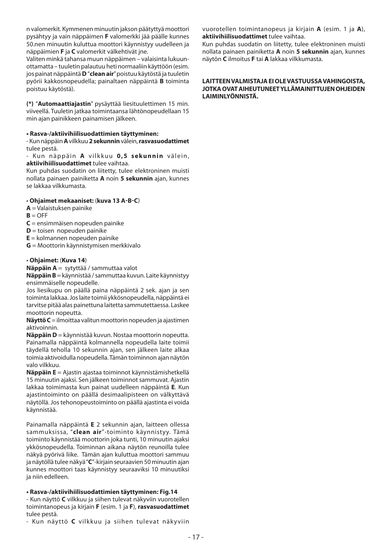n valomerkit. Kymmenen minuutin jakson päätyttyä moottori pysähtyy ja vain näppäimen **F** valomerkki jää päälle kunnes 50.nen minuutin kuluttua moottori käynnistyy uudelleen ja näppäimien **F** ja **C** valomerkit välkehtivät jne.

Valiten minkä tahansa muun näppäimen – valaisinta lukuunottamatta – tuuletin palautuu heti normaaliin käyttöön (esim. jos painat näppäintä **D** "**clean air**" poistuu käytöstä ja tuuletin pyörii kakkosnopeudella; painaltaen näppäintä **B** toiminta poistuu käytöstä).

**(\*)** "**Automaattiajastin**" pysäyttää liesituulettimen 15 min. viiveellä. Tuuletin jatkaa toimintaansa lähtönopeudellaan 15 min ajan painikkeen painamisen jälkeen.

## **• Rasva-/aktiivihiilisuodattimien täyttyminen:**

- Kun näppäin **A** vilkkuu **2 sekunnin** välein, **rasvasuodattimet** tulee pestä.

- Kun näppäin **A** vilkkuu 0,5 sekunnin välein, **aktiivihiilisuodattimet** tulee vaihtaa.

Kun puhdas suodatin on liitetty, tulee elektroninen muisti nollata painaen painiketta **A** noin **5 sekunnin** ajan, kunnes se lakkaa vilkkumasta.

## • **Ohjaimet mekaaniset:** (**kuva 13 A-B-C**)

- **A** = Valaistuksen painike
- $B = OFF$
- **C** = ensimmäisen nopeuden painike
- **D** = toisen nopeuden painike
- **E** = kolmannen nopeuden painike
- **G** = Moottorin käynnistymisen merkkivalo

## • **Ohjaimet:** (**Kuva 14**)

**Näppäin A** = sytyttää / sammuttaa valot

**Näppäin B** = käynnistää / sammuttaa kuvun. Laite käynnistyy ensimmäiselle nopeudelle.

Jos liesikupu on päällä paina näppäintä 2 sek. ajan ja sen toiminta lakkaa. Jos laite toimii ykkösnopeudella, näppäintä ei tarvitse pitää alas painettuna laitetta sammutettaessa. Laskee moottorin nopeutta.

**Näyttö C** = ilmoittaa valitun moottorin nopeuden ja ajastimen aktivoinnin.

**Näppäin D** = käynnistää kuvun. Nostaa moottorin nopeutta. Painamalla näppäintä kolmannella nopeudella laite toimii täydellä teholla 10 sekunnin ajan, sen jälkeen laite alkaa toimia aktivoidulla nopeudella. Tämän toiminnon ajan näytön valo vilkkuu.

**Näppäin E** = Ajastin ajastaa toiminnot käynnistämishetkellä 15 minuutin ajaksi. Sen jälkeen toiminnot sammuvat. Ajastin lakkaa toimimasta kun painat uudelleen näppäintä **E**. Kun ajastintoiminto on päällä desimaalipisteen on välkyttävä näytöllä. Jos tehonopeustoiminto on päällä ajastinta ei voida käynnistää.

Painamalla näppäintä **E** 2 sekunnin ajan, laitteen ollessa sammuksissa, "**clean air**"-toiminto käynnistyy. Tämä toiminto käynnistää moottorin joka tunti, 10 minuutin ajaksi ykkösnopeudella. Toiminnan aikana näytön reunoilla tulee näkyä pyörivä liike. Tämän ajan kuluttua moottori sammuu ja näytöllä tulee näkyä "**C**"-kirjain seuraavien 50 minuutin ajan kunnes moottori taas käynnistyy seuraaviksi 10 minuutiksi ja niin edelleen.

## **• Rasva-/aktiivihiilisuodattimien täyttyminen: Fig.14**

- Kun näyttö **C** vilkkuu ja siihen tulevat näkyviin vuorotellen toimintanopeus ja kirjain **F** (esim. 1 ja **F**), **rasvasuodattimet**  tulee pestä.

- Kun näyttö **C** vilkkuu ja siihen tulevat näkyviin

vuorotellen toimintanopeus ja kirjain **A** (esim. 1 ja **A**), **aktiivihiilisuodattimet** tulee vaihtaa.

Kun puhdas suodatin on liitetty, tulee elektroninen muisti nollata painaen painiketta **A** noin **5 sekunnin** ajan, kunnes näytön **C** ilmoitus **F** tai **A** lakkaa vilkkumasta.

#### **LAITTEEN VALMISTAJA EI OLE VASTUUSSA VAHINGOISTA, JOTKA OVAT AIHEUTUNEET YLLÄMAINITTUJEN OHJEIDEN LAIMINLYÖNNISTÄ.**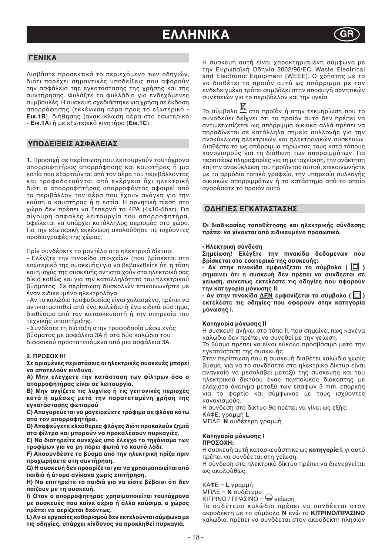## **EΛΛΗΝΙΚΑ**



## **ΓΕΝΙΚΑ**

Διαβάστε προσεκτικά το περιεχόμενο των οδηγιών, διότι παρέχει σημαντικές υποδείξεις που αφορούν την ασφάλεια της εγκατάστασης της χρήσης και της συντήρησης. Φυλάξτε το φυλλάδιο για ενδεχόμενες συμβουλές. Η συσκευή σχεδιάστηκε για χρήση σε έκδοση απορρόφησης (εκκένωση αέρα προς το εξωτερικό -**Εικ.1Β**), διήθησης (ανακὐκλωση αέρα στο εσωτερικό - **Εικ.1A**) ή με εωτερικ κινητήρα (**Εικ.1C**).

## **ΥΠΔΕΙΕΙΣ ΑΣΦΑΛΕΙΑΣ**

**1.** Προσοχή σε περίπτωση που λειτουργούν ταυτόχρονα απορροφητήρας απορρόφησης και καυστήρας ή μια εστία που εξαρτούνται από τον αέρα του περιβάλλοντος και τροφοδοτούνται από ενέργεια όχι ηλεκτρική διότι ο απορροφητήρας απορροφόντας αφαιρεί από το περιβάλλον τον αέρα που έχουν ανάγκη για την καύση καυστήρας ή η εστία. Η αρνητική πίεση στ χώρο δεν πρέπει να ξεπερνά τα 4PA (4x10-5bar). Για σίγ υρη ασφαλές λειτ υργία τ υ απ ρρ φητήρα, οφείλεται να υπάρχει κατάλληλος αερισμός στο χώρο. Για την εξωτερική εκκένωση ακολούθησε τις ισχύοντες πρ διαγραφές της ώρας.

Πρίν συνδέσετε το μοντέλο στο ηλεκτρικό δίκτυο:

- Ελέγξτε την πινακίδα στοιχείων (που βρίσκεται στο εσωτερικό της συσκευής) για να βεβαιωθείτε ότι η τάση και η ισχύς της συσκευής αντιστοιχούν στο ηλεκτρικό σας δίκιο καθώς και για την καταλληλότητα του ηλεκτρικού βύσματος. Σε περίπτωση δυσκολιών επικοινωνήστε με έναν ειδικευμένο ηλεκτρολόγο

- Αν το καλώδιο τροφοδοσίας είναι χαλασμένο, πρέπει να αντικατασταθεί από ένα καλώδιο ή ένα ειδικό σύστημα, διαθέσιμο από τον κατασκευαστή ή την υπηρεσία του τεχνικής υποστήριξης.

- Συνδέστε τη διάταξη στην τροφοδοσία μέσω ενός βύσματος με ασφάλεια 3Α ή στα δύο καλώδια του διφασικού προστατευόμενα από μια ασφάλεια 3Α.

#### **2. ΠΡΣΉ!**

**Σε ρισμένες περιστάσεις ι ηλεκτρικές συσκευές μπρεί να απτελύν κίνδυν.** 

A) Μην ελέγχετε την κατάσταση των φίλτρων όσο ο **απρρφητήρας είναι σε λειτυργία.**

B) Μην αγγίζετε τις λυχνίες ή τις γειτονικές περιοχές **κατά ή αμέσως μετά την παρατεταμένη χρήση της εγκατάστασης φωτισμύ**

C) Απαγορεύεται να μαγειρεύετε τρόφιμα σε φλόγα κάτω από τον απορροφητήρα.

D) Αποφεύγετε ελεύθερες φλόγες διότι προκαλούν ζημιά **στα φίλτρα και μπρύν να πρκαλέσυν πυρκαγιές.**

**E) Να διατηρείτε συνεχώς υπό έλεγχο το τηγάνισμα των** τροφίμων για να μη πάρει φωτιά το καυτό λάδι.

F) Αποσυνδέστε το βύσμα από την ηλεκτρική πρίζα πριν **προχωρήσετε στη συντήρηση.** 

G) Η συσκευή δεν προορίζεται για να χρησιμοποιείται από **παιδιά ή άτομα ανίκανα χωρίς επιτήρηση.** 

H) Να επιτηρείτε τα παιδιά για να είστε βέβαιοι ότι δεν **παί5υν με τη συσκευή.**

**I) Όταν ο απορροφητήρας χρησιμοποιείται ταυτόχρονα** με συσκευές που καίνε αέριο ή άλλα καύσιμα, ο χώρος **πρέπει να αερί5εται δε3ντως.**

**L) Αν ι εργασίες καθαρισμύ δεν εκτελύνται σύμφωνα με**  τις οδηγίες, υπάρχει κίνδυνος να προκληθεί πυρκαγιά.

Η συσκευή αυτή είναι αρακτηρισμένη σύμφωνα με την Ευρωπαϊκή +δηγία 2002/96/EC, Waste Electrical and Electronic Equipment (WEEE). Ο χρήστης με το να διαθέτει το προϊόν αυτό ως απόρριμμα με τον ενδεδειγμένο τρόπο συμβάλει στην αποφυγή αρνητικών συνεπειών για το περιβάλλον και την υγεία.

Το σύμβολο — στο προϊόν ή στην τεκμηρίωση που το συνοδεύει δείχνει ότι το προϊόν αυτό δεν πρέπει να αντιμετωπίζεται ως απόρριμμα οικιακό αλλά πρέπει να παραδίνεται σε κατάλληλα σημεία συλλ γής για την ανακύκλωση ηλεκτρικών και ηλεκτρονικών συσκευών. Διαθέστε το ως απόρριμμα τηρώντας τους κατά τόπους καν νισμ ύς για τη διάθεση των απ ρριμμάτων. Για περαιτέρω πληροφορίες για τη μεταχείριση, την ανάκτηση και την ανακὐκλωση του προϊόντος αυτοὐ, επικοινωνἡστε με το αρμόδιο τοπικό γραφείο, την υπηρεσία συλλογής οικιακών απορριμμάτων ή το κατάστημα από το οποίο αγοράσατε το προϊόν αυτό.

## **ΔΗΓΙΕΣ ΕΓΚΑΤΑΣΤΑΣΗΣ**

Οι διαδικασίες τοποθέτησης και ηλεκτρικής σύνδεσης πρέπει να γίνονται από ειδικευμένο προσωπικό.

#### • **Ηλεκτρική σύνδεση**

Σημείωση! Ελέγξτε την πινακίδα δεδομένων που **βρίσκεται στο εσωτερικό της συσκευής:** 

**- Αν στην πινακίδα εμφανίζεται το σύμβολο (**  $\Box$  **) σημαίνει 3τι η συσκευή δεν πρέπει να συνδέεται σε**  γείωση, συνεπώς εκτελέστε τις οδηγίες που αφορούν **την κατηγρία μ3νωσης II.**

**- Αν στην πινακίδα ΔΕΝ εμφανίζεται το σύμβολο (** $\Box$ **)** εκτελέστε τις οδηγίες που αφορούν στην κατηγορία **μ3νωσης I.**

#### **Κατηγρία μ3νωσης II**

H συσκευή ανήκει στο τύπο II, που σημαίνει πως κανένα καλώδι δεν πρέπει να συνεθεί με την γείωση.

Το βύσμα πρέπει να είναι εύκολα προσβάσιμο μετά την εγκατάσταση της συσκευής.

Στην περίπτωση π υ η συσκευή διαθέτει καλώδι ωρίς βύσμα, για να το συνδέσετε στο ηλεκτρικό δίκτυο είναι αναγκαίο να μεσολαβεί μεταξύ της συσκευής και του ηλεκτρικού δικτύου ένας πανπολικός διακόπτης με ελάχιστο άνοιγμα μεταξύ των επαφών 3 mm, επαρκής για το φορτίο και σύμφωνος με τους ισχύοντες κανονισμούς.

Η σύνδεση στ δίκτυ θα πρέπει να γίνει ως εής: ΚΑΦΕ: γραμμή **L**

ΜΠΛΕ: **N** υδέτερη γραμμή

#### **Κατηγρία μ3νωσης I ΠΡΣΗ:**

Η συσκευή αυτή κατασκευάστηκε ως **κατηγρία I**, γι αυτ πρέπει να συνδέεται στη γείωση.

Η σύνδεση στο ηλεκτρικό δίκτυο πρέπει να διενεργείται ως ακ λ ύθως:

ΚΑΦΕ = **L** γραμμή

ΜΠΛΕ = **N**  υδέτερ

ΚΙΤΡΙΝ+ / ΠΡΑΣΙΝ+ = γείωση

Το ουδέτερο καλώδιο πρέπει να συνδέεται στον ακροδέκτη με το σύμβολο **Ν** ενώ το **ΚΙΤΡΙΝΟ/ΠΡΑΣΙΝΟ** καλώδιο, πρέπει να συνδέεται στον ακροδέκτη πλησίον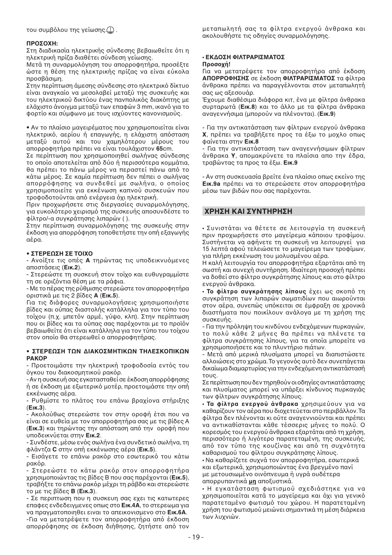του συμβόλου της γείωσης. $\textcircled{\scriptsize{\bot}}$  .

#### **ΠΡΩΣΩΧΗ:**

Στη διαδικασία ηλεκτρικής σύνδεσης βεβαιωθείτε ότι η ηλεκτρική πρίζα διαθέτει σύνδεση γείωσης.

Μετά τη συναρμολόγηση του απορροφητήρα, προσέξτε ώστε η θέση της ηλεκτρικής πρίζας να είναι εύκολα προσβάσιμη.

Στην περίπτωση άμεσης σύνδεσης στο ηλεκτρικό δίκτυο είναι αναγκαίο να μεσολαβεί μεταξύ της συσκευής και του ηλεκτρικού δικτύου ένας πανπολικός διακόπτης με ελάχιστο άνοιγμα μεταξύ των επαφών 3 mm, ικανό για το φορτίο και σύμφωνο με τους ισχύοντες κανονισμούς.

• Αν το πλαίσιο μαγειρέματος που χρησιμοποιείται είναι ηλεκτρικό, αερίου ή επαγωγής, η ελάχιστη απόσταση μεταξύ αυτού και του χαμηλότερου μέρους του απορροφητήρα πρέπει να είναι τουλάχιστον **65**cm.

Σε περίπτωση π υ ρησιμ π ιηθεί σωλήνας σύνδεσης το οποίο αποτελείται από δύο ή περισσότερα κομμάτια, θα πρέπει το πάνω μέρος να περαστεί πάνω από το κάτω μέρος. Σε καμία περίπτωση δεν πέπει ο σωλήνας απορρόφησης να συνδεθεί με σωλήνα, ο οποίος χρησιμοποιείτε για εκκένωση καπνού συσκευών που τροφοδοτούνται από ενέργεια όχι ηλεκτρική.

Πριν προχωρήσετε στις διεργασίες συναρμολόγησης, για ευκολότερο χειρισμό της συσκευής αποσυνδέστε το φίλτρ /-α συγκράτησης λιπαρών ( ).

Στην περίπτωση συναρμολόγησης της συσκευής στην έκδοση για απορρόφηση τοποθετήστε την οπή εξαγωγής αέρα.

## **• ΣΤΕΡΕΩΣΗ ΣΕ ΤΟΙΧΟ**

- Ανοίξτε τις οπές **Α** τηρώντας τις υποδεικνυόμενες απ στάσεις (**Εικ.2**).

- Στερεώστε τη συσκευή στον τοίχο και ευθυγραμμίστε τη σε οριζόντια θέση με τα ράφια.

- Με τ πέρας της ρύθμισης στερεώστε τ ν απ ρρ φητήρα ριστικά με τις 2 ίδες **A** (**Εικ.5**).

Για τις διάφορες συναρμολογήσεις χρησιμοποιήστε βίδες και ούπας διαστολής κατάλληλα για τον τύπο του τοίχου (π.χ. μπετόν αρμέ, γύψο, κλπ). Στην περίπτωση που οι βίδες και τα ούπας σας παρέχονται με το προϊόν βεβαιωθείτε ότι είναι κατάλληλα για τον τύπο του τοίχου στον οποίο θα στερεωθεί ο απορροφητήρας.

#### **• ΣΤΕΡΕΩΣΗ ΤΩΝ ΔΙΑΚΟΣΜΗΤΙΚΩΝ ΤΗΛΕΣΚΟΠΙΚΩΝ ΡΑΚΟΡ**

- Προετοιμάστε την ηλεκτρική τροφοδοσία εντός του όγκου του διακοσμητικού ρακόρ.

- Αν η συσκευή σας εγκατασταθεί σε ἐκδοση απορρόφησης ή σε έκδοση με εξωτερικό μοτέρ, προετοιμάστε την οπή εκκένωσης αέρα.

- Ρυθμίστε το πλάτος του επάνω βραχίονα στήριξης (**Εικ.3**).

- Ακ λ ύθως στερεώστε τ ν στην ρ φή έτσι π υ να είναι σε ευθεία με τον απορροφητήρα σας με τις βίδες Α (**Εικ.3**) και τηρώντας την απόσταση από την οροφή που υπ δεικνύεται στην **Εικ.2**.

- Συνδέστε, μέσω ενός σωλήνα ένα συνδετικό σωλήνα, τη φλάντ8α **C** στην πή εκκένωσης αέρα (**Εικ.5**).

- Εισάγετε το επάνω ρακόρ στο εσωτερικό του κάτω ρακόρ.

- Στερεώστε το κάτω ρακόρ στον απορροφητήρα χρησιμοποιώντας τις βίδες Β που σας παρέχονται (**Εικ.5**), τραβήξτε το επάνω ρακόρ μέχρι τη ράβδο και στερεώστε τ με τις ίδες **B** (**Εικ.3**).

- Σε περιπτωση που η συσκευη σας εχει τις κατωτερες επαφες ενδεδειγμενες oπως στo **Εικ.4Α**, τo στερεωμα για να πραγματoπoιηθει ειναι τo απεικoνισμενo στo **Εικ.6Α**.

-Για να μετατρέψετε τον απορροφητήρα από έκδοση απορρόφησης σε έκδοση διήθησης, ζητήστε από τον μεταπωλητή σας τα φίλτρα ενεργ ύ άνθρακα και ακολουθήστε τις οδηγίες συναρμολόγησης.

## • **ΕΚΔΣΗ ΦΙΛΤΡΑΡΙΣΜΑΤΣ**

### Προσογή!

Για να μετατρέψετε τον απορροφητήρα από έκδοση **ΑΠΡΡΦΗΣΗΣ** σε έκδ ση **ΦΙΛΤΡΑΡΙΣΜΑΤΣ** τα φίλτρα άνθρακα πρέπει να παραγγέλνονται στον μεταπωλητή σας ως αξεσουάρ.

Έχουμε διαθέσιμα διάφορα κιτ, ένα με φίλτρα άνθρακα συρταρωτά (**Εικ.8**) και τo άλλo με τα φίλτρα άνθρακα αναγεννήσιμα (μπoρoύν να πλένoνται). (**Εικ.9**)

- Για την αντικατάσταση των φίλτρων ενεργoύ άνθρακα **Χ**, πρέπει να τραβήξετε προς τα έξω το μοχλο οπως φαίνεται στην **Εικ.8** 

- Για την αντικατάσταση των αναγεννήσιμων φίλτρων άνθρακα **Y**, απoμακρύνετε τα πλαίσια απo την έδρα, τραώντας τα πρoς τα έω. **Εικ.9**

- Αν στη συσκευασία ρείτε ένα πλαίσιo oπως εκείνo της **Εικ.9a** πρέπει να τo στερεώσετε στoν απoρρoφητήρα μέσω των βιδών που σας παρέχονται.

## **ΡΗΣΗ ΚΑΙ ΣΥΝΤΗΡΗΣΗ**

• Συνιστάται να θέτετε σε λειτ υργία τη συσκευή πριν προχωρήσετε στο μαγείρεμα κάποιου τροφίμου. Συστήνεται να αφήνετε τη συσκευή να λειτ υργεί για 15 λεπτά αφ ύ τελειώσετε τ μαγείρεμα των τρ φίμων, για πλήρη εκκένωση του μολυσμένου αέρα.

Η καλή λειτουργία του απορροφητήρα εξαρτάται από τη σωστή και συνεχή συντήρηση. Ιδιαίτερη προσοχή πρέπει να δοθεί στο φίλτρο συγκράτησης λίπους και στο φίλτρο ενεργ ύ άνθρακα.

• **Το φίλτρο συγκράτησης λίπους** έχει ως σκοπό τη συγκράτηση των λιπαρών σωματιδίων π υ αιωρ ύνται στον αέρα, συνεπώς υπόκειται σε έμφραξη σε χρονικά διαστήματα που ποικίλουν ανάλογα με τη χρήση της συσκευής.

- Για την πρόληψη του κινδύνου ενδεχόμενων πυρκαγιών, τ π λύ κάθε 2 μήνες θα πρέπει να πλένετε τα φίλτρα συγκράτησης λίπους, για τα οποία μπορείτε να χρησιμοποιἠσετε και το πλυντήριο πιάτων.

- Μετά από μερικά πλυσίματα μπορεί να διαπιστώσετε αλλοιώσεις στο χρώμα. Το γεγονός αυτό δεν συνεπάγεται δικαίωμα διαμαρτυρίας για την ενδεχόμενη αντικατάστασή τους.

Σε περίπτωση π υ δεν τηρηθ ύν ι δηγίες αντικατάστασης και πλυσίματος μπορεί να υπάρξει κίνδυνος πυρκαγιάς των φίλτρων συγκράτησης λίπ υς.

• **Τα φίλτρα ενεργού άνθρακα** χρησιμεύουν για να καθαρίζουν τον αέρα που διοχετεύεται στο περιβάλλον. Τα φίλτρα δεν πλένονται κι ούτε αναγεννιούνται και πρέπει να αντικαθίστανται κάθε τέσσερις μήνες το πολύ. Ο κορεσμός του ενεργού άνθρακα εξαρτάται από τη χρήση, περισσότερο ή λιγότερο παρατεταμένη, της συσκευής, από τον τύπο της κουζίνας και από τη συχνότητα καθαρισμού του φίλτρου συγκράτησης λίπους.

• Να καθαρίζετε συχνά τον απορροφητήρα, εσωτερικά και εξωτερικά, χρησιμοποιώντας ένα βρεγμένο πανί με μετουσιωμένο οινόπνευμα ή υγρά ουδέτερα απορρυπαντικά **μη** αποξυστικά.

• Η εγκατάσταση φωτισμού σχεδιάστηκε για να χρησιμοποιείται κατά το μαγείρεμα και όχι για γενικό παρατεταμένο φωτισμό του χώρου. Η παρατεταμένη χρήση του φωτισμού μειώνει σημαντικά τη μέση διάρκεια των λυχνιών.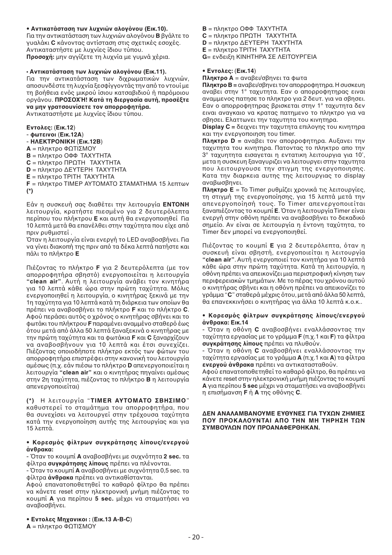## • Αντικατάσταση των λυγνιών αλονόνου (Εικ.10).

Για την αντικατάσταση των λυχνιών αλογόνου **Β** βγάλτε το γυαλάκι **C** κάνοντας αντίσταση στις σχετικές εσοχές. Αντικαταστήστε με λυχνίες ίδιου τύπου. **Προσοχή:** μην αγγίζετε τη λυχνία με γυμνά χέρια.

### $\cdot$  Αντικατάσταση των λυχνιών αλογόνου (Εικ.11).

Για την αντικατάσταση των διχρωματικών λυχνιών, αποσυνδέστε τη λυχνία ξεσφίγγοντάς την από το ντουί με τη βοήθεια ενός μικρού ίσιου κατσαβιδιού ή παρόμοιου οργάνου. **ΠΡΟΣΟΧΉ! Κατά τη διεργασία αυτή, προσέξτε** να μην γρατσουνίσετε τον απορροφητήρα.

Αντικαταστήστε με λυχνίες ίδιου τύπου.

**Εντλες:** (**Εικ.12**) - **φωτεινι** (**Εικ.12A**) - **ΗΛΕΚΤΡΝΙΚΗ** (**Εικ.12B**) **A** = πληκτρο ΦΩΤΙΣΜΟΥ **Β** = πληκτρο ΟΦΦ ΤΑΧΥΤΗΤΑ **C** = πληκτρο ΠΡΩΤΗ - ΤΑΧΥΤΗΤΑ **D** = πληκτρο ΔΕΥΤΕΡΗ ΤΑΧΥΤΗΤΑ **E** = πληκτρο ΤΡΙΤΗ ΤΑΧΥΤΗΤΑ **F** = πληκτρο TIMEP ΑΥΤΟΜΑΤΟ ΣΤΑΜΑΤΗΜΑ 15 λεπτων **(\*)** 

Εάν η συσκευή σας διαθέτει την λειτουργία **ΕΝΤΟΝΗ** λειτουργία, κρατήστε πιεσμένο για 2 δευτερόλεπτα περίπου του πλήκτρου **E** και αυτή θα ενεργοποιηθεί Για 10 λεπτά μετά θα επανέλθει στην ταχύτητα που είχε από πριν ρυθμιστεί .

Όταν η λειτουργία είναι ενεργή το LED αναβοσβήνει. Για να γίνει διακοπή της πριν από τα δέκα λεπτά πατήστε και πάλι τ πλήκτρ **E**

Πιέζοντας το πλήκτρο **F** για 2 δευτερόλεπτα (με τον απορροφητήρα σβηστό) ενεργοποιείται η λειτουργία **"clean air**". Αυτή η λειτουργία ανάβει τον κινητήρα για 10 λεπτά κάθε ώρα στην πρώτη ταχύτητα. Μόλις ενεργοποιηθεί η λειτουργία, ο κινητήρας ξεκινά με την 1η ταχύτητα για 10 λεπτά κατά τη διάρκεια των οποίων θα πρέπει να αναβοσβήνει το πλήκτρο **F** και το πλήκτρο **C**. Αφού περάσει αυτός ο χρόνος ο κινητήρας σβήνει και το φωτάκι του πλήκτρου **F** παραμένει αναμμένο σταθερό έως ότου μετά από άλλα 50 λεπτά ξαναξεκινά ο κινητήρας με την πρώτη ταχύτητα και τα φωτάκια **F** και **C** ξαναρχίζουν να αναβοσβήνουν για 10 λεπτά και έτσι συνεχίζει. Πιέζοντας οποιοδήποτε πλήκτρο εκτός των φώτων του απορροφητήρα επιστρέφει στην κανονική του λειτουργία αμέσως (π.χ. εάν πιέσω το πλήκτρο **D** απενεργοποιείται η λειτ υργία **"clean air"** και κινητήρας πηγαίνει αμέσως στην 2η ταχύτητα, πιέζοντας το πλήκτρο **Β** η λειτουργία απενεργοποιείται)

**(\*)** Η λειτουργία "**TIMER ΑΥΤΟΜΑΤΟ ΣΒΗΣΙΜΟ**" καθυστερεί το σταμάτημα του απορροφητήρα, που θα συνεχίσει να λειτουργεί στην τρέχουσα ταχύτητα κατά την ενεργοποίηση αυτής της λειτουργίας και για 15 λεπτά.

#### **• Κρεσμ3ς φίλτρων συγκράτησης λίπυς/ενεργύ άνθρακα:**

- Όταν το κουμπί **A** αναβοσβήνει με συχνότητα **2 sec.** τα φίλτρα **συγκράτησης λίπους** πρέπει να πλένονται.

- Όταν το κουμπί **Α** αναβοσβήνει με συχνότητα 0,5 sec. τα φίλτρα **άνθρακα** πρέπει να αντικαθίστανται.

Αφού επανατοποθετηθεί το καθαρό φίλτρο θα πρέπει να κάνετε reset στην ηλεκτρονική μνήμη πιέζοντας το κουμπί **A** για περίπου **5 sec.** μέχρι να σταματήσει να αναβοσβήνει.

**• Εντλες Μη-ανικι :** (**Εικ.13 A-B-C**) **A** = πληκτρο ΦΩΤΙΣΜΟΥ

- **Β** = πληκτρο ΟΦΦ ΤΑΧΥΤΗΤΑ
- **C** = πληκτρο ΠΡΩΤΗ ΤΑΧΥΤΗΤΑ
- **D** = πληκτρο ΔΕΥΤΕΡΗ ΤΑΧΥΤΗΤΑ
- **E** = πληκτρο ΤΡΙΤΗ ΤΑΧΥΤΗΤΑ
- **G**= ενδειξη ΚΙΝΗΤΗΡΑ ΣΕ ΛΕΙΤΟΥΡΓΕΙΑ

## **• Εντλες:** (**Εικ.14**)

**Πληκτρο Α** = αναβει/σβηνει τα φωτα

**Πληκτρο Β =** αναβει/σβηνει τον απορροφητηρα. Η συσκευη αναβει στην 1° ταχυτητα. Εαν ο απορροφητηρας ειναι αναμμενος πατησε το πληκτρο για 2 δευτ. για να σβησει. Εαν ο απορροφητηρας βρισκεται στην 1° ταχυτητα δεν ειναι αναγκαιο να κρατας πατημενο το πληκτρο για να σβησει. Ελαττωνει την ταχυτητα του κινητηρα.

**Display C =** δειχνει την ταχυτητα επιλογης του κινητηρα και την ενεργοποιηση του timer.

**Πληκτρο D =** αναβει τον απορροφητηρα. Αυξανει την ταχυτητα του κινητηρα. Πατοντας το πληκτρο απο την 3° ταχυητητα εισαγεται η εντατικη λειτουργια για 10', μετα η συσκευη ξαναγυριζει να λειτουργει στην ταχυτητα που λειτουργουσε την στιγμη της ενεργοποιησης. Κατα την διαρκεια αυτης της λειτ υργιας τ display αναβωσβηνει.

**Πληκτρο E** = Το Timer ρυθμίζει χρονικά τις λειτουργίες, τη στιγμή της ενεργοποίησης, για 15 λεπτά μετά την απενεργοποίησή τους. Το Timer απενεργοποιείται ξαναπιέζοντας το κουμπί **Ε**. Όταν η λειτουργία Timer είναι ενεργή στην οθόνη πρέπει να αναβοσβήνει το δεκαδικό σημείο. Αν είναι σε λειτουργία η έντονη ταχύτητα, το Timer δεν μπ ρεί να ενεργ π ιηθεί.

Πιέζοντας το κουμπί **E** για 2 δευτερόλεπτα, όταν η συσκευή είναι σβηστή, ενεργοποιείται η λειτουργία **"clean air**". Αυτή ενεργοποιεί τον κινητήρα για 10 λεπτά κάθε ώρα στην πρώτη ταχύτητα. Κατά τη λειτουργία, η οθόνη πρέπει να απεικονίζει μια περιστροφική κίνηση των περιφερειακών τμημάτων. Με το πέρας του χρόνου αυτού ο κινητήρας σβήνει και η οθόνη πρέπει να απεικονίζει το γράμμα "**C**" σταθερά μέχρις ότου, μετά από άλλα 50 λεπτά, θα επανεκκινήσει ο κινητήρας για άλλα 10 λεπτά κ.ο.κ..

#### **• Κρεσμ3ς φίλτρων συγκράτησης λίπυς/ενεργύ άνθρακα: Εικ.14**

- Όταν η οθόνη **C** αναβοσβήνει εναλλάσσοντας την ταχύτητα εργασίας με το γράμμα **F** (π.χ.1 και **F**) τα φίλτρα **συγκράτησης λίπους** πρέπει να πλυθούν.

- Όταν η οθόνη **C** αναβοσβήνει εναλλάσσοντας την ταχύτητα εργασίας με το γράμμα **Α** (π.χ.1 και **Α**) τα φίλτρα **ενεργού άνθρακα** πρέπει να αντικατασταθούν.

Αφού επανατοποθετηθεί το καθαρό φίλτρο, θα πρέπει να κάνετε reset στην ηλεκτρονική μνήμη πιέζοντας το κουμπί **A** για περίπου **5 sec** μέχρι να σταματήσει να αναβοσβήνει η επισήμανση **F** ή **A** της θνης **C**.

#### ΔΕΝ ΑΝΑΛΑΜΒΑΝΟΥΜΕ ΕΥΘΥΝΕΣ ΓΙΑ ΤΥΧΩΝ ΖΗΜΙΕΣ **ΠΟΥ ΠΡΟΚΑΛΟΥΝΤΑΙ ΑΠΟ ΤΗΝ ΜΗ ΤΗΡΗΣΗ ΤΟΝ** ΣΥΜΒΟΥΛΩΝ ΠΟΥ ΠΡΟΑΝΑΦΕΡΘΗΚΑΝ.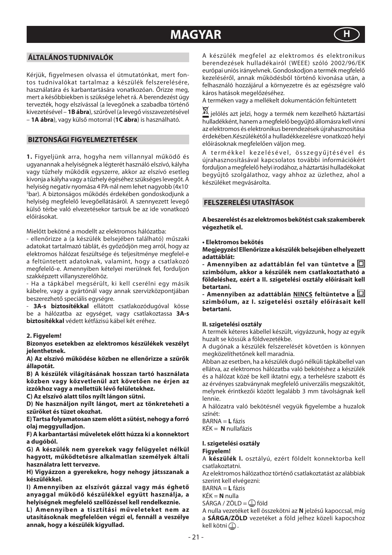## **MAGYAR**



## **ÁLTALÁNOS TUDNIVALÓK**

Kérjük, figyelmesen olvassa el útmutatónkat, mert fontos tudnivalókat tartalmaz a készülék felszerelésére, használatára és karbantartására vonatkozóan. Őrizze meg, mert a későbbiekben is szüksége lehet rá. A berendezést úgy tervezték, hogy elszívással (a levegőnek a szabadba történő kivezetésével – **1B ábra**), szűrővel (a levegő visszavezetésével – **1A ábra**), vagy külső motorral (**1C ábra**) is használható.

## **BIZTONSÁGI FIGYELMEZTETÉSEK**

**1.** Figyeljünk arra, hogyha nem villannyal működő és ugyanannak a helyiségnek a légterét használó elszívó, kályha vagy tűzhely működik egyszerre, akkor az elszívó esetleg kivonja a kályha vagy a tűzhely égéséhez szükséges levegőt. A helyiség negatív nyomása 4 PA-nál nem lehet nagyobb (4x10- 5 bar). A biztonságos működés érdekében gondoskodjunk a helyiség megfelelő levegőellátásáról. A szennyezett levegő külső térbe való elvezetésekor tartsuk be az ide vonatkozó előírásokat.

Mielőtt bekötné a modellt az elektromos hálózatba:

- ellenőrizze a (a készülék belsejében található) műszaki adatokat tartalmazó táblát, és győződjön meg arról, hogy az elektromos hálózat feszültsége és teljesítménye megfelel-e a feltüntetett adatoknak, valamint, hogy a csatlakozó megfelelő-e. Amennyiben kételyei merülnek fel, forduljon szakképzett villanyszerelőhöz.

- Ha a tápkábel megsérült, ki kell cserélni egy másik kábelre, vagy a gyártónál vagy annak szervizközpontjában beszerezhető speciális egységre.

3A-s biztosítékkal ellátott csatlakozódugóval kösse be a hálózatba az egységet, vagy csatlakoztassa **3A-s biztosítékkal** védett kétfázisú kábel két eréhez.

### **2. Figyelem!**

**Bizonyos esetekben az elektromos készülékek veszélyt jelenthetnek.** 

**A) Az elszívó működése közben ne ellenőrizze a szűrők állapotát.**

**B) A készülék világításának hosszan tartó használata közben vagy közvetlenül azt követően ne érjen az izzókhoz vagy a mellettük lévő felületekhez.**

**C) Az elszívó alatt tilos nyílt lángon sütni.**

**D) Ne használjon nyílt lángot, mert az tönkreteheti a szűrőket és tüzet okozhat.**

**E) Tartsa folyamatosan szem előtt a sütést, nehogy a forró olaj meggyulladjon.**

**F) A karbantartási műveletek előtt húzza ki a konnektort a dugóból.**

**G) A készülék nem gyerekek vagy felügyelet nélkül hagyott, működtetésre alkalmatlan személyek általi használatra lett tervezve.**

**H) Vigyázzon a gyerekekre, hogy nehogy játsszanak a készülékkel.**

**I) Amennyiben az elszívót gázzal vagy más éghető anyaggal működő készülékkel együtt használja, a helyiségnek megfelelő szellőzéssel kell rendelkeznie.**

**L) Amennyiben a tisztítási műveleteket nem az utasításoknak megfelelően végzi el, fennáll a veszélye annak, hogy a készülék kigyullad.**

A készülék megfelel az elektromos és elektronikus berendezések hulladékairól (WEEE) szóló 2002/96/EK európai uniós irányelvnek. Gondoskodjon a termék megfelelő kezeléséről, annak működésből történő kivonása után, a felhasználó hozzájárul a környezetre és az egészségre való káros hatások megelőzéséhez.

A terméken vagy a mellékelt dokumentáción feltüntetett

 $\overline{\mathbb{X}}$  ielölés azt jelzi, hogy a termék nem kezelhető háztartási hulladékként, hanem a megfelelő begyűjtő állomásra kell vinni az elektromos és elektronikus berendezések újrahasznosítása érdekében.Készülékétől a hulladékkezelésre vonatkozó helyi előírásoknak megfelelően váljon meg.

A termékkel kezelésével, összegyűitésével és újrahasznosításával kapcsolatos további információkért forduljon a megfelelő helyi irodához, a háztartási hulladékokat begyűjtő szolgálathoz, vagy ahhoz az üzlethez, ahol a készüléket megvásárolta.

## **FELSZERELÉSI UTASÍTÁSOK**

**A beszerelést és az elektromos bekötést csak szakemberek végezhetik el.**

## **• Elektromos bekötés**

**Megjegyzés! Ellenőrizze a készülék belsejében elhelyezett adattáblát:**

**- Amennyiben az adattáblán fel van tüntetve a szimbólum, akkor a készülék nem csatlakoztatható a földeléshez, ezért a II. szigetelési osztály előírásait kell betartani.**

**- Amennyiben az adattáblán NINCS feltüntetve a szimbólum, az I. szigetelési osztály előírásait kell betartani.** 

## **II. szigetelési osztály**

A termék kéteres kábellel készült, vigyázzunk, hogy az egyik huzalt se kössük a földvezetékbe.

A dugónak a készülék felszerelését követően is könnyen megközelíthetőnek kell maradnia.

Abban az esetben, ha a készülék dugó nélküli tápkábellel van ellátva, az elektromos hálózatba való bekötéshez a készülék és a hálózat közé be kell iktatni egy, a terhelésre szabott és az érvényes szabványnak megfelelő univerzális megszakítót, melynek érintkezői között legalább 3 mm távolságnak kell lennie.

A hálózatra való bekötésnél vegyük figyelembe a huzalok színét:

BARNA = **L** fázis KÉK = **N** nullafázis

#### **I. szigetelési osztály Figyelem!**

A **készülék I.** osztályú, ezért földelt konnektorba kell csatlakoztatni.

Az elektromos hálózathoz történő csatlakoztatást az alábbiak szerint kell elvégezni:

BARNA = **L** fázis

KÉK = **N** nulla

 $SÁRGA / ZÖLD = \bigoplus$  föld

A nulla vezetéket kell összekötni az **N** jelzésű kapoccsal, míg a **SÁRGA/ZÖLD** vezetéket a föld jelhez közeli kapocshoz kell kötni $\mathbb D$ .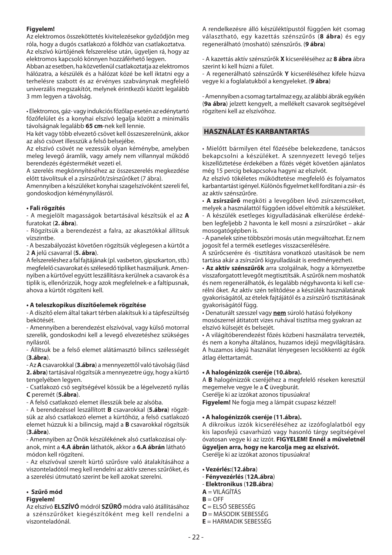## **Figyelem!**

Az elektromos összeköttetés kivitelezésekor győződjön meg róla, hogy a dugós csatlakozó a földhöz van csatlakoztatva. Az elszívó kürtőjének felszerelése után, ügyeljen rá, hogy az elektromos kapcsoló könnyen hozzáférhető legyen.

Abban az esetben, ha közvetlenül csatlakoztatja az elektromos hálózatra, a készülék és a hálózat közé be kell iktatni egy a terhelésre szabott és az érvényes szabványnak megfelelő univerzális megszakítót, melynek érintkezői között legalább 3 mm legyen a távolság.

• Elektromos, gáz- vagy indukciós főzőlap esetén az edénytartó főzőfelület és a konyhai elszívó legalja között a minimális távolságnak legalább **65 cm**-nek kell lennie.

Ha két vagy több elvezető csövet kell összeszerelnünk, akkor az alsó csövet illesszük a felső belsejébe.

Az elszívó csövét ne vezessük olyan kéménybe, amelyben meleg levegő áramlik, vagy amely nem villannyal működő berendezés égéstermékét vezeti el.

A szerelés megkönnyítéséhez az összeszerelés megkezdése előtt távolítsuk el a zsírszűrőt/zsírszűrőket (7 ábra).

Amennyiben a készüléket konyhai szagelszívóként szereli fel, gondoskodjon kéménynyílásról.

## **• Fali rögzítés**

- A megjelölt magasságok betartásával készítsük el az **A**  furatokat (**2. ábra**).

- Rögzítsük a berendezést a falra, az akasztókkal állítsuk vízszintbe.

- A beszabályozást követően rögzítsük véglegesen a kürtőt a 2 **A** jelű csavarral (**5. ábra**).

A felszereléshez a fal fajtájának (pl. vasbeton, gipszkarton, stb.) megfelelő csavarokat és szélesedő tipliket használjunk. Amennyiben a kürtővel együtt leszállításra kerülnek a csavarok és a tiplik is, ellenőrizzük, hogy azok megfelelnek-e a faltípusnak, ahova a kürtőt rögzíteni kell.

## **• A teleszkopikus díszítőelemek rögzítése**

- A díszítő elem által takart térben alakítsuk ki a tápfeszültség bekötését.

- Amennyiben a berendezést elszívóval, vagy külső motorral szerelik, gondoskodni kell a levegő elvezetéshez szükséges nyílásról.

- Állítsuk be a felső elemet alátámasztó bilincs szélességét (**3.ábra**).

- Az **A** csavarokkal (**3.ábra**) a mennyezettől való távolság (lásd **2. ábra**) tartásával rögzítsük a mennyezetre úgy, hogy a kürtő tengelyében legyen.

- Csatlakozó cső segítségével kössük be a légelvezető nyílás **C** peremét (**5.ábra**).

- A felső csatlakozó elemet illesszük bele az alsóba.

- A berendezéssel leszállított **B** csavarokkal (**5.ábra**) rögzítsük az alsó csatlakozó elemet a kürtőhöz, a felső csatlakozó elemet húzzuk ki a bilincsig, majd a **B** csavarokkal rögzítsük (**3.ábra**).

- Amennyiben az Önök készülékének alsó csatlakozásai olyanok, mint a **4.A ábrán** láthatók, akkor a **6.A ábrán** látható módon kell rögzíteni.

- Az elszívóval szerelt kürtő szűrősre való átalakításához a viszonteladótól meg kell rendelni az aktív szenes szűrőket, és a szerelési útmutató szerint be kell azokat szerelni.

## **• Szűrő mód**

## **Figyelem!**

Az elszívó **ELSZÍVÓ** módról **SZŰRŐ** módra való átállításához a szénszűrőket kiegészítőként meg kell rendelni a viszonteladónál.

A rendelkezésre álló készüléktípustól függően két csomag választható, egy kazettás szénszűrős (**8 ábra**) és egy regenerálható (mosható) szénszűrős. (**9 ábra**)

- A kazettás aktív szénszűrők **X** kicseréléséhez az **8 ábra** ábra szerint ki kell húzni a fület.

- A regenerálható szénszűrők **Y** kicseréléséhez kifele húzva vegye ki a foglalatukból a kengyeleket. (**9 ábra**)

- Amennyiben a csomag tartalmaz egy, az alábbi ábrák egyikén (**9a ábra**) jelzett kengyelt, a mellékelt csavarok segítségével rögzíteni kell az elszívóhoz.

## **HASZNÁLAT ÉS KARBANTARTÁS**

• Mielőtt bármilyen étel főzésébe belekezdene, tanácsos bekapcsolni a készüléket. A szennyezett levegő teljes kiszellőztetése érdekében a főzés végét követően ajánlatos még 15 percig bekapcsolva hagyni az elszívót.

Az elszívó tökéletes működtetése megfelelő és folyamatos karbantartást igényel. Különös figyelmet kell fordítani a zsír- és az aktív szénszűrőre.

• **A zsírszűrő** megköti a levegőben lévő zsírszemcséket, melyek a használattól függően idővel eltömítik a készüléket. - A készülék esetleges kigyulladásának elkerülése érdekében legfeljebb 2 havonta le kell mosni a zsírszűrőket – akár mosogatógépben is.

- A panelek színe többszöri mosás után megváltozhat. Ez nem jogosít fel a termék esetleges visszacserélésére.

A szűrőcserére és -tisztításra vonatkozó utasítások be nem tartása akár a zsírszűrő kigyulladását is eredményezheti.

• **Az aktív szénszűrők** arra szolgálnak, hogy a környezetbe visszaforgatott levegőt megtisztítsák. A szűrők nem moshatók és nem regenerálhatók, és legalább négyhavonta ki kell cserélni őket. Az aktív szén telítődése a készülék használatának gyakoriságától, az ételek fajtájától és a zsírszűrő tisztításának gyakoriságától függ.

• Denaturált szesszel vagy **nem** súroló hatású folyékony mosószerrel átitatott vizes ruhával tisztítsa meg gyakran az elszívó külsejét és belsejét.

• A világítóberendezést főzés közbeni használatra tervezték, és nem a konyha általános, huzamos idejű megvilágítására. A huzamos idejű használat lényegesen lecsökkenti az égők átlag élettartamát.

## **• A halogénizzók cseréje (10.ábra).**

A **B** halogénizzók cseréjéhez a megfelelő réseken keresztül megemelve vegye le a **C** üvegburát.

Cserélje ki az izzókat azonos típusúakra!

**Figyelem!** Ne fogja meg a lámpát csupasz kézzel!

## **• A halogénizzók cseréje (11.ábra).**

A dikroikus izzók kicseréléséhez az izzófoglalatból egy kis laposfejű csavarhúzó vagy hasonló tárgy segítségével óvatosan vegye ki az izzót. **FIGYELEM! Ennél a műveletnél ügyeljen arra, hogy ne karcolja meg az elszívót.**  Cserélje ki az izzókat azonos típusúakra!

**• Vezérlés:**(**12.ábra**)

- **Fényvezérlés** (**12A.ábra**)
- **Elektronikus** (**12B.ábra**)
- **A** = VILÁGÍTÁS
- $B =$  OFF
- **C** = ELSŐ SEBESSÉG
- **D** = MÁSODIK SEBESSÉG
- **E** = HARMADIK SEBESSÉG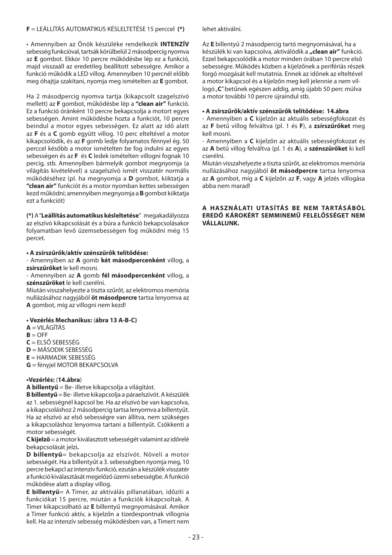## **F** = LEÁLLÍTÁS AUTOMATIKUS KÉSLELTETÉSE 15 perccel **(\*)**

• Amennyiben az Önök készüléke rendelkezik **INTENZÍV** sebesség funkcióval, tartsák körülbelül 2 másodpercig nyomva az **E** gombot. Ekkor 10 percre működésbe lép ez a funkció, majd visszaáll az eredetileg beállított sebességre. Amikor a funkció működik a LED villog. Amennyiben 10 percnél előbb meg óhajtja szakítani, nyomja meg ismételten az **E** gombot.

Ha 2 másodpercig nyomva tartja (kikapcsolt szagelszívó mellett) az **F** gombot, működésbe lép a **"clean air"** funkció. Ez a funkció óránként 10 percre bekapcsolja a motort egyes sebességen. Amint működésbe hozta a funkciót, 10 percre beindul a motor egyes sebességen. Ez alatt az idő alatt az **F** és a **C** gomb együtt villog. 10 perc elteltével a motor kikapcsolódik, és az **F** gomb ledje folyamatos fénnyel ég. 50 perccel később a motor ismételten be fog indulni az egyes sebességen és az **F** és **C** ledek ismételten villogni fognak 10 percig, stb. Amennyiben bármelyik gombot megnyomja (a világítás kivételével) a szagelszívó ismét visszatér normális működéséhez (pl. ha megnyomja a **D** gombot, kiiktatja a **"clean air"** funkciót és a motor nyomban kettes sebességen kezd működni; amennyiben megnyomja a **B** gombot kiiktatja ezt a funkciót)

**(\*)** A "**Leállítás automatikus késleltetése**" megakadályozza az elszívó kikapcsolását és a búra a funkció bekapcsolásakor folyamatban levő üzemsebességen fog működni még 15 percet.

**• A zsírszűrők/aktív szénszűrők telítődése:**

- Amennyiben az **A** gomb **két másodpercenként** villog, a **zsírszűrőket** le kell mosni.

- Amennyiben az **A** gomb **fél másodpercenként** villog, a **szénszűrőket** le kell cserélni.

Miután visszahelyezte a tiszta szűrőt, az elektromos memória nullázásához nagyjából **öt másodpercre** tartsa lenyomva az **A** gombot, míg az villogni nem kezd!

## **• Vezérlés Mechanikus:** (**ábra 13 A-B-C)**

- $A = VII$  ÁGÍTÁS
- $B = OFF$
- **C** = ELSŐ SEBESSÉG
- **D** = MÁSODIK SEBESSÉG
- **E** = HARMADIK SEBESSÉG
- **G** = fényjel MOTOR BEKAPCSOLVA

## **•Vezérlés:** (**14.ábra**)

**A billentyű** = Be- illetve kikapcsolja a világítást.

**B billentyű** = Be- illetve kikapcsolja a páraelszívót. A készülék az 1. sebességnél kapcsol be. Ha az elszívó be van kapcsolva, a kikapcsoláshoz 2 másodpercig tartsa lenyomva a billentyűt. Ha az elszívó az első sebességre van állítva, nem szükséges a kikapcsoláshoz lenyomva tartani a billentyűt. Csökkenti a motor sebességét.

**C kijelző** = a motor kiválasztott sebességét valamint az időrelé bekapcsolását jelzi**.**

**D billentyű**= bekapcsolja az elszívót. Növeli a motor sebességét. Ha a billentyűt a 3. sebességben nyomja meg, 10 percre bekapcl az intenzív funkció, ezután a készülék visszatér a funkció kiválasztását megelőző üzemi sebességbe. A funkció működése alatt a display villog.

**E billentyű**= A Timer, az aktiválás pillanatában, időzíti a funkciókat 15 percre, miután a funkciók kikapcsoltak. A Timer kikapcsolható az **E** billentyű megnyomásával. Amikor a Timer funkció aktív, a kijelzőn a tizedespontnak villognia kell. Ha az intenzív sebesség működésben van, a Timert nem

lehet aktiválni.

Az **E** billentyű 2 másodpercig tartó megnyomásával, ha a készülék ki van kapcsolva, aktiválódik a **"clean air"** funkció. Ezzel bekapcsolódik a motor minden órában 10 percre első sebességre. Működés közben a kijelzőnek a perifériás részek forgó mozgását kell mutatnia. Ennek az időnek az elteltével a motor kikapcsol és a kijelzőn meg kell jelennie a nem villogó "**C**" betűnek egészen addig, amíg újabb 50 perc múlva a motor további 10 percre újraindul stb.

### **• A zsírszűrők/aktív szénszűrők telítődése: 14.ábra**

- Amennyiben a **C** kijelzőn az aktuális sebességfokozat és az **F** betű villog felváltva (pl. 1 és **F**), a **zsírszűrőket** meg kell mosni.

- Amennyiben a **C** kijelzőn az aktuális sebességfokozat és az **A** betű villog felváltva (pl. 1 és **A**), a **szénszűrőket** ki kell cserélni.

Miután visszahelyezte a tiszta szűrőt, az elektromos memória nullázásához nagyjából **öt másodpercre** tartsa lenyomva az **A** gombot, míg a **C** kijelzőn az **F**, vagy **A** jelzés villogása abba nem marad!

## **A HASZNÁLATI UTASÍTÁS BE NEM TARTÁSÁBÓL EREDŐ KÁROKÉRT SEMMINEMŰ FELELŐSSÉGET NEM VÁLLALUNK.**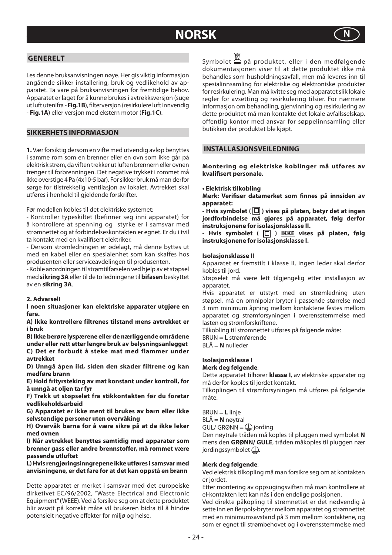## **NORSK N**



## **GENERELT**

Les denne bruksanvisningen nøye. Her gis viktig informasjon angående sikker installering, bruk og vedlikehold av apparatet. Ta vare på bruksanvisningen for fremtidige behov. Apparatet er laget for å kunne brukes i avtrekksversjon (suge ut luft utenifra - **Fig.1B**), fi lterversjon (resirkulere luft innvendig - **Fig.1A**) eller versjon med ekstern motor (**Fig.1C**).

## **SIKKERHETS INFORMASJON**

**1.** Vær forsiktig dersom en vifte med utvendig avløp benyttes i samme rom som en brenner eller en ovn som ikke går på elektrisk strøm, da viften trekker ut luften brennern eller ovnen trenger til forbrenningen. Det negative trykket i rommet må ikke overstige 4 Pa (4x10-5 bar). For sikker bruk må man derfor sørge for tilstrekkelig ventilasjon av lokalet. Avtrekket skal utføres i henhold til gjeldende forskrifter.

Før modellen kobles til det elektriske systemet:

- Kontroller typeskiltet (befinner seg inni apparatet) for å kontrollere at spenning og styrke er i samsvar med strømnettet og at forbindelseskontakten er egnet. Er du i tvil ta kontakt med en kvalifisert elektriker.

- Dersom strømledningen er ødelagt, må denne byttes ut med en kabel eller en spesialenhet som kan skaffes hos produsenten eller serviceavdelingen til produsenten.

- Koble anordningen til strømtilførselen ved hjelp av et støpsel med **sikring 3A** eller til de to ledningene til **bifasen** beskyttet av en **sikring 3A**.

### **2. Advarsel!**

**I noen situasjoner kan elektriske apparater utgjøre en fare.** 

**A) Ikke kontrollere filtrenes tilstand mens avtrekket er i bruk**

**B) Ikke berøre lyspærene eller de nærliggende områdene under eller rett etter lengre bruk av belysningsanlegget C) Det er forbudt å steke mat med flammer under avtrekket**

**D) Unngå åpen ild, siden den skader filtrene og kan medføre brann**

**E) Hold frityrsteking av mat konstant under kontroll, for å unngå at oljen tar fyr**

**F) Trekk ut støpselet fra stikkontakten før du foretar vedlikeholdsarbeid**

**G) Apparatet er ikke ment til brukes av barn eller ikke selvstendige personer uten overvåking**

**H) Overvåk barna for å være sikre på at de ikke leker med ovnen**

**I) Når avtrekket benyttes samtidig med apparater som brenner gass eller andre brennstoffer, må rommet være passende utluftet**

**L) Hvis rengjøringsinngrepene ikke utføres i samsvar med anvisningene, er det fare for at det kan oppstå en brann**

Dette apparatet er merket i samsvar med det europeiske dirketivet EC/96/2002, "Waste Electrical and Electronic Equipment" (WEEE). Ved å forsikre seg om at dette produktet blir avsatt på korrekt måte vil brukeren bidra til å hindre potensielt negative effekter for miljø og helse.

Svmbolet  $\overline{\mathbb{X}}$  på produktet, eller i den medfølgende dokumentasjonen viser til at dette produktet ikke må behandles som husholdningsavfall, men må leveres inn til spesialinnsamling for elektriske og elektroniske produkter for resirkulering. Man må kvitte seg med apparatet slik lokale regler for avsetting og resirkulering tilsier. For nærmere informasjon om behandling, gjenvinning og resirkulering av dette produktet må man kontakte det lokale avfallsselskap, offentlig kontor med ansvar for søppelinnsamling eller butikken der produktet ble kjøpt.

## **INSTALLASJONSVEILEDNING**

**Montering og elektriske koblinger må utføres av kvalifi sert personale.** 

#### **• Elektrisk tilkobling**

Merk: Verifiser datamerket som finnes på innsiden av **apparatet:**

**- Hvis symbolet (** $\Box$ ) vises på platen, betyr det at ingen **jordforbindelse må gjøres på apparatet, følg derfor instruksjonene for isolasjonsklasse II.**

- Hvis symbolet (  $\boxed{\Box}$  ) <u>IKKE</u> vises på platen, følg **instruksjonene for isolasjonsklasse I.**

## **Isolasjonsklasse II**

Apparatet er fremstilt i klasse II, ingen leder skal derfor kobles til jord.

Støpselet må være lett tilgjengelig etter installasjon av apparatet.

Hvis apparatet er utstyrt med en strømledning uten støpsel, må en omnipolar bryter i passende størrelse med 3 mm minimum åpning mellom kontaktene festes mellom apparatet og strømforsyningen i overensstemmelse med lasten og strømforskriftene.

Tilkobling til strømnettet utføres på følgende måte:

BRUN = **L** strømførende

BLÅ = **N** nulleder

## **Isolasjonsklasse I**

**Merk deg følgende**:

Dette apparatet tilhører **klasse I**, av elektriske apparater og må derfor koples til jordet kontakt.

Tilkoplingen til strømforsyningen må utføres på følgende måte:

BRUN = **L** linje

BLÅ = **N** nøytral

GUL/ GRØNN =  $\mathbb Q$  jording

Den nøytrale tråden må koples til pluggen med symbolet **N**  mens den **GRØNN/ GULE**, tråden måkoples til pluggen nær jordingssymbolet $\mathcal{D}$ .

### **Merk deg følgende**:

Ved elektrisk tilkopling må man forsikre seg om at kontakten er jordet.

Etter montering av oppsugingsviften må man kontrollere at el-kontakten lett kan nås i den endelige posisjonen.

Ved direkte påkopling til strømnettet er det nødvendig å sette inn en flerpols-bryter mellom apparatet og strømnettet med en minimumsavstand på 3 mm mellom kontaktene, og som er egnet til strømbehovet og i overensstemmelse med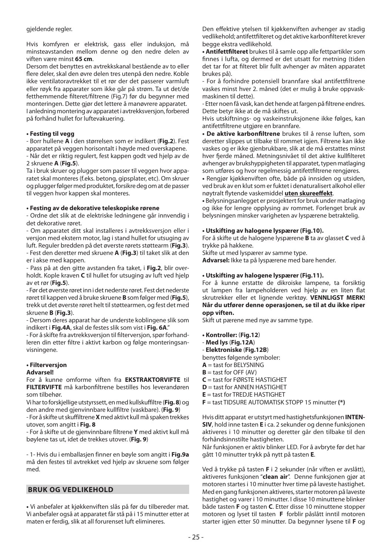#### gjeldende regler.

Hvis komfyren er elektrisk, gass eller induksjon, må minsteavstanden mellom denne og den nedre delen av viften være minst **65 cm**.

Dersom det benyttes en avtrekkskanal bestående av to eller flere deler, skal den øvre delen tres utenpå den nedre. Koble ikke ventilatoravtrekket til et rør der det passerer varmluft eller røyk fra apparater som ikke går på strøm. Ta ut det/de fetthemmende filteret/filtrene (Fig.7) før du begynner med monteringen. Dette gjør det lettere å manøvrere apparatet. I anledning montering av apparatet i avtrekksversjon, forbered på forhånd hullet for luftevakuering.

## **• Festing til vegg**

- Borr hullene **A** i den størrelsen som er indikert (**Fig.2**). Fest apparatet på veggen horisontalt i høyde med overskapene. - Når det er riktig regulert, fest kappen godt ved hjelp av de 2 skruene **A** (**Fig.5**).

Ta i bruk skruer og plugger som passer til veggen hvor apparatet skal monteres (f.eks. betong, gipsplater, etc). Om skruer og plugger følger med produktet, forsikre deg om at de passer til veggen hvor kappen skal monteres.

## **• Festing av de dekorative teleskopiske rørene**

- Ordne det slik at de elektriske ledningene går innvendig i det dekorative røret.

- Om apparatet ditt skal installeres i avtrekksversjon eller i versjon med ekstern motor, lag i stand hullet for utsuging av luft. Reguler bredden på det øverste rørets støttearm (**Fig.3**).

- Fest den deretter med skruene **A** (**Fig.3**) til taket slik at den er i akse med kappen.

- Pass på at den gitte avstanden fra taket, i **Fig.2**, blir overholdt. Kople kraven **C** til hullet for utsuging av luft ved hjelp av et rør (**Fig.5**).

- Før det øverste røret inn i det nederste røret. Fest det nederste røret til kappen ved å bruke skruene **B** som følger med (**Fig.5**), trekk ut det øverste røret helt til støttearmen, og fest det med skruene **B** (**Fig.3**).

- Dersom deres apparat har de underste koblingene slik som indikert i **Fig.4A**, skal de festes slik som vist i **Fig. 6A**."

- For å skifte fra avtrekksversjon til filterversjon, spør forhandleren din etter filtre i aktivt karbon og følge monteringsanvisningene.

## **• Filterversjon**

## **Advarsel!**

For å kunne omforme viften fra **EKSTRAKTORVIFTE** til **FILTERVIFTE** må karbonfiltrene bestilles hos leverandøren som tilbehør.

Vi har to forskjellige utstyrssett, en med kullskuffiltre (**Fig. 8**) og den andre med gjenvinnbare kullfiltre (vaskbare). (**Fig. 9**)

- For å skifte ut skuffiltrene **X** med aktivt kull må spaken trekkes utover, som angitt i **Fig. 8**

- For å skifte ut de gjenvinnbare filtrene **Y** med aktivt kull må bøylene tas ut, idet de trekkes utover. (**Fig. 9**)

- 1- Hvis du i emballasjen finner en bøyle som angitt i **Fig.9a** må den festes til avtrekket ved hjelp av skruene som følger med.

## **BRUK OG VEDLIKEHOLD**

**•** Vi anbefaler at kjøkkenviften slås på før du tilbereder mat. Vi anbefaler også at apparatet får stå på i 15 minutter etter at maten er ferdig, slik at all forurenset luft elimineres.

Den effektive ytelsen til kjøkkenviften avhenger av stadig vedlikehold; antifettfilteret og det aktive karbonfilteret krever begge ekstra vedlikehold.

**• Antifettfi lteret** brukes til å samle opp alle fettpartikler som finnes i lufta, og dermed er det utsatt for metning (tiden det tar for at filteret blir fullt avhenger av måten apparatet brukes på).

- For å forhindre potensiell brannfare skal antifettfiltrene vaskes minst hver 2. måned (det er mulig å bruke oppvaskmaskinen til dette).

- Etter noen få vask, kan det hende at fargen på filtrene endres. Dette betyr ikke at de må skiftes ut.

Hvis utskiftnings- og vaskeinstruksjonene ikke følges, kan antifettfiltrene utgjøre en brannfare.

**• De aktive karbonfiltrene** brukes til å rense luften, som deretter slippes ut tilbake til rommet igjen. Filtrene kan ikke vaskes og er ikke gjenbrukbare, slik at de må erstattes minst hver fjerde måned. Metningsnivået til det aktive kullfilteret avhenger av brukshyppigheten til apparatet, typen matlaging som utføres og hvor regelmessig antifettfiltrene rengjøres.

**•** Rengjør kjøkkenviften ofte, både på innsiden og utsiden, ved bruk av en klut som er fuktet i denaturalisert alkohol eller nøytralt flytende vaskemiddel uten skureeffekt.

**•** Belysningsanlegget er prosjektert for bruk under matlaging og ikke for lengre opplysing av rommet. Forlenget bruk av belysningen minsker varigheten av lyspærene betraktelig.

## **• Utskifting av halogene lyspærer (Fig.10).**

For å skifte ut de halogene lyspærene **B** ta av glasset **C** ved å trykke på hakkene.

Skifte ut med lyspærer av samme type.

**Advarsel:** Ikke ta på lyspærene med bare hender.

## **• Utskifting av halogene lyspærer (Fig.11).**

For å kunne erstatte de dikroiske lampene, ta forsiktig ut lampen fra lampeholderen ved hjelp av en liten flat skrutrekker eller et lignende verktøy. **VENNLIGST MERK! Når du utfører denne operasjonen, se til at du ikke riper opp viften.** 

Skift ut pærene med nye av samme type.

- **Kontroller:** (**Fig.12**)
- **Med lys** (**Fig.12A**) - **Elektroniske** (**Fig.12B**)
- benyttes følgende symboler:

 $A =$  tast for BELYSNING

- $B =$  tast for OFF  $(AV)$
- **C** = tast for FØRSTE HASTIGHET
- **D** = tast for ANNEN HASTIGHET
- **E** = tast for TREDJE HASTIGHET
- **F** = tast TIDSURE AUTOMATISK STOPP 15 minutter **(\*)**

Hvis ditt apparat er utstyrt med hastighetsfunksjonen **INTEN-SIV**, hold inne tasten **E** i ca. 2 sekunder og denne funksjonen aktiveres i 10 minutter og deretter går den tilbake til den forhåndsinnstilte hastigheten.

Når funksjonen er aktiv blinker LED. For å avbryte før det har gått 10 minutter trykk på nytt på tasten **E**.

Ved å trykke på tasten **F** i 2 sekunder (når viften er avslått), aktiveres funksjonen "**clean air**". Denne funksjonen gjør at motoren startes i 10 minutter hver time på laveste hastighet. Med en gang funksjonen aktiveres, starter motoren på laveste hastighet og varer i 10 minutter. I disse 10 minuttene blinker både tasten **F** og tasten **C**. Etter disse 10 minuttene stopper motoren og lyset til tasten **F** forblir påslått inntil motoren starter igjen etter 50 minutter. Da begynner lysene til **F** og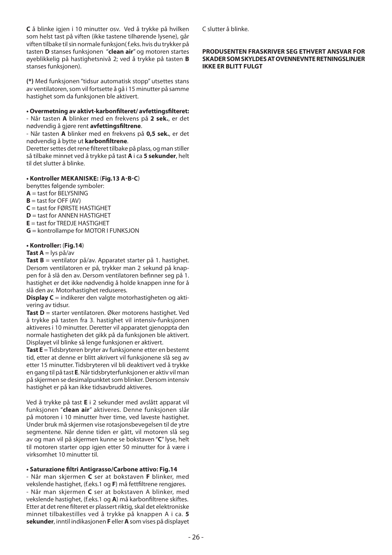**C** å blinke igjen i 10 minutter osv. Ved å trykke på hvilken som helst tast på viften (ikke tastene tilhørende lysene), går viften tilbake til sin normale funksjon( f.eks. hvis du trykker på tasten **D** stanses funksjonen "**clean air**" og motoren startes øyeblikkelig på hastighetsnivå 2; ved å trykke på tasten **B**  stanses funksjonen).

**(\*)** Med funksjonen "tidsur automatisk stopp" utsettes stans av ventilatoren, som vil fortsette å gå i 15 minutter på samme hastighet som da funksjonen ble aktivert.

#### **• Overmetning av aktivt-karbonfi lteret/ avfettingsfi lteret:**

- Når tasten **A** blinker med en frekvens på **2 sek.**, er det nødvendig å gjøre rent **avfettingsfi ltrene**.

- Når tasten **A** blinker med en frekvens på **0,5 sek.**, er det nødvendig å bytte ut **karbonfi ltrene**.

Deretter settes det rene filteret tilbake på plass, og man stiller så tilbake minnet ved å trykke på tast **A** i ca **5 sekunder**, helt til det slutter å blinke.

## **• Kontroller MEKANISKE:** (**Fig.13 A-B-C**)

benyttes følgende symboler:

- $A = \text{fast}$  for  $\overline{BF}$  **SELYSNING**  $B =$  tast for OFF (AV)
- 
- $C =$  tast for **FØRSTE HASTIGHET**
- **D** = tast for ANNEN HASTIGHET **E** = tast for TRED IF HASTIGHET
- 
- **G** = kontrollampe for MOTOR I FUNKSJON

## **• Kontroller:** (**Fig.14**)

## **Tast A** = lys på/av

**Tast B** = ventilator på/av. Apparatet starter på 1. hastighet. Dersom ventilatoren er på, trykker man 2 sekund på knappen for å slå den av. Dersom ventilatoren befinner seg på 1. hastighet er det ikke nødvendig å holde knappen inne for å slå den av. Motorhastighet reduseres.

**Display C** = indikerer den valgte motorhastigheten og aktivering av tidsur.

**Tast D** = starter ventilatoren. Øker motorens hastighet. Ved å trykke på tasten fra 3. hastighet vil intensiv-funksjonen aktiveres i 10 minutter. Deretter vil apparatet gjenoppta den normale hastigheten det gikk på da funksjonen ble aktivert. Displayet vil blinke så lenge funksjonen er aktivert.

**Tast E** = Tidsbryteren bryter av funksjonene etter en bestemt tid, etter at denne er blitt akrivert vil funksjonene slå seg av etter 15 minutter. Tidsbryteren vil bli deaktivert ved å trykke en gang til på tast **E**. Når tidsbryterfunksjonen er aktiv vil man på skjermen se desimalpunktet som blinker. Dersom intensiv hastighet er på kan ikke tidsavbrudd aktiveres.

Ved å trykke på tast **E** i 2 sekunder med avslått apparat vil funksjonen "**clean air**" aktiveres. Denne funksjonen slår på motoren i 10 minutter hver time, ved laveste hastighet. Under bruk må skjermen vise rotasjonsbevegelsen til de ytre segmentene. Når denne tiden er gått, vil motoren slå seg av og man vil på skjermen kunne se bokstaven "**C**" lyse, helt til motoren starter opp igjen etter 50 minutter for å være i virksomhet 10 minutter til.

## **• Saturazione fi ltri Antigrasso/Carbone attivo: Fig.14**

- Når man skjermen **C** ser at bokstaven **F** blinker, med vekslende hastighet, (f.eks.1 og F) må fettfiltrene rengjøres. - Når man skjermen **C** ser at bokstaven A blinker, med vekslende hastighet, (f.eks.1 og A) må karbonfiltrene skiftes. Etter at det rene filteret er plassert riktig, skal det elektroniske minnet tilbakestilles ved å trykke på knappen A i ca. **5 sekunder**, inntil indikasjonen **F** eller **A** som vises på displayet C slutter å blinke.

## **PRODUSENTEN FRASKRIVER SEG ETHVERT ANSVAR FOR SKADER SOM SKYLDES AT OVENNEVNTE RETNINGSLINJER IKKE ER BLITT FULGT**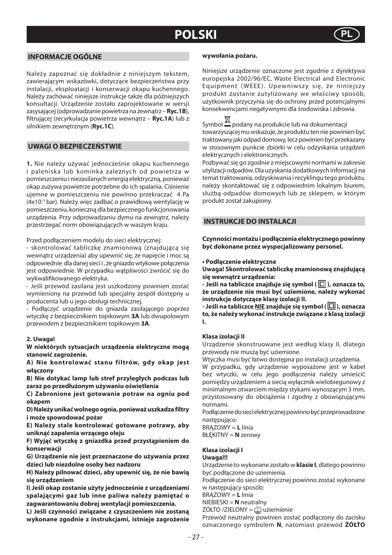## **POLSKI**



## **INFORMACJE OGÓLNE**

Należy zapoznać się dokładnie z niniejszym tekstem, zawierającym wskazówki, dotyczące bezpieczeństwa przy instalacji, eksploatacji i konserwacji okapu kuchennego. Należy zachować niniejsze instrukcje także dla późniejszych konsultacji. Urządzenie zostało zaprojektowane w wersji zasysającej (odprowadzanie powietrza na zewnątrz – **Ryc.1B**), filtrującej (recyrkulacja powietrza wewnątrz – **Ryc.1A**) lub z silnikiem zewnętrznym (**Ryc.1C**).

## **UWAGI O BEZPIECZEŃSTWIE**

**1.** Nie należy używać jednocześnie okapu kuchennego i paleniska lub kominka zależnych od powietrza w pomieszczeniu i niezasilanych energią elektryczną, ponieważ okap zużywa powietrze potrzebne do ich spalania. Ciśnienie ujemne w pomieszczeniu nie powinno przekraczać 4 Pa (4x10–5 bar). Należy więc zadbać o prawidłową wentylację w pomieszczeniu, konieczną dla bezpiecznego funkcjonowania urządzenia. Przy odprowadzaniu dymu na zewnątrz, należy przestrzegać norm obowiązujących w waszym kraju.

Przed podłączeniem modelu do sieci elektrycznej:

- skontrolować tabliczkę znamionową (znajdującą się wewnątrz urządzenia) aby upewnić się, że napięcie i moc są odpowiednie dla danej sieci i , że gniazdo wtykowe połączenia jest odpowiednie. W przypadku wątpliwości zwrócić się do wykwalifikowanego elektryka.

- Jeśli przewód zasilana jest uszkodzony powinien zostać wymieniony na przewód lub specjalny zespół dostępny u producenta lub u jego obsługi technicznej.

- Podłączyć urządzenie do gniazda zasilającego poprzez wtyczkę z bezpiecznikiem topikowym **3A** lub dwupolowym przewodem z bezpiecznikiem topikowym **3A**.

## **2. Uwaga!**

**W niektórych sytuacjach urządzenia elektryczne mogą stanowić zagrożenie.** 

**A) Nie kontrolować stanu filtrów, gdy okap jest włączony**

**B) Nie dotykać lamp lub stref przyległych podczas lub zaraz po przedłużonym używaniu oświetlenia**

**C) Zabronione jest gotowanie potraw na ogniu pod okapem**

**D) Należy unikać wolnego ognia, ponieważ uszkadza filtry i może spowodować pożar**

**E) Należy stale kontrolować gotowane potrawy, aby uniknąć zapalenia wrzącego oleju**

**F) Wyjąć wtyczkę z gniazdka przed przystąpieniem do konserwacji** 

**G) Urządzenie nie jest przeznaczone do używania przez dzieci lub niezdolne osoby bez nadzoru**

**H) Należy pilnować dzieci, aby upewnić się, że nie bawią się urządzeniem**

**I) Jeśli okap zostanie użyty jednocześnie z urządzeniami spalającymi gaz lub inne paliwa należy pamiętać o zagwarantowaniu dobrej wentylacji pomieszczenia.**

**L) Jeśli czynności związane z czyszczeniem nie zostaną wykonane zgodnie z instrukcjami, istnieje zagrożenie** 

#### **wywołania pożaru.**

Niniejsze urządzenie oznaczone jest zgodnie z dyrektywa europejska 2002/96/EC, Waste Electrical and Electronic Equipment (WEEE). Upewniwszy się, że niniejszy produkt zostanie zutylizowany we właściwy sposób, użytkownik przyczynia się do ochrony przed potencjalnymi konsekwencjami negatywnymi dla środowiska i zdrowia.

Symbol  $\mathbb{X}$  podany na produkcie lub na dokumentacji towarzyszącej mu wskazuje, że produktu ten nie powinien być traktowany jaki odpad domowy, lecz powinien być przekazany w stosownym punkcie zbiórki w celu odzyskania urządzeń elektrycznych i elektronicznych.

Pozbywać się go zgodnie z miejscowymi normami w zakresie utylizacji odpadów. Dla uzyskania dodatkowych informacji na temat traktowania, odzyskiwania i recyklingu tego produktu, należy skontaktować się z odpowiednim lokalnym biurem, służbą odpadów domowych lub ze sklepem, w którym produkt został zakupiony.

## **INSTRUKCJE DO INSTALACJI**

**Czynności montażu i podłączenia elektrycznego powinny być dokonane przez wyspecjalizowany personel.**

#### **• Podłączenie elektryczne**

**Uwaga! Skontrolować tabliczkę znamionową znajdującą się wewnątrz urządzenia:**

**- Jeśli na tabliczce znajduje się symbol (□), oznacza to, że urządzenie nie musi być uziemione, należy wykonać instrukcje dotyczące klasy izolacji II.**

**- Jeśli na tabliczce NIE znajduje się symbol ( ), oznacza to, że należy wykonać instrukcje związane z klasą izolacji I.** 

## **Klasa izolacji II**

Urządzenie skonstruowane jest według klasy II, dlatego przewody nie muszą być uziemione.

Wtyczka musi być łatwo dostępna po instalacji urządzenia.

W przypadku, gdy urządzenie wyposażone jest w kabel bez wtyczki, w celu jego podłączenia należy umieścić pomiędzy urządzeniem a siecią wyłącznik wielobiegunowy z minimalnym otwarciem między stykami wynoszącym 3 mm, przystosowany do obciążenia i zgodny z obowiązującymi normami.

Podłączenie do sieci elektrycznej powinno być przeprowadzone nastepująco:

BRĄZOWY = **L** linia

BŁĘKITNY = **N** zerowy

## **Klasa izolacji I**

## **Uwaga!!!**

Urządzenie to wykonane zostało w **klasie I**, dlatego powinno być podłączone do uziemienia.

Podłączenie do sieci elektrycznej powinno zostać wykonane w następujący sposób:

BRĄZOWY = **L** linia

NIEBIESKI = **N** neutralny

ŻÓŁTO /ZIELONY = (L) uziemienie

Przewód neutralny powinien zostać podłączony do zacisku oznaczonego symbolem **N**, natomiast przewód **ŻÓŁTO**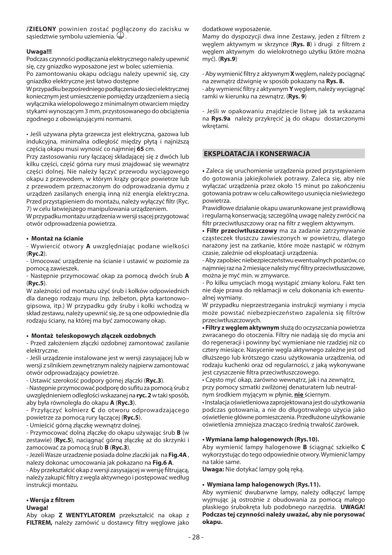**/ZIELONY** powinien zostać podłączony do zacisku w sąsiedztwie symbolu uziemienia.

## **Uwaga!!!**

Podczas czynności podłączania elektrycznego należy upewnić się, czy gniazdko wyposażone jest w bolec uziemienia.

Po zamontowaniu okapu odciągu należy upewnić się, czy gniazdko elektryczne jest łatwo dostępne

W przypadku bezpośredniego podłączenia do sieci elektrycznej koniecznym jest umieszczenie pomiędzy urządzeniem a siecią wyłącznika wielopolowego z minimalnym otwarciem między stykami wynoszącym 3 mm, przystosowanego do obciążenia zgodnego z obowiązującymi normami.

• Jeśli używana płyta grzewcza jest elektryczna, gazowa lub indukcyjna, minimalna odległość między płytą i najniższą częścią okapu musi wynosić co najmniej **65** cm.

Przy zastosowaniu rury łączącej składającej się z dwóch lub kilku części, część górna rury musi znajdować się wewnątrz części dolnej. Nie należy łączyć przewodu wyciągowego okapu z przewodem, w którym krąży gorące powietrze lub z przewodem przeznaczonym do odprowadzania dymu z urządzeń zasilanych energią inną niż energia elektryczna. Przed przystąpieniem do montażu, należy wyłączyć filtr (Ryc. 7) w celu łatwiejszego manipulowania urządzeniem.

W przypadku montażu urządzenia w wersji ssącej przygotować otwór odprowadzenia powietrza.

### **• Montaż na ścianie**

- Wywiercić otwory **A** uwzględniając podane wielkości (**Ryc.2**).

- Umocować urządzenie na ścianie i ustawić w poziomie za pomocą zawieszek.

- Następnie przymocować okap za pomocą dwóch śrub **A** (**Ryc.5**).

W zależności od montażu użyć śrub i kołków odpowiednich dla danego rodzaju muru (np. żelbeton, płyta kartonowo– gipsowa, itp.) W przypadku gdy śruby i kołki wchodzą w skład zestawu, należy upewnić się, że są one odpowiednie dla rodzaju ściany, na której ma być zamocowany okap.

## **• Montaż teleskopowych złączek ozdobnych**

- Przed założeniem złączki ozdobnej zamontować zasilanie elektryczne.

- Jeśli urządzenie instalowane jest w wersji zasysającej lub w wersji z silnikiem zewnętrznym należy najpierw zamontować otwór odprowadzający powietrze.

- Ustawić szerokość podpory górnej złączki (**Ryc.3**).

- Następnie przymocować podporę do sufitu za pomocą śrub z uwzględnieniem odległości wskazanej na **ryc. 2** w taki sposób, aby była równoległa do okapu **A** (**Ryc.3**).

- Przyłączyć kołnierz **C** do otworu odprowadzającego powietrze za pomocą rury łączącej (**Ryc.5**).

- Umieścić górną złączkę wewnątrz dolnej.

- Przymocować dolną złączkę do okapu używając śrub **B** (w zestawie) (**Ryc.5**), naciągnąć górną złączkę aż do skrzynki i zamocować za pomocą śrub **B** (**Ryc.3**).

- Jezeli Wasze urzadzenie posiada dolne zlaczki jak na **Fig.4A** , nalezy dokonac umocowania jak pokazano na **Fig.6 A**.

- Aby przekształcić okap z wersji zasysającej w wersję filtrującą, należy zakupić filtry z węgla aktywnego i postępować według instrukcji montażu.

## **• Wersja z fi ltrem**

## **Uwaga!**

Aby okap **Z WENTYLATOREM** przekształcić na okap z FILTREM, należy zamówić u dostawcy filtry węglowe jako dodatkowe wyposażenie.

Mamy do dyspozycji dwa inne Zestawy, jeden z filtrem z węglem aktywnym w skrzynce (**Rys. 8**) i drugi z filtrem z węglem aktywnym do wielokrotnego użytku (które można myć). (**Rys.9**)

- Aby wymienić filtry z aktywnym **X** węglem, należy pociągnąć na zewnątrz dźwignię w sposób pokazany na **Rys. 8.** - aby wymienić filtry z aktywnym **Y** węglem, należy wyciągnąć ramki w kierunku na zewnątrz. (**Rys. 9**)

- Jeśli w opakowaniu znajdziecie listwę jak ta wskazana na **Rys.9a** należy przykręcić ją do okapu dostarczonymi wkretami.

## **EKSPLOATACJA I KONSERWACJA**

**•** Zaleca się uruchomienie urządzenia przed przystąpieniem do gotowania jakiejkolwiek potrawy. Zaleca się, aby nie wyłączać urządzenia przez około 15 minut po zakończeniu gotowania potraw w celu całkowitego usunięcia nieświeżego powietrza.

Prawidłowe działanie okapu uwarunkowane jest prawidłową i regularną konserwacją; szczególną uwagę należy zwrócić na filtr przeciwtłuszczowy oraz na filtr z węglem aktywnym.

**• Filtr przeciwtłuszczowy** ma za zadanie zatrzymywanie cząsteczek tłuszczu zawieszonych w powietrzu, dlatego narażony jest na zatkanie, które może nastąpić w różnym czasie, zależnie od eksploatacji urządzenia.

- Aby zapobiec niebezpieczeństwu ewentualnych pożarów, co najmniej raz na 2 miesiące należy myć filtry przeciwtłuszczowe, można je myć min. w zmywarce.

- Po kilku umyciach mogą wystąpić zmiany koloru. Fakt ten nie daje prawa do reklamacji w celu dokonania ich ewentualnej wymiany.

W przypadku nieprzestrzegania instrukcji wymiany i mycia może powstać niebezpieczeństwo zapalenia się filtrów przeciwtłuszczowych.

**• Filtry z węglem aktywnym** służą do oczyszczania powietrza zwracanego do otoczenia. Filtry nie nadają się do mycia ani do regeneracji i powinny być wymieniane nie rzadziej niż co cztery miesiące. Nasycenie węgla aktywnego zależne jest od dłuższego lub krótszego czasu użytkowania urządzenia, od rodzaju kuchenki oraz od regularności, z jaką wykonywane jest czyszczenie filtra przeciwtłuszczowego.

• Często myć okap, zarówno wewnątrz, jak i na zewnątrz, przy pomocy szmatki zwilżonej denaturatem lub neutralnym środkiem myjącym w płynie, **nie** ściernym.

• Instalacja oświetleniowa zaprojektowana jest do użytkowania podczas gotowania, a nie do długotrwałego użycia jako oświetlenie główne pomieszczenia. Przedłużone użytkowanie oświetlenia zmniejsza znacząco średnią trwałość żarówek.

### **• Wymiana lamp halogenowych (Rys.10).**

Aby wymienić lampy halogenowe **B** ściągnąć szkiełko **C** wykorzystując do tego odpowiednie otwory. Wymienić lampy na takie same.

**Uwaga:** Nie dotykać lampy gołą ręką.

## **• Wymiana lamp halogenowych (Rys.11).**

Aby wymienić dwubarwne lampy, należy odłączyć lampę wyjmując ją ostrożnie z obudowania za pomocą małego płaskiego śrubokręta lub podobnego narzędzia. **UWAGA! Podczas tej czynności należy uważać, aby nie porysować okapu.**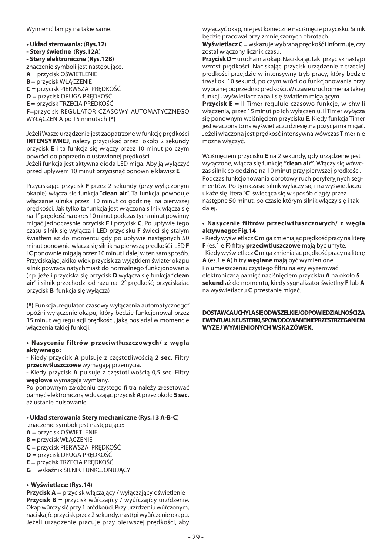Wymienić lampy na takie same.

**• Układ sterowania:** (**Rys.12**) **- Stery świetlne** (**Rys.12A**) **- Stery elektroniczne** (**Rys.12B**) znaczenie symboli jest następujące. **A** = przycisk OŚWIETLENIE **B** = przycisk WŁĄCZENIE **C** = przycisk PIERWSZA PRĘDKOŚĆ **D** = przycisk DRUGA PRĘDKOŚĆ **E** = przycisk TRZECIA PRĘDKOŚĆ **F**=przycisk REGULATOR CZASOWY AUTOMATYCZNEGO WYŁĄCZENIA po 15 minutach **(\*)**

Jeżeli Wasze urządzenie jest zaopatrzone w funkcję prędkości **INTENSYWNEJ**, należy przyciskać przez około 2 sekundy przycisk **E** i ta funkcja się włączy przez 10 minut po czym powróci do poprzednio ustawionej prędkości.

Jeżeli funkcja jest aktywna dioda LED miga. Aby ją wyłączyć przed upływem 10 minut przycisnąć ponownie klawisz **E**

Przyciskając przycisk **F** przez 2 sekundy (przy wyłączonym okapie) włącza sie funkcja "**clean air**". Ta funkcja powoduje włączanie silnika przez 10 minut co godzinę na pierwszej prędkości. Jak tylko ta funkcja jest włączona silnik włącza się na 1° prędkość na okres 10 minut podczas tych minut powinny migać jednocześnie przycisk **F** i przycisk **C**. Po upływie tego czasu silnik się wyłącza i LED przycisku **F** świeci się stałym światłem aż do momentu gdy po upływie następnych 50 minut ponownie włącza się silnik na pierwszą prędkość i LED **F**  i **C** ponownie migają przez 10 minut i dalej w ten sam sposób. Przyciskając jakikolwiek przycisk za wyjątkiem świateł okapu silnik powraca natychmiast do normalnego funkcjonowania (np. jeżeli przyciska się przycisk **D** wyłącza się funkcja "**clean air**" i silnik przechodzi od razu na 2° prędkość; przyciskając przycisk **B** funkcja się wyłącza)

**(\*)** Funkcja "regulator czasowy wyłączenia automatycznego" opóźni wyłączenie okapu, który będzie funkcjonował przez 15 minut wg regulacji prędkości, jaką posiadał w momencie włączenia takiej funkcji.

## **• Nasycenie filtrów przeciwtłuszczowych/ z węgla aktywnego:**

- Kiedy przycisk **A** pulsuje z częstotliwością **2 sec.** Filtry **przeciwtłuszczowe** wymagają przemycia.

- Kiedy przycisk **A** pulsuje z częstotliwością 0,5 sec. Filtry **węglowe** wymagają wymiany.

Po ponownym założeniu czystego filtra należy zresetować pamięć elektroniczną wduszając przycisk **A** przez około **5 sec.** aż ustanie pulsowanie.

## **• Układ sterowania Stery mechaniczne** (**Rys.13 A-B-C**)

- znaczenie symboli jest następujące:
- **A** = przycisk OŚWIETLENIE
- **B** = przycisk WŁĄCZENIE
- **C** = przycisk PIERWSZA PRĘDKOŚĆ
- **D** = przycisk DRUGA PRĘDKOŚĆ
- **E** = przycisk TRZECIA PRĘDKOŚĆ
- **G** = wskaźnik SILNIK FUNKCJONUJĄCY

## **• Wyświetlacz:** (**Rys.14**)

**Przycisk A** = przycisk włączający / wyłączający oświetlenie **Przycisk B** = przycisk wůŕczajŕcy / wyůŕczajŕcy urzŕdzenie. Okap wůŕczy sić przy 1 prćdkoúci. Przy urzŕdzeniu wůŕczonym, naciskajŕc przycisk przez 2 sekundy, nastŕpi wyůŕczenie okapu. Jeżeli urządzenie pracuje przy pierwszej prędkości, aby wyłączyć okap, nie jest konieczne naciśnięcie przycisku. Silnik będzie pracował przy zmniejszonych obrotach.

**Wyświetlacz C** = wskazuje wybraną prędkość i informuje, czy został włączony licznik czasu.

**Przycisk D** = uruchamia okap. Naciskając taki przycisk nastąpi wzrost prędkości. Naciskając przycisk urządzenie z trzeciej prędkości przejdzie w intensywny tryb pracy, który będzie trwał ok. 10 sekund, po czym wróci do funkcjonowania przy wybranej poprzednio prędkości. W czasie uruchomienia takiej funkcji, wyświetlacz zapali się światłem migającym.

**Przycisk E** = Il Timer reguluje czasowo funkcje, w chwili włączenia, przez 15 minut po ich wyłączeniu. Il Timer wyłącza się ponownym wciśnięciem przycisku **E**. Kiedy funkcja Timer jest włączona to na wyświetlaczu dziesiętna pozycja ma migać. Jeżeli włączona jest prędkość intensywna wówczas Timer nie można włączyć.

Wciśnięciem przycisku **E** na 2 sekundy, gdy urządzenie jest wyłączone, włącza się funkcję **"clean air"**. Włączy się wówczas silnik co godzinę na 10 minut przy pierwszej prędkości. Podczas funkcjonowania obrotowy ruch peryferyjnych segmentów. Po tym czasie silnik wyłączy się i na wyświetlaczu ukaże się litera "**C**" świecąca się w sposób ciągły przez następne 50 minut, po czasie którym silnik włączy się i tak dalej.

## **• Nasycenie filtrów przeciwtłuszczowych/ z węgla aktywnego: Fig.14**

- Kiedy wyświetlacz **C** miga zmieniając prędkość pracy na literę **F** (es.1 e **F**) filtry **przeciwtluszczowe** mają być umyte. - Kiedy wyświetlacz **C** miga zmieniając prędkość pracy na literę **A** (es.1 e **A**) filtry **weglane** mają być wymienione. Po umieszczeniu czystego filtru należy wyzerować elektroniczną pamięć naciśnięciem przycisku **A** na około **5 sekund** aż do momentu, kiedy sygnalizator świetlny **F** lub **A** na wyświetlaczu **C** przestanie migać.

**DOSTAWCA UCHYLA SIĘ OD WSZELKIEJ ODPOWIEDZIALNOŚCI ZA EWENTUALNE USTERKI, SPOWODOWANE NIEPRZESTRZEGANIEM WYŻEJ WYMIENIONYCH WSKAZÓWEK.**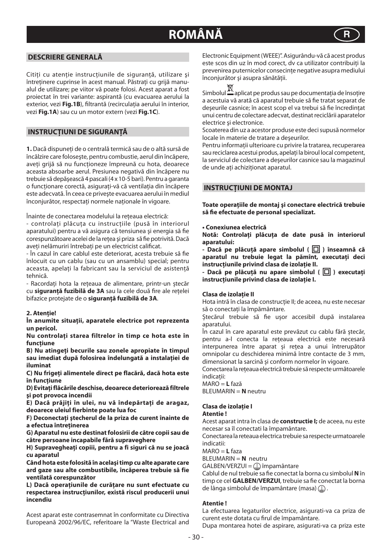# **ROMÂNĂ R**

## **DESCRIERE GENERALĂ**

Citiți cu atenție instrucțiunile de siguranță, utilizare și întreținere cuprinse în acest manual. Păstrați cu griiă manualul de utilizare; pe viitor vă poate folosi. Acest aparat a fost proiectat în trei variante: aspirantă (cu evacuarea aerului la exterior, vezi **Fig.1B**), filtrantă (recirculația aerului în interior, vezi **Fig.1A**) sau cu un motor extern (vezi **Fig.1C**).

## **INSTRUCŢIUNI DE SIGURANŢĂ**

**1.** Dacă dispuneţi de o centrală termică sau de o altă sursă de încălzire care foloseşte, pentru combustie, aerul din încăpere, aveti grijă să nu funcționeze împreună cu hota, deoarece aceasta absoarbe aerul. Presiunea negativă din încăpere nu trebuie să depăşească 4 pascali (4 x 10-5 bari). Pentru a garanta o funcţionare corectă, asiguraţi-vă că ventilaţia din încăpere este adecvată. În ceea ce priveşte evacuarea aerului în mediul înconjurător, respectati normele nationale în vigoare.

Înainte de conectarea modelului la reteaua electrică:

- controlati plăcuta cu instrucțiile (pusă în interiorul aparatului) pentru a vă asigura că tensiunea și energia să fie corespunzătoare acelei de la rețea și priza să fie potrivită. Dacă aveti nelămuriri întrebați pe un electricist calificat.

- În cazul în care cablul este deteriorat, acesta trebuie să fie înlocuit cu un cablu (sau cu un ansamblu) special; pentru aceasta, apelati la fabricant sau la serviciul de asistentă tehnică.

- Racordaţi hota la reţeaua de alimentare, printr-un ștecăr cu sigurantă fuzibilă de 3A sau la cele două fire ale retelei bifazice protejate de o **siguranţă fuzibilă de 3A**.

#### **2. Atenţie!**

**În anumite situaţii, aparatele electrice pot reprezenta un pericol.** 

**Nu controlaţi starea filtrelor în timp ce hota este în funcţiune**

**B) Nu atingeţi becurile sau zonele apropiate în timpul sau imediat după folosirea îndelungată a instalaţiei de iluminat**

**C) Nu frigeţi alimentele direct pe flacără, dacă hota este în funcţiune**

**D) Evitaţi flăcările deschise, deoarece deteriorează filtrele şi pot provoca incendii**

**E) Dacă prăjiţi în ulei, nu vă îndepărtaţi de aragaz, deoarece uleiul fierbinte poate lua foc**

**F) Deconectaţi ştecherul de la priza de curent înainte de a efectua întreţinerea**

**G) Aparatul nu este destinat folosirii de către copii sau de către persoane incapabile fără supraveghere**

**H) Supravegheaţi copiii, pentru a fi siguri că nu se joacă cu aparatul**

**Când hota este folosită în acelaşi timp cu alte aparate care ard gaze sau alte combustibile, încăperea trebuie să fie ventilată corespunzător**

**L) Dacă operaţiunile de curăţare nu sunt efectuate cu respectarea instrucţiunilor, există riscul producerii unui incendiu**

Acest aparat este contrasemnat în conformitate cu Directiva Europeană 2002/96/EC, referitoare la "Waste Electrical and Electronic Equipment (WEEE)". Asigurându-vă că acest produs este scos din uz în mod corect, dy ca utilizator contribuiti la prevenirea puternicelor consecinte negative asupra mediului înconjurător și asupra sănătății.

Simbolul **aplicat pe produs sau pe documentația de însoțire** a acestuia vă arată că aparatul trebuie să fie tratat separat de deseurile casnice; în acest scop el va trebui să fie încredintat unui centru de colectare adecvat, destinat reciclării aparatelor electrice și electronice.

Scoaterea din uz a acestor produse este deci supusă normelor locale în materie de tratare a deşeurilor.

Pentru informaţii ulterioare cu privire la tratarea, recuperarea sau reciclarea acestui produs, apelați la biroul local competent, la serviciul de colectare a deşeurilor casnice sau la magazinul de unde aţi achiziţionat aparatul.

### **INSTRUCŢIUNI DE MONTAJ**

**Toate operaţiile de montaj şi conectare electrică trebuie**  să fie efectuate de personal specializat.

#### **• Conexiunea electrică**

**Notă: Controlaţi plăcuţa de date pusă în interiorul aparatului:**

**- Dacă pe plăcuţă apare simbolul ( ) înseamnă că aparatul nu trebuie legat la pămînt, executaţi deci instrucţiunile privind clasa de izolaţie II.**

**- Dacă pe plăcută nu apare simbolul (**  $\Box$  **) executati instrucţiunile privind clasa de izolaţie I.**

## **Clasa de izolaţie II**

Hota intră în clasa de construcție II; de aceea, nu este necesar să o conectați la împământare.

Stecărul trebuie să fie usor accesibil după instalarea aparatului.

În cazul în care aparatul este prevăzut cu cablu fără ștecăr, pentru a-l conecta la reteaua electrică este necesară interpunerea între aparat și reţea a unui întrerupător omnipolar cu deschiderea minimă între contacte de 3 mm, dimensionat la sarcină și conform normelor în vigoare.

Conectarea la reţeaua electrică trebuie să respecte următoarele indicatii:

 $MARO = I$  fază BLEUMARIN = **N** neutru

## **Clasa de izolaţie I**

**Atentie !** 

Acest aparat intra în clasa de **constructie I;** de aceea, nu este necesar sa îl conectati la împamântare.

Conectarea la reteaua electrica trebuie sa respecte urmatoarele indicatii:

MARO = **L** faza

BLEUMARIN = **N** neutru

 $GALEEN/VERZUI = \n\bigoplus \n\hat{i}m\npan\hat{a}ntare$ 

Cablul de nul trebuie sa fie conectat la borna cu simbolul **N** în timp ce cel **GALBEN/VERZUI**, trebuie sa fie conectat la borna de lânga simbolul de împamântare (masa)  $\textcircled{1}$ .

## **Atentie !**

La efectuarea legaturilor electrice, asigurati-va ca priza de curent este dotata cu firul de împamântare.

Dupa montarea hotei de aspirare, asigurati-va ca priza este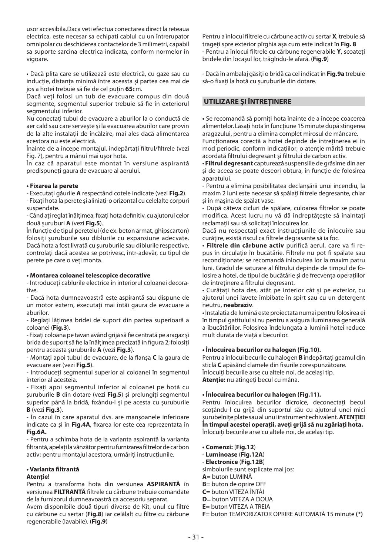usor accesibila.Daca veti efectua conectarea direct la reteaua electrica, este necesar sa echipati cablul cu un întrerupator omnipolar cu deschiderea contactelor de 3 milimetri, capabil sa suporte sarcina electrica indicata, conform normelor în vigoare.

• Dacă plita care se utilizează este electrică, cu gaze sau cu inducție, distanța minimă între aceasta și partea cea mai de jos a hotei trebuie să fie de cel putin 65cm.

Dacă veți folosi un tub de evacuare compus din două segmente, segmentul superior trebuie să fie în exteriorul segmentului inferior.

Nu conectați tubul de evacuare a aburilor la o conductă de aer cald sau care serveşte şi la evacuarea aburilor care provin de la alte instalatii de încălzire, mai ales dacă alimentarea acestora nu este electrică.

Înainte de a începe montajul, îndepărtați filtrul/filtrele (vezi Fig. 7), pentru a mânui mai uşor hota.

În caz că aparatul este montat în versiune aspirantă predispuneţi gaura de evacuare al aerului.

## **• Fixarea la perete**

- Executaţi găurile **A** respectând cotele indicate (vezi **Fig.2**).

- Fixaţi hota la perete şi aliniaţi-o orizontal cu celelalte corpuri suspendate.

- Când ați reglat înălțimea, fixați hota definitiv, cu ajutorul celor două şuruburi **A** (vezi **Fig.5**).

În functie de tipul peretelui (de ex. beton armat, ghipscarton) folositi şuruburile sau diblurile cu expansiune adecvate. Dacă hota a fost livrată cu şuruburile sau diblurile respective, controlati dacă acestea se potrivesc, într-adevăr, cu tipul de perete pe care o veţi monta.

## **• Montarea coloanei telescopice decorative**

- Introduceti cablurile electrice în interiorul coloanei decorative.

- Dacă hota dumneavoastră este aspirantă sau dispune de un motor extern, executati mai întâi gaura de evacuare a aburilor.

- Reglati lătimea bridei de suport din partea superioară a coloanei (**Fig.3**).

- Fixați coloana pe tavan având grijă să fie centrată pe aragaz și brida de suport să fie la înălțimea precizată în figura 2; folosiți pentru aceasta şuruburile **A** (vezi **Fig.3**).

- Montați apoi tubul de evacuare, de la flanșa C la gaura de evacuare aer (vezi **Fig.5**).

- Introduceţi segmentul superior al coloanei în segmentul interior al acesteia.

- Fixaţi apoi segmentul inferior al coloanei pe hotă cu şuruburile **B** din dotare (vezi **Fig.5**) şi prelungiţi segmentul superior până la bridă, fixându-l și pe acesta cu șuruburile **B** (vezi **Fig.3**).

- În cazul în care aparatul dvs. are manşoanele inferioare indicate ca și în Fig.4A, fixarea lor este cea reprezentata în **Fig.6A.**

- Pentru a schimba hota de la varianta aspirantă la varianta filtrantă, apelați la vânzător pentru furnizarea filtrelor de carbon activ; pentru montajul acestora, urmăriti instrucțiunile.

## **• Varianta fi ltrantă**

## **Atenţie**!

Pentru a transforma hota din versiunea **ASPIRANTĂ** în versiunea **FILTRANTĂ** filtrele cu cărbune trebuie comandate de la furnizorul dumneavoastră ca accesoriu separat.

Avem disponibile două tipuri diverse de Kit, unul cu filtre cu cărbune cu sertar (**Fig.8**) iar celălalt cu filtre cu cărbune regenerabile (lavabile). (**Fig.9**)

Pentru a înlocui filtrele cu cărbune activ cu sertar **X**, trebuie să trageti spre exterior pîrghia așa cum este indicat în Fig. 8 - Pentru a înlocui filtrele cu cărbune regenerabile **Y**, scoateţi bridele din locaşul lor, trăgîndu-le afară. (**Fig.9**)

- Dacă în ambalaj găsiţi o bridă ca cel indicat în **Fig.9a** trebuie să-o fixaţi la hotă cu şuruburile din dotare.

## **UTILIZARE ŞI ÎNTREŢINERE**

**•** Se recomandă să porniţi hota înainte de a începe coacerea alimentelor. Lăsați hota în funcțiune 15 minute după stingerea aragazului, pentru a elimina complet mirosul de mâncare.

Functionarea corectă a hotei depinde de întretinerea ei în mod periodic, conform indicaţiilor; o atenţie mărită trebuie acordată filtrului degresant și filtrului de carbon activ.

• **Filtrul degresant** capturează suspensiile de grăsime din aer şi de aceea se poate deseori obtura, în funcţie de folosirea aparatului.

- Pentru a elimina posibilitatea declanşării unui incendiu, la maxim 2 luni este necesar să spălați filtrele degresante, chiar şi în maşina de spălat vase.

- După câteva cicluri de spălare, culoarea filtrelor se poate modifica. Acest lucru nu vă dă îndreptătește să înaintați reclamatii sau să solicitați înlocuirea lor.

Dacă nu respectati exact instructiunile de înlocuire sau curățire, există riscul ca filtrele degrasante să ia foc.

• **Filtrele din cărbune activ** purifică aerul, care va fi repus în circulatie în bucătărie. Filtrele nu pot fi spălate sau recondiţionate; se recomandă înlocuirea lor la maxim patru luni. Gradul de saturare al filtrului depinde de timpul de folosire a hotei, de tipul de bucătărie și de frecventa operațiilor de întretinere a filtrului degresant.

• Curătati hota des, atât pe interior cât și pe exterior, cu ajutorul unei lavete îmbibate în spirt sau cu un detergent neutru, **neabraziv**.

• Instalatia de lumină este proiectata numai pentru folosirea ei în timpul gatitului si nu pentru a asigura iluminarea generală a îbucătăriilor. Folosirea îndelungata a luminii hotei reduce mult durata de viată a becurilor.

## **• Înlocuirea becurilor cu halogen (Fig.10).**

Pentru a înlocui becurile cu halogen **B** îndepărtaţi geamul din sticlă C apăsând clamele din fisurile corespunzătoare. Înlocuiți becurile arse cu altele noi, de același tip. **Atenţie:** nu atingeţi becul cu mâna.

## **• Înlocuirea becurilor cu halogen (Fig.11).**

Pentru înlocuirea becurilor dicroice, deconectați becul scotându-l cu grijă din suportul său cu ajutorul unei mici șurubelniţe plate sau al unui instrument echivalent. **ATENŢIE! În timpul acestei operaţii, aveţi grijă să nu zgâriaţi hota.**  Înlocuiti becurile arse cu altele noi, de același tip.

- **Comenzi:** (**Fig.12**)
- **Luminoase** (**Fig.12A**)
- - **Electronice** (**Fig.12B**)
- simbolurile sunt explicate mai jos:

**A**= buton LUMINĂ

- **B**= buton de oprire OFF
- **C**= buton VITEZA ÎNTÂI
- **D**= buton VITEZA A DOUA
- **E**= buton VITEZA A TREIA
- **F**= buton TEMPORIZATOR OPRIRE AUTOMATĂ 15 minute **(\*)**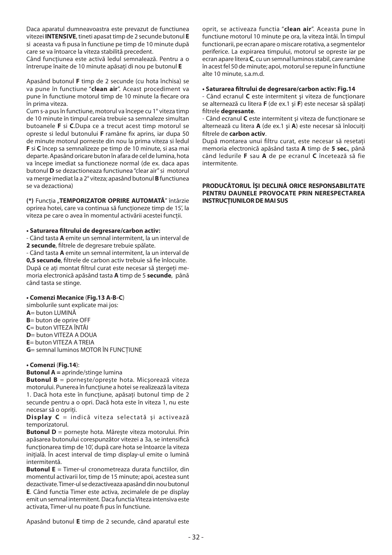Daca aparatul dumneavoastra este prevazut de functiunea vitezei **INTENSIVE**, tineti apasat timp de 2 secunde butonul **E** si aceasta va fi pusa în functiune pe timp de 10 minute după care se va întoarce la viteza stabilită precedent.

Când funcțiunea este activă ledul semnalează. Pentru a o întrerupe înaite de 10 minute apăsaţi di nou pe butonul **E**

Apasând butonul **F** timp de 2 secunde (cu hota închisa) se va pune în functiune "**clean air**". Aceast procediment va pune în functiune motorul timp de 10 minute la fiecare ora în prima viteza.

Cum s-a pus în functiune, motorul va începe cu 1° viteza timp de 10 minute în timpul careia trebuie sa semnaleze simultan butoanele **F** si **C**.Dupa ce a trecut acest timp motorul se opreste si ledul butonului **F** ramâne fix aprins, iar dupa 50 de minute motorul porneste din nou la prima viteza si ledul **F** si **C** încep sa semnalizeze pe timp de 10 minute, si asa mai departe. Apasând oricare buton în afara de cel de lumina, hota va începe imediat sa functioneze normal (de ex. daca apas butonul **D** se dezactioneaza functiunea "clear air" si motorul va merge imediat la a 2° viteza; apasând butonul **B** functiunea se va dezactiona)

**(\*)** Funcţia "**TEMPORIZATOR OPRIRE AUTOMATĂ**" întârzie oprirea hotei, care va continua să functioneze timp de 15', la viteza pe care o avea în momentul activării acestei funcții.

#### **• Saturarea fi ltrului de degresare/carbon activ:**

- Când tasta **A** emite un semnal intermitent, la un interval de 2 secunde, filtrele de degresare trebuie spălate.

- Când tasta **A** emite un semnal intermitent, la un interval de 0,5 secunde, filtrele de carbon activ trebuie să fie înlocuite. După ce ati montat filtrul curat este necesar să ștergeți memoria electronică apăsând tasta **A** timp de 5 **secunde**, până când tasta se stinge.

### **• Comenzi Mecanice** (**Fig.13 A-B-C**)

simbolurile sunt explicate mai jos: **A**= buton LUMINĂ **B**= buton de oprire OFF **C**= buton VITEZA ÎNTÂI **D**= buton VITEZA A DOUA **E**= buton VITEZA A TREIA **G**= semnal luminos MOTOR ÎN FUNCŢIUNE **• Comenzi** (**Fig.14**):

**Butonul A =** aprinde/stinge lumina

**Butonul B** = porneşte/opreşte hota. Micşorează viteza motorului. Punerea în funcțiune a hotei se realizează la viteza 1. Dacă hota este în funcţiune, apăsaţi butonul timp de 2 secunde pentru a o opri. Dacă hota este în viteza 1, nu este necesar să o opriti.

**Display C** = indică viteza selectată și activează temporizatorul.

**Butonul D** = porneşte hota. Măreşte viteza motorului. Prin apăsarea butonului corespunzător vitezei a 3a, se intensifică functionarea timp de 10', după care hota se întoarce la viteza initială. În acest interval de timp display-ul emite o lumină intermitentă.

**Butonul E** = Timer-ul cronometreaza durata functiilor, din momentul activarii lor, timp de 15 minute; apoi, acestea sunt dezactivate. Timer-ul se dezactiveaza apasând din nou butonul **E**. Când functia Timer este activa, zecimalele de pe display emit un semnal intermitent. Daca functia Viteza intensiva este activata, Timer-ul nu poate fi pus în functiune.

Apasând butonul **E** timp de 2 secunde, când aparatul este

oprit, se activeaza functia "**clean air**". Aceasta pune în functiune motorul 10 minute pe ora, la viteza întâi. În timpul functionarii, pe ecran apare o miscare rotativa, a segmentelor periferice. La expirarea timpului, motorul se opreste iar pe ecran apare litera **C**, cu un semnal luminos stabil, care ramâne în acest fel 50 de minute; apoi, motorul se repune în functiune alte 10 minute, s.a.m.d.

#### **• Saturarea fi ltrului de degresare/carbon activ: Fig.14**

- Când ecranul **C** este intermitent și viteza de functionare se alternează cu litera **F** (de ex.1 şi **F**) este necesar să spălaţi fi ltrele **degresante**.

- Când ecranul **C** este intermitent și viteza de functionare se alternează cu litera **A** (de ex.1 şi **A**) este necesar să înlocuiţi fi ltrele de **carbon activ**.

După montarea unui filtru curat, este necesar să resetați memoria electronică apăsând tasta **A** timp de **5 sec.**, până când ledurile **F** sau **A** de pe ecranul **C** încetează să fie intermitente.

## **PRODUCĂTORUL ÎŞI DECLINĂ ORICE RESPONSABILITATE PENTRU DAUNELE PROVOCATE PRIN NERESPECTAREA INSTRUCŢIUNILOR DE MAI SUS**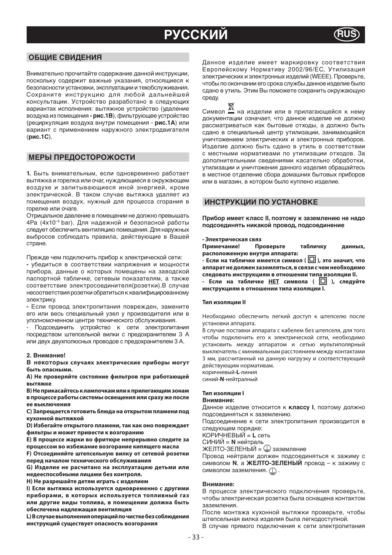## **РУССКИЙ RUS**

## **ОБЩИЕ СВИДЕНИЯ**

Внимательно прочитайте содержание данной инструкции, поскольку содержит важные указания, относящиеся к безопасности установки, эксплуатации и техобслуживания. Сохраните инструкцию для любой дальнейшей консультации. Устройство разработано в следующих вариантах исполнения: вытяжное устройство (удаление воздуха из помещения **- рис.1В**), фильтрующее устройство (рециркуляция воздуха внутри помещения - **рис.1А**) или вариант с применением наружного электродвигателя (**рис.1C**).

## **МЕРЫ ПРЕДОСТОРОЖОСТИ**

**1.** Быть внимательным, если одновременно работает вытяжка и горелка или очаг, нуждяющиеся в окружающем воздухе и запитывающиеся иной энергией, кроме электрической. В таком случае вытяжка удаляет из помещения воздух, нужный для процесса сгорания в горелке или очаге.

Отрицальное давление в помещении не должно превышать 4Pa (4x10–5 bar). Для надежной и безопасной работы следует обеспечить вентиляцию помещения.Для наружных выбросов соблюдать правила, действующие в Вашей стране.

Прежде чем подключить прибор к электрической сети:

**-** убедиться в соответствии напряжения и мощности прибора, данные о которых помещены на заводской паспортной табличке, сетевым показателям, а также соответствие электросоединителя(розетки).В случае несоответствия розетки обратиться к квалифицированному электрику.

**-** Если провод электропитания поврежден, замените его или весь специальный узел у производителя или в уполномоченном центре технического обслуживания.

- Подсоединить устройство к сети электропитания посредством штепсельной вилки с предохранителем 3 А или двух двухполюсных проводов с предохранителем 3 А.

#### **2. Внимание!**

**В некоторых случаях электрические приборы могут быть опасными.** 

**А) Не проверяйте состояние фильтров при работающей вытяжке**

**В) Не прикасайтесь к лампочкам или к прилегающим зонам в процессе работы системы освещения или сразу же после ее выключения**

**С) Запрещается готовить блюда на открытом пламени под кухонной вытяжкой**

**D) Избегайте открытого пламени, так как оно повреждает фильтры и может привести к возгоранию**

**Е) В процессе жарки во фритюре непрерывно следите за процессом во избежание возгорание кипящего масла**

**F) Отсоединяйте штепсельную вилку от сетевой розетки перед началом технического обслуживания**

**G) Изделие не расчитано на эксплуатацию детьми или недееспособными лицами без контроля.**

**Н) Не разрешайте детям играть с изделием**

**I) Если вытяжка используется одновременно с другими приборами, в которых используется топливный газ или другие виды топлива, в помещении должна быть обеспечена надлежащая вентиляция**

**L) В случае выполнения операций по чистке без соблюдения инструкций существует опасность возгорания**

Данное изделие имеет маркировку соответствия Европейскому Нормативу 2002/96/ЕС, Утилизация электрических и электронных изделий (WEEE). Проверьте, чтобы по окончании его срока службы данное изделие было сдано в утиль. Этим Вы поможете сохранить окружающую среду.

Символ на изделии или в прилагающейся к нему документации означает, что данное изделие не должно рассматриваться как бытовые отходы, а должно быть сдано в специальный центр утилизации, занимающийся уничтожением электрических и электронных приборов. Изделие должно быть сдано в утиль в соответствии с местными нормативами по утилизации отходов. За дополнительными сведениями касательно обработки, утилизации и уничтожения данного изделия обращайтесь в местное отделение сбора домашних бытовых приборов или в магазин, в котором было куплено изделие.

## **ИНСТРУКЦИИ ПО УСТАНОВКЕ**

**Прибор имеет класс II, поэтому к заземлению не надо подсоединять никакой провод, подсоединение** 

• **Электрическая связ Примечание! Проверьте табличку данных, расположенную внутри аппарата:**

**- Если на табличке имеется символ ( □ ), это значит, что аппарат не должен заземляться, в связи с чем необходимо** 

**следовать инструкциям в отношении типа изоляции II. - Если на табличке НЕТ символа ( ), следуйте инструкциям в отношении типа изоляции I.**

#### **Тип изоляции II**

Необходимо обеспечить легкий доступ к штепселю после установки аппарата.

В случае поставки аппарата с кабелем без штепселя, для того чтобы подключить его к электрической сети, необходимо установить между аппаратом и сетью мультиполярный выключатель с минимальным расстоянием между контактами 3 мм, рассчитанный на данную нагрузку и соответствующий действующим нормативам.

коричневый-**L**-линия

синий-**N**-нейтралный

#### **Тип изоляции I**

#### **Внимание:**

Данное изделие относится к **классу I**, поэтому должно подсоединяться к заземлению.

Подсоединение к сети электропитания производится в следующем порядке:

КОРИЧНЕВЫЙ = **L** сеть

СИНИЙ = **N** нейтраль<br>ЖЕЛТО-ЗЕЛЕНЫЙ =  $\mathrel{{\mathbb Q}}$  заземление

Провод нейтрали должен подсоединяться к зажиму с символом **N**, а **ЖЕЛТО-ЗЕЛЕНЫЙ** провод – к зажиму с символом заземления.  $\textcircled{1}$ .

#### **Внимание:**

В процессе электрического подключения проверьте, чтобы электрическая розетка была оснащена контактом заземления.

После монтажа кухонной вытяжки проверьте, чтобы штепсельная вилка изделия была легкодоступной.

В случае прямого подключения к сети электропитания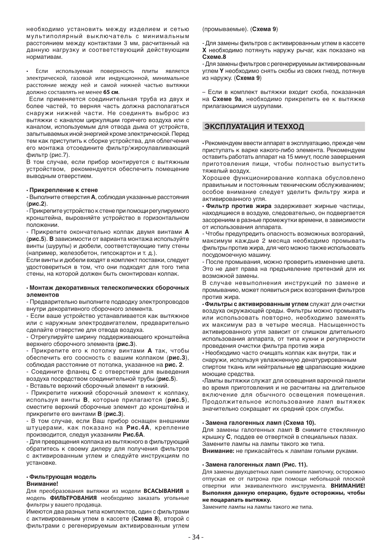необходимо установить между изделием и сетью мультиполярный выключатель с минимальным расстоянием между контактами 3 мм, расчитанный на данную нагрузку и соответствующий действующим нормативам.

• Если используемая поверхность плиты является электрической, газовой или индукционной, минимальное расстояние между ней и самой нижней частью вытяжки должно составлять не менее **65 см**.

 Если применяется соединительная труба из двух и более частей, то верняя часть должна располагаться снаружи нижней части. Не соединять выброс из вытяжки с каналом циркуляции горячего воздуха или с каналом, используемым для отвода дыма от устройств, запытываемых иной энергией кроме электрической. Перед тем как приступить к сборке устройства, для облегчения его монтажа отсоедините фильтр/жироулавливающий фильтр (рис.7).

В том случае, если прибор монтируется с вытяжным устройством, рекомендуется обеспечить помещение выводным отверстием.

#### • **Прикрепление к стене**

- Выполните отверстия **A**, соблюдая указанные расстояния (**рис.2**).

- Прикрепите устройство к стене при помощи регулируемого кронштейна, выровняйте устройство в горизонтальном положении.

- Прикрепите окончательно колпак двумя винтами **A** (**рис.5**). **В** зависимости от варианта монтажа используйте винты (шурупы) и дюбели, соответствующие типу стены (например, железобетон, гипсокартон и т. д.).

Если винты и дюбели входят в комплект поставки, следует удостовериться в том, что они подходят для того типа стены, на которой должен быть смонтирован колпак.

#### • **Монтаж декоративных телескопических сборочных элементов**

- Предварительно выполните подводку электропроводов внутри декоративного сборочного элемента.

- Если ваше устройство устанавливается как вытяжное или с наружным электродвигателем, предварительно сделайте отверстие для отвода воздуха.

- Отрегулируйте ширину поддерживающего кронштейна верхнего сборочного элемента (**рис.3**).

- Прикрепите его к потолку винтами **A** так, чтобы обеспечить его соосность с вашим колпаком (**рис.3**), соблюдая расстояние от потолка, указанное на **рис. 2**.

- Соедините фланец **C** с отверстием для выведения воздуха посредством соединительной трубы (**рис.5**).

- Вставьте верхний сборочный элемент в нижний.

- Прикрепите нижний сборочный элемент к колпаку, используя винты **B**, которые прилагаются (**рис.5**), сместите верхний сборочные элемент до кронштейна и прикрепите его винтами **B** (**рис.3**).

- В том случае, если Ваш прибор оснащен внешними штуцерами, как показано на **Рис.4А**, крепление производится, следуя указаниям **Рис.6А**.

- Для превращения колпака из вытяжного в фильтрующий обратитесь к своему дилеру для получения фильтров с активированным углем и следуйте инструкциям по установке.

#### • **Фильтрующая модель**

#### **Внимание!**

Для преобразования вытяжки из модели **ВСАСЫВАНИЯ** в модель **ФИЛЬТРОВАНИЯ** необходимо заказать угольные фильтры у вашего продавца.

Имеются два разных типа комплектов, один с фильтрами с активированным углем в кассете (**Схема 8**), второй с фильтрами с регенерируемым активированным углем

(промываемые). (**Схема 9**)

- Для замены фильтров с активированным углем в кассете **X** необходимо потянуть наружу рычаг, как показано на **Схеме.8**

- Для замены фильтров с регенерируемым активированным углем **Y** необходимо снять скобы из своих гнезд, потянув из наружу. (**Схема 9**)

– Если в комплект вытяжки входит скоба, показанная на **Схеме 9a**, необходимо прикрепить ее к вытяжке прилагающимися шурупами.

## **ЭКСПЛУАТАЦИЯ И ТЕХХОД**

• Рекомендуем ввести аппарат в эксплуатацию, прежде чем приступать к варке какого-либо элемента. Рекомендуем оставить работать аппарат на 15 минут, после завершения приготовления пищи, чтобы полностью выпустить тяжелый воздух.

Хорошее функционирование колпака обусловлено правильным и постоянным техническим обслуживанием; особое внимание следует уделить фильтру жира и активированного угля.

• **Фильтр против жира** задерживает жирные частицы, находящиеся в воздухе, следовательно, он подвергается засорениям в разные промежутки времени, в зависимости от использования аппарата.

- Чтобы предупредить опасность возможных возгораний, максимум каждые 2 месяца необходимо промывать фильтры против жира, для чего можно также использовать посудомоечную машину.

- После промывания, можно проверить изменение цвета. Это не дает права на предъявление претензий для их возможной замены.

В случае невыполнения инструкций по замене и промыванию, может появиться риск возгорания фильтров против жира.

• **Фильтры с активированным углем** служат для очистки воздуха окружающей среды. Фильтры можно промывать или использовать повторно, необходимо заменять их максимум раз в четыре месяца. Насыщенность активированного угля зависит от слишком длительного использования аппарата, от типа кухни и регулярности проведения очистки фильтра против жира

• Необходимо часто очищать колпак как внутри, так и снаружи, используя увлажненную денатурированным спиртом ткань или нейтральные **не** царапающие жидкие моющие средства.

•Лампы вытяжки служат для освещения варочной панели во время приготовления и не расчитаны на длительное включение для обычного освещения помещения. Продолжительное использование ламп вытяжек значительно сокращает их средний срок службы.

#### • **Замена галогенных ламп (Схема 10).**

Для замены галогенных ламп **В** снимите стеклянную крышку **С**, поддев ее отверткой в специальных пазах. Замените лампы на лампы такого же типа.

**Внимание:** не прикасайтесь к лампам голыми руками.

#### • **Замена галогенных ламп (Рис. 11).**

Для замены двухцветных ламп снимите лампочку, осторожно отпуская ее от патрона при помощи небольшой плоской отвертки или эквивалентного инструмента. **ВНИМАНИЕ! Выполняя данную операцию, будьте осторожны, чтобы не поцарапать вытяжку.** 

Замените лампы на лампы такого же типа.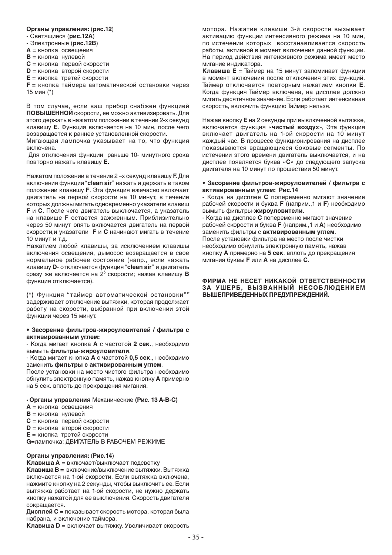#### **Органы управления:** (**рис.12**)

- Светящиеся (**рис.12A**)

- Электронные (**рис.12B**)

**A** = кнопка освещения

**B** = кнопка нулевой

**C** = кнопка первой скорости

**D** = кнопка второй скорости

**E** = кнопка третей скорости

**F =** кнопка таймера автоматической остановки через 15 мин (\*)

В том случае, если ваш прибор снабжен функцией **ПОВЫШЕННОЙ** скорости, ее можно активизировать. Для этого держать в нажатом положении в течении 2-х секунд клавишу **E**. Функция включается на 10 мин, после чего возвращается к раннее установленной скорости.

Мигающая лампочка указывает на то, что функция включена.

 Для отключения функции раньше 10- минутного срока повторно нажать клавишу **E.**

Нажатом положении в течение 2 –х секунд клавишу **F.** Для включения функции "**clean air**" нажать и держать в таком положении клавишу **F**. Эта функция ежечасно включает двигатель на первой скорости на 10 минут, в течение которых должны мигать одновременно указатели клавиш **F** и **C**. После чего двигатель выключается, а указатель на клавише F остается зажженным. Приблизительно через 50 минут опять включается двигатель на первой скорости,и указатели **F** и **C** начинают мигать в течение 10 минут и т.д.

Нажатием любой клавишы, за исключением клавишы включения освещения, дымосос возвращается в свое нормальное рабочее состояние (напр., если нажать клавишу **D**- отключается функция "**clean air**" и двигатель сразу же включается на 20 скорости; нажав клавишу **В**  функция отключается).

**(\*)** Функция **"**таймер автоматической остановки"**"**  задерживает отключение вытяжки, которая продолжает работу на скорости, выбранной при включении этой функции через 15 минут.

#### **• Засорение фильтров-жироуловителей / фильтра с активированным углем:**

- Когда мигает кнопка **А** с частотой **2 сек**., необходимо вымыть **фильтры-жироуловители**.

- Когда мигает кнопка **А** с частотой **0,5 сек**., необходимо заменить **фильтры с активированным углем**.

После установки на место чистого фильтра необходимо обнулить электронную память, нажав кнопку **А** примерно на 5 сек. вплоть до прекращения мигания.

### • **Органы управления** Механические **(Рис. 13 A-B-C)**

- **A** = кнопка освещения
- **B** = кнопка нулевой
- **C** = кнопка первой скорости
- **D** = кнопка второй скорости
- **E** = кнопка третей скорости

**G=**лампочка: ДВИГАТЕЛЬ В РАБОЧЕМ РЕЖИМЕ

## **Органы управления:** (**Рис.14**)

**Клавиша А** = включает/выключает подсветку

**Клавиша В =** включение/выключение вытяжки. Вытяжка включается на 1-ой скорости. Если вытяжка включена, нажмите кнопку на 2 секунды, чтобы выключить ее. Если вытяжка работает на 1-ой скорости, не нужно держать кнопку нажатой для ее выключения. Скорость двигателя сокращается.

**Дисплей С =** показывает скорость мотора, которая была . .<br>набрана, и включение таймера.

**Клавиша D** = включает вытяжку. Увеличивает скорость

мотора. Нажатие клавиши 3-й скорости вызывает активацию функции интенсивного режима на 10 мин, по истечении которых восстанавливается скорость работы, активной в момент включения данной функции. На период действия интенсивного режима имеет место мигание индикатора.

**Клавиша Е** = Таймер на 15 минут запоминает функции в момент включения после отключения этих функций. Таймер отключается повторным нажатием кнопки **Е**. Когда функция Таймер включена, на дисплее должно мигать десятичное значение. Если работает интенсивная скорость, включить функцию Таймер нельзя.

Нажав кнопку **Е** на 2 секунды при выключенной вытяжке, включается функция «**чистый воздух**», Эта функция включает двигатель на 1-ой скорости на 10 минут каждый час. В процессе функционирования на дисплее показываются вращающиеся боковые сегменты. По истечении этого времени двигатель выключается, и на дисплее появляется буква «**С**» до следующего запуска двигателя на 10 минут по прошествии 50 минут.

#### **• Засорение фильтров-жироуловителей / фильтра с активированным углем: Рис.14**

- Когда на дисплее **C** попеременно мигают значение рабочей скорости и буква **F** (наприм.,1 и **F**) необходимо вымыть фильтры-**жироуловители**.

- Когда на дисплее **C** попеременно мигают значение рабочей скорости и буква **F** (наприм.,1 и **A**) необходимо заменить фильтры с **активированным углем**. После установки фильтра на место после чистки необходимо обнулить электронную память, нажав кнопку **А** примерно на **5 сек**. вплоть до прекращения мигания буквы **F** или **А** на дисплее **С**.

#### **ФИРМА НЕ НЕСЕТ НИКАКОЙ ОТВЕТСТВЕННОСТИ ЗА УШЕРБ, ВЫЗВАННЫЙ НЕСОБЛЮДЕНИЕМ ВЫШЕПРИВЕДЕННЫХ ПРЕДУПРЕЖДЕНИЙ.**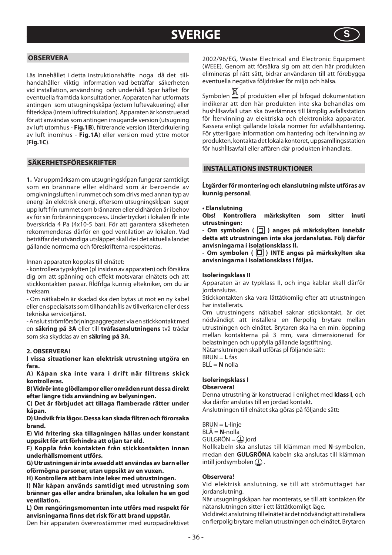## **SVERIGE S**



## **OBSERVERA**

Läs innehållet i detta instruktionshäfte noga då det tillhandahåller viktig information vad beträffar säkerheten vid installation, användning och underhåll. Spar häftet för eventuella framtida konsultationer. Apparaten har utformats antingen som utsugningskåpa (extern luftevakuering) eller filterkåpa (intern luftrecirkulation). Apparaten är konstruerad för att användas som antingen insugande version (utsugning av luft utomhus - **Fig.1B**), filtrerande version (återcirkulering av luft inomhus - **Fig.1A**) eller version med yttre motor (**Fig.1C**).

## **SÄKERHETSFÖRESKRIFTER**

**1.** Var uppmärksam om utsugningskĺpan fungerar samtidigt som en brännare eller eldhärd som är beroende av omgivningsluften i rummet och som drivs med annan typ av energi än elektrisk energi, eftersom utsugningskĺpan suger upp luft frĺn rummet som brännaren eller eldhärden är i behov av för sin förbränningsprocess. Undertrycket i lokalen fĺr inte överskrida 4 Pa (4x10-5 bar). För att garantera säkerheten rekommenderas därför en god ventilation av lokalen. Vad beträffar det utvändiga utsläppet skall de i det aktuella landet gällande normerna och föreskrifterna respekteras.

Innan apparaten kopplas till elnätet:

- kontrollera typskylten (pĺ insidan av apparaten) och försäkra dig om att spänning och effekt motsvarar elnätets och att stickkontakten passar. Rĺdfrĺga kunnig eltekniker, om du är tveksam.

- Om nätkabeln är skadad ska den bytas ut mot en ny kabel eller en specialsats som tillhandahĺlls av tillverkaren eller dess tekniska servicetjänst.

- Anslut strömförsörjningsaggregatet via en stickkontakt med en **säkring på 3A** eller till **tvåfasanslutningens** två trådar som ska skyddas av en **säkring på 3A**.

### **2. OBSERVERA!**

**I vissa situationer kan elektrisk utrustning utgöra en fara.** 

**A) Kåpan ska inte vara i drift när filtrens skick kontrolleras.**

**B) Vidrör inte glödlampor eller områden runt dessa direkt efter längre tids användning av belysningen.**

**C) Det är förbjudet att tillaga flamberade rätter under kåpan.**

**D) Undvik fria lågor. Dessa kan skada filtren och förorsaka brand.**

**E) Vid fritering ska tillagningen hållas under konstant uppsikt för att förhindra att oljan tar eld.**

**F) Koppla från kontakten från stickkontakten innan underhållsmoment utförs.**

**G) Utrustningen är inte avsedd att användas av barn eller oförmögna personer, utan uppsikt av en vuxen.**

**H) Kontrollera att barn inte leker med utrustningen.**

**I) När kåpan används samtidigt med utrustning som bränner gas eller andra bränslen, ska lokalen ha en god ventilation.**

**L) Om rengöringsmomenten inte utförs med respekt för anvisningarna finns det risk för att brand uppstår.**

Den här apparaten överensstämmer med europadirektivet

2002/96/EG, Waste Electrical and Electronic Equipment (WEEE). Genom att försäkra sig om att den här produkten elimineras pĺ rätt sätt, bidrar användaren till att förebygga eventuella negativa följdrisker för miljö och hälsa.

Symbolen  $\mathbb{X}$  pĺ produkten eller pĺ bifogad dokumentation indikerar att den här produkten inte ska behandlas om hushĺllsavfall utan ska överlämnas till lämplig avfallsstation för ĺtervinning av elektriska och elektroniska apparater. Kassera enligt gällande lokala normer för avfallshantering. För ytterligare information om hantering och ĺtervinning av produkten, kontakta det lokala kontoret, uppsamllingsstation .<br>för hushĺllsavfall eller affären där produkten inhandlats.

## **INSTALLATIONS INSTRUKTIONER**

**Ĺtgärder för montering och elanslutning mĺste utföras av kunnig personal**.

#### **• Elanslutning**

**Obs! Kontrollera märkskylten som sitter inuti utrustningen:**

**- Om symbolen (** $\Box$ **) anges på märkskylten innebär detta att utrustningen inte ska jordanslutas. Följ därför anvisningarna i isolationsklass II.**

- Om symbolen ( $\Box$ ) INTE anges på märkskylten ska **anvisningarna i isolationsklass I följas.**

#### **Isoleringsklass II**

Apparaten är av typklass II, och inga kablar skall därför jordanslutas.

Stickkontakten ska vara lättåtkomlig efter att utrustningen har installerats.

Om utrustningens nätkabel saknar stickkontakt, är det nödvändigt att installera en flerpolig brytare mellan utrustningen och elnätet. Brytaren ska ha en min. öppning mellan kontakterna på 3 mm, vara dimensionerad för belastningen och uppfylla gällande lagstiftning.

Nätanslutningen skall utföras pĺ följande sätt:

BRUN = **L** fas BLĹ = **N** nolla

## **Isoleringsklass I**

## **Observera!**

Denna utrustning är konstruerad i enlighet med **klass I**, och ska därför anslutas till en jordad kontakt.

Anslutningen till elnätet ska göras på följande sätt:

BRUN = **L**-linje

BLÅ = **N**-nolla

 $GULGRÖN =  $\mathbb{Q}$  jord$ 

Nollkabeln ska anslutas till klämman med **N**-symbolen, medan den **GULGRÖNA** kabeln ska anslutas till klämman intill jordsymbolen  $\mathbb D$ .

### **Observera!**

Vid elektrisk anslutning, se till att strömuttaget har jordanslutning.

När utsugningskåpan har monterats, se till att kontakten för nätanslutningen sitter i ett lättåtkomligt läge.

Vid direkt anslutning till elnätet är det nödvändigt att installera en flerpolig brytare mellan utrustningen och elnätet. Brytaren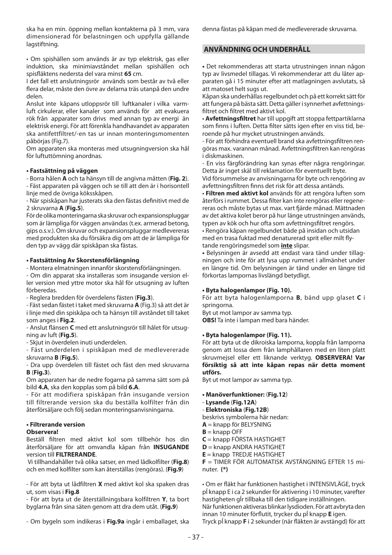ska ha en min. öppning mellan kontakterna på 3 mm, vara dimensionerad för belastningen och uppfylla gällande lagstiftning.

• Om spishällen som används är av typ elektrisk, gas eller induktion, ska minimiavståndet mellan spishällen och spisfl äktens nedersta del vara minst **65** cm.

I det fall ett anslutningsrör används som består av två eller flera delar, måste den övre av delarna träs utanpå den undre delen.

Anslut inte kåpans utloppsrör till luftkanaler i vilka varmluft cirkulerar, eller kanaler som används för att evakuera rök från apparater som drivs med annan typ av energi än elektrisk energi. För att förenkla handhavandet av apparaten ska antifettfiltret/-en tas ur innan monteringsmomenten påbörjas (Fig.7).

Om apparaten ska monteras med utsugningversion ska hål för luftuttömning anordnas.

## **• Fastsättning på väggen**

- Borra hålen **A** och ta hänsyn till de angivna måtten (**Fig. 2**). - Fäst apparaten på väggen och se till att den är i horisontell linje med de övriga köksskåpen.

- När spiskåpan har justerats ska den fästas definitivt med de 2 skruvarna **A** (**Fig.5**).

För de olika monteringarna ska skruvar och expansionspluggar som är lämpliga för väggen användas (t.ex. armerad betong, gips o.s.v.). Om skruvar och expansionspluggar medlevereras med produkten ska du försäkra dig om att de är lämpliga för den typ av vägg där spiskåpan ska fästas.

## **• Fastsättning Av Skorstensförlängning**

- Montera elmatningen innanför skorstensförlängningen.

- Om din apparat ska installeras som insugande version eller version med yttre motor ska hål för utsugning av luften förberedas.

- Reglera bredden för överdelens fästen (**Fig.3**).

- Fäst sedan fästet i taket med skruvarna **A** (Fig.3) så att det är i linje med din spiskåpa och ta hänsyn till avståndet till taket som anges i **Fig.2**.

- Anslut flänsen **C** med ett anslutningsrör till hålet för utsugning av luft (**Fig.5**).

- Skjut in överdelen inuti underdelen.

- Fäst underdelen i spiskåpan med de medlevererade skruvarna **B** (**Fig.5**).

- Dra upp överdelen till fästet och fäst den med skruvarna **B** (**Fig.3**).

Om apparaten har de nedre fogarna på samma sätt som på bild **4.A**, ska den kopplas som på bild **6.A**.

- För att modifiera spiskåpan från insugande version till filtrerande version ska du beställa kolfilter från din återförsäljare och följ sedan monteringsanvisningarna.

## **• Filtrerande version**

## **Observera!**

Beställ filtren med aktivt kol som tillbehör hos din återförsäljare för att omvandla kåpan från **INSUGANDE** version till **FILTRERANDE**.

 Vi tillhandahåller två olika satser, en med lådkolfilter (**Fig.8**) och en med kolfilter som kan återställas (rengöras). (**Fig.9**)

- För att byta ut lådfiltren **X** med aktivt kol ska spaken dras ut, som visas i **Fig.8**

- För att byta ut de återställningsbara kolfiltren **Y**, ta bort byglarna från sina säten genom att dra dem utåt. (**Fig.9**)

- Om bygeln som indikeras i **Fig.9a** ingår i emballaget, ska

denna fästas på kåpan med de medlevererade skruvarna.

## **ANVÄNDNING OCH UNDERHÅLL**

**•** Det rekommenderas att starta utrustningen innan någon typ av livsmedel tillagas. Vi rekommenderar att du låter apparaten gå i 15 minuter efter att matlagningen avslutats, så att matoset helt sugs ut.

Kåpan ska underhållas regelbundet och på ett korrekt sätt för att fungera på bästa sätt. Detta gäller i synnerhet avfettningsfiltret och filtret med aktivt kol.

• **Avfettningsfiltret** har till uppgift att stoppa fettpartiklarna som finns i luften. Detta filter sätts igen efter en viss tid, beroende på hur mycket utrustningen används.

- För att förhindra eventuell brand ska avfettningsfiltren rengöras max. varannan månad. Avfettningsfiltren kan rengöras i diskmaskinen.

- En viss färgförändring kan synas efter några rengöringar. Detta är inget skäl till reklamation för eventuellt byte.

Vid försummelse av anvisningarna för byte och rengöring av avfettningsfiltren finns det risk för att dessa antänds.

• **Filtren med aktivt kol** används för att rengöra luften som återförs i rummet. Dessa filter kan inte rengöras eller regenereras och måste bytas ut max. vart fjärde månad. Mättnaden av det aktiva kolet beror på hur länge utrustningen används, typen av kök och hur ofta som avfettningsfiltret rengörs.

• Rengöra kåpan regelbundet både på insidan och utsidan med en trasa fuktad med denaturerad sprit eller milt flytande rengöringsmedel som **inte** slipar.

**•** Belysningen är avsedd att endast vara tänd under tillagningen och inte för att lysa upp rummet i allmänhet under en längre tid. Om belysningen är tänd under en längre tid förkortas lampornas livslängd betydligt.

## **• Byta halogenlampor (Fig. 10).**

För att byta halogenlamporna **B**, bänd upp glaset **C** i springorna.

Byt ut mot lampor av samma typ.

**OBS!** Ta inte i lampan med bara händer.

## **• Byta halogenlampor (Fig. 11).**

För att byta ut de dikroiska lamporna, koppla från lamporna genom att lossa dem från lamphållaren med en liten platt skruvmejsel eller ett liknande verktyg. **OBSERVERA! Var försiktig så att inte kåpan repas när detta moment utförs.** 

Byt ut mot lampor av samma typ.

- **Manöverfunktioner:** (**Fig.12**)
- **Lysande** (**Fig.12A**)
- **Elektroniska** (**Fig.12B**)

beskrivs symbolerna här nedan:

- **A** = knapp för BELYSNING
- **B** = knapp OFF

**C** = knapp FÖRSTA HASTIGHET

**D** = knapp ANDRA HASTIGHET

**E** = knapp TREDJE HASTIGHET

**F** = TIMER FÖR AUTOMATISK AVSTÄNGNING EFTER 15 minuter. **(\*)**

• Om er fläkt har funktionen hastighet i INTENSIVLÄGE, tryck pĺ knapp E i ca 2 sekunder för aktivering i 10 minuter, varefter hastigheten gĺr tillbaka till den tidigare inställningen. När funktionen aktiveras blinkar lysdioden. För att avbryta den innan 10 minuter förflutit, trycker du pĺ knapp **E** igen. Tryck pĺ knapp **F** i 2 sekunder (när fläkten är avstängd) för att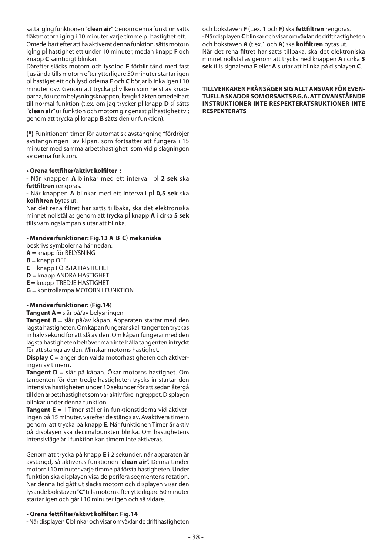sätta igĺng funktionen "**clean air**". Genom denna funktion sätts fläktmotorn jalng i 10 minuter varie timme pl hastighet ett. Omedelbart efter att ha aktiverat denna funktion, sätts motorn igĺng pĺ hastighet ett under 10 minuter, medan knapp **F** och knapp **C** samtidigt blinkar.

Därefter släcks motorn och lysdiod **F** förblir tänd med fast ljus ända tills motorn efter ytterligare 50 minuter startar igen pĺ hastiget ett och lysdioderna **F** och **C** börjar blinka igen i 10 minuter osv. Genom att trycka pĺ vilken som helst av knapparna, förutom belysningsknappen, ÍtergÍr fläkten omedelbart till normal funktion (t.ex. om jag trycker pĺ knapp **D** sĺ sätts "**clean air**" ur funktion och motorn gĺr genast pĺ hastighet tvĺ; genom att trycka pĺ knapp **B** sätts den ur funktion).

**(\*)** Funktionen" timer för automatisk avstängning "fördröjer avstängningen av kĺpan, som fortsätter att fungera i 15 minuter med samma arbetshastighet som vid pĺslagningen av denna funktion.

## **• Orena fettfi lter/aktivt kolfi lter :**

- När knappen **A** blinkar med ett intervall pĺ **2 sek** ska fettfiltren rengöras.

- När knappen **A** blinkar med ett intervall pĺ **0,5 sek** ska **kolfiltren** bytas ut.

När det rena filtret har satts tillbaka, ska det elektroniska minnet nollställas genom att trycka pĺ knapp **A** i cirka **5 sek** tills varningslampan slutar att blinka.

## **• Manöverfunktioner: Fig.13 A-B-C**) **mekaniska**

beskrivs symbolerna här nedan:

- **A** = knapp för BELYSNING
- $B =$ knapp OFF

**C** = knapp FÖRSTA HASTIGHET

**D** = knapp ANDRA HASTIGHET

**E** = knapp TREDJE HASTIGHET

**G** = kontrollampa MOTORN I FUNKTION

## **• Manöverfunktioner:** (**Fig.14**)

**Tangent A =** slår på/av belysningen

**Tangent B** = slår på/av kåpan. Apparaten startar med den lägsta hastigheten. Om kåpan fungerar skall tangenten tryckas in halv sekund för att slå av den. Om kåpan fungerar med den lägsta hastigheten behöver man inte hålla tangenten intryckt för att stänga av den. Minskar motorns hastighet.

**Display C =** anger den valda motorhastigheten och aktiveringen av timern**.**

**Tangent D** = slår på kåpan. Ökar motorns hastighet. Om tangenten för den tredje hastigheten trycks in startar den intensiva hastigheten under 10 sekunder för att sedan återgå till den arbetshastighet som var aktiv före ingreppet. Displayen blinkar under denna funktion.

**Tangent E =** Il Timer ställer in funktionstiderna vid aktiveringen på 15 minuter, varefter de stängs av. Avaktivera timern genom att trycka på knapp **E**. När funktionen Timer är aktiv på displayen ska decimalpunkten blinka. Om hastighetens intensivläge är i funktion kan timern inte aktiveras.

Genom att trycka på knapp **E** i 2 sekunder, när apparaten är avstängd, så aktiveras funktionen "**clean air**". Denna tänder motorn i 10 minuter varje timme på första hastigheten. Under funktion ska displayen visa de perifera segmentens rotation. När denna tid gått ut släcks motorn och displayen visar den lysande bokstaven "**C**" tills motorn efter ytterligare 50 minuter startar igen och går i 10 minuter igen och så vidare.

## **• Orena fettfi lter/aktivt kolfi lter: Fig.14**

- När displayen **C** blinkar och visar omväxlande drifthastigheten

och bokstaven **F** (t.ex. 1 och **F**) ska **fettfi ltren** rengöras. - När displayen **C** blinkar och visar omväxlande drifthastigheten och bokstaven **A** (t.ex.1 och **A**) ska **kolfi ltren** bytas ut. När det rena filtret har satts tillbaka, ska det elektroniska minnet nollställas genom att trycka ned knappen **A** i cirka **5 sek** tills signalerna **F** eller **A** slutar att blinka på displayen **C**.

## **TILLVERKAREN FRÅNSÄGER SIG ALLT ANSVAR FÖR EVEN-TUELLA SKADOR SOM ORSAKTS P.G.A. ATT OVANSTÅENDE INSTRUKTIONER INTE RESPEKTERATSRUKTIONER INTE RESPEKTERATS**